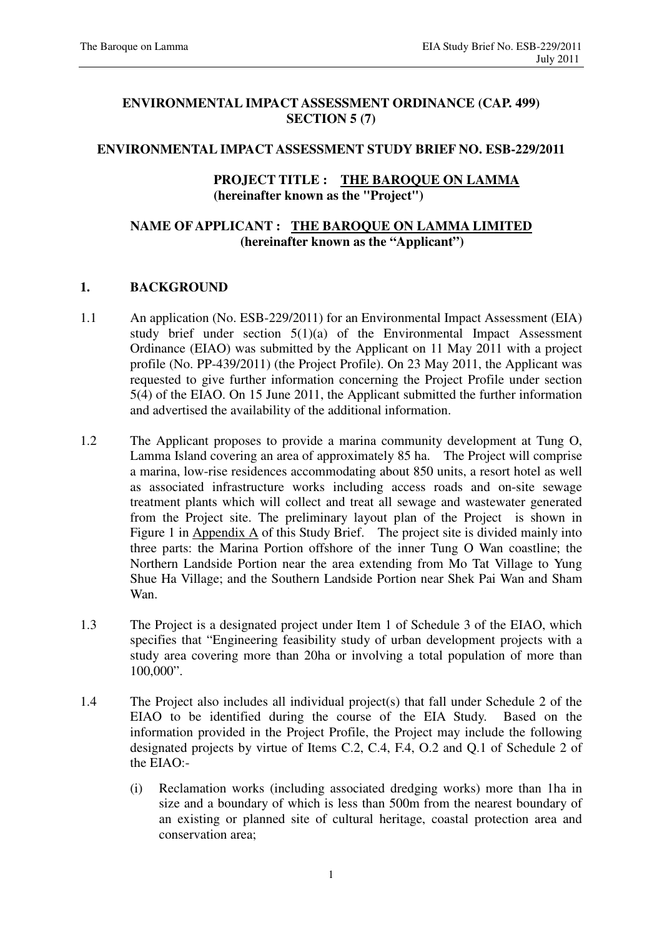## **ENVIRONMENTAL IMPACT ASSESSMENT ORDINANCE (CAP. 499) SECTION 5 (7)**

## **ENVIRONMENTAL IMPACT ASSESSMENT STUDY BRIEF NO. ESB-229/2011**

## **PROJECT TITLE : THE BAROQUE ON LAMMA (hereinafter known as the "Project")**

## **NAME OF APPLICANT : THE BAROQUE ON LAMMA LIMITED (hereinafter known as the "Applicant")**

## **1. BACKGROUND**

- 1.1 An application (No. ESB-229/2011) for an Environmental Impact Assessment (EIA) study brief under section 5(1)(a) of the Environmental Impact Assessment Ordinance (EIAO) was submitted by the Applicant on 11 May 2011 with a project profile (No. PP-439/2011) (the Project Profile). On 23 May 2011, the Applicant was requested to give further information concerning the Project Profile under section 5(4) of the EIAO. On 15 June 2011, the Applicant submitted the further information and advertised the availability of the additional information.
- 1.2 The Applicant proposes to provide a marina community development at Tung O, Lamma Island covering an area of approximately 85 ha. The Project will comprise a marina, low-rise residences accommodating about 850 units, a resort hotel as well as associated infrastructure works including access roads and on-site sewage treatment plants which will collect and treat all sewage and wastewater generated from the Project site. The preliminary layout plan of the Project is shown in Figure 1 in Appendix A of this Study Brief. The project site is divided mainly into three parts: the Marina Portion offshore of the inner Tung O Wan coastline; the Northern Landside Portion near the area extending from Mo Tat Village to Yung Shue Ha Village; and the Southern Landside Portion near Shek Pai Wan and Sham Wan.
- 1.3 The Project is a designated project under Item 1 of Schedule 3 of the EIAO, which specifies that "Engineering feasibility study of urban development projects with a study area covering more than 20ha or involving a total population of more than 100,000".
- 1.4 The Project also includes all individual project(s) that fall under Schedule 2 of the EIAO to be identified during the course of the EIA Study. Based on the information provided in the Project Profile, the Project may include the following designated projects by virtue of Items C.2, C.4, F.4, O.2 and Q.1 of Schedule 2 of the EIAO:-
	- (i) Reclamation works (including associated dredging works) more than 1ha in size and a boundary of which is less than 500m from the nearest boundary of an existing or planned site of cultural heritage, coastal protection area and conservation area;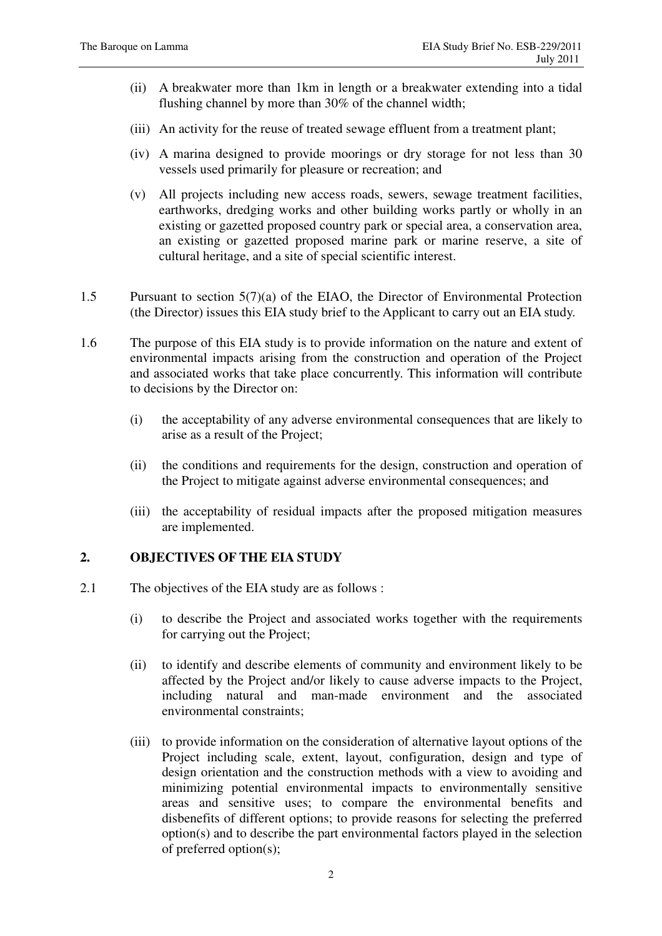- (ii) A breakwater more than 1km in length or a breakwater extending into a tidal flushing channel by more than 30% of the channel width;
- (iii) An activity for the reuse of treated sewage effluent from a treatment plant;
- (iv) A marina designed to provide moorings or dry storage for not less than 30 vessels used primarily for pleasure or recreation; and
- (v) All projects including new access roads, sewers, sewage treatment facilities, earthworks, dredging works and other building works partly or wholly in an existing or gazetted proposed country park or special area, a conservation area, an existing or gazetted proposed marine park or marine reserve, a site of cultural heritage, and a site of special scientific interest.
- 1.5 Pursuant to section 5(7)(a) of the EIAO, the Director of Environmental Protection (the Director) issues this EIA study brief to the Applicant to carry out an EIA study.
- 1.6 The purpose of this EIA study is to provide information on the nature and extent of environmental impacts arising from the construction and operation of the Project and associated works that take place concurrently. This information will contribute to decisions by the Director on:
	- (i) the acceptability of any adverse environmental consequences that are likely to arise as a result of the Project;
	- (ii) the conditions and requirements for the design, construction and operation of the Project to mitigate against adverse environmental consequences; and
	- (iii) the acceptability of residual impacts after the proposed mitigation measures are implemented.

## **2. OBJECTIVES OF THE EIA STUDY**

- 2.1 The objectives of the EIA study are as follows :
	- (i) to describe the Project and associated works together with the requirements for carrying out the Project;
	- (ii) to identify and describe elements of community and environment likely to be affected by the Project and/or likely to cause adverse impacts to the Project, including natural and man-made environment and the associated environmental constraints;
	- (iii) to provide information on the consideration of alternative layout options of the Project including scale, extent, layout, configuration, design and type of design orientation and the construction methods with a view to avoiding and minimizing potential environmental impacts to environmentally sensitive areas and sensitive uses; to compare the environmental benefits and disbenefits of different options; to provide reasons for selecting the preferred option(s) and to describe the part environmental factors played in the selection of preferred option(s);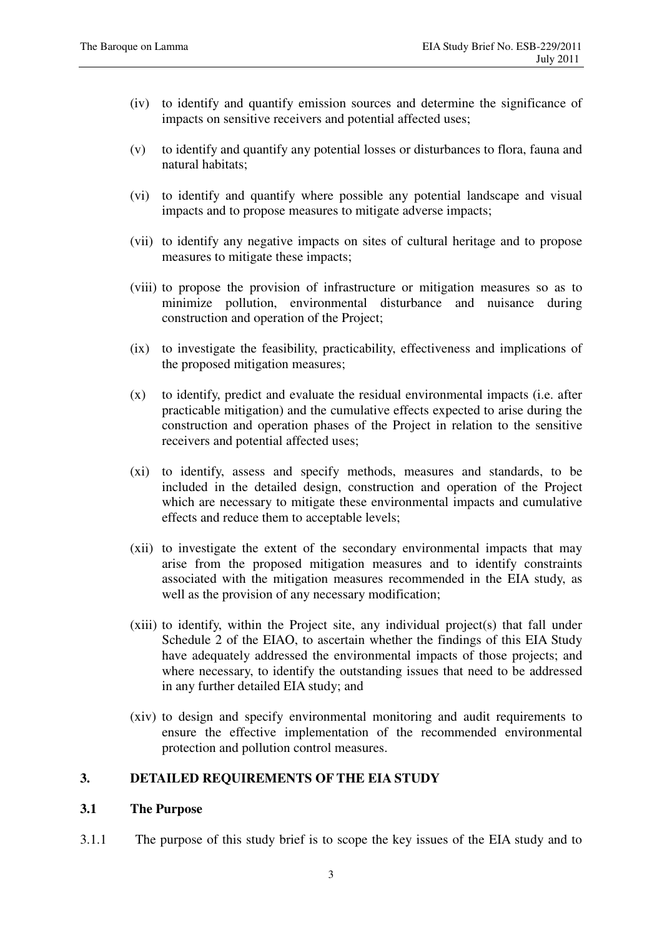- (iv) to identify and quantify emission sources and determine the significance of impacts on sensitive receivers and potential affected uses;
- (v) to identify and quantify any potential losses or disturbances to flora, fauna and natural habitats;
- (vi) to identify and quantify where possible any potential landscape and visual impacts and to propose measures to mitigate adverse impacts;
- (vii) to identify any negative impacts on sites of cultural heritage and to propose measures to mitigate these impacts;
- (viii) to propose the provision of infrastructure or mitigation measures so as to minimize pollution, environmental disturbance and nuisance during construction and operation of the Project;
- (ix) to investigate the feasibility, practicability, effectiveness and implications of the proposed mitigation measures;
- (x) to identify, predict and evaluate the residual environmental impacts (i.e. after practicable mitigation) and the cumulative effects expected to arise during the construction and operation phases of the Project in relation to the sensitive receivers and potential affected uses;
- (xi) to identify, assess and specify methods, measures and standards, to be included in the detailed design, construction and operation of the Project which are necessary to mitigate these environmental impacts and cumulative effects and reduce them to acceptable levels;
- (xii) to investigate the extent of the secondary environmental impacts that may arise from the proposed mitigation measures and to identify constraints associated with the mitigation measures recommended in the EIA study, as well as the provision of any necessary modification;
- (xiii) to identify, within the Project site, any individual project(s) that fall under Schedule 2 of the EIAO, to ascertain whether the findings of this EIA Study have adequately addressed the environmental impacts of those projects; and where necessary, to identify the outstanding issues that need to be addressed in any further detailed EIA study; and
- (xiv) to design and specify environmental monitoring and audit requirements to ensure the effective implementation of the recommended environmental protection and pollution control measures.

## **3. DETAILED REQUIREMENTS OF THE EIA STUDY**

### **3.1 The Purpose**

3.1.1 The purpose of this study brief is to scope the key issues of the EIA study and to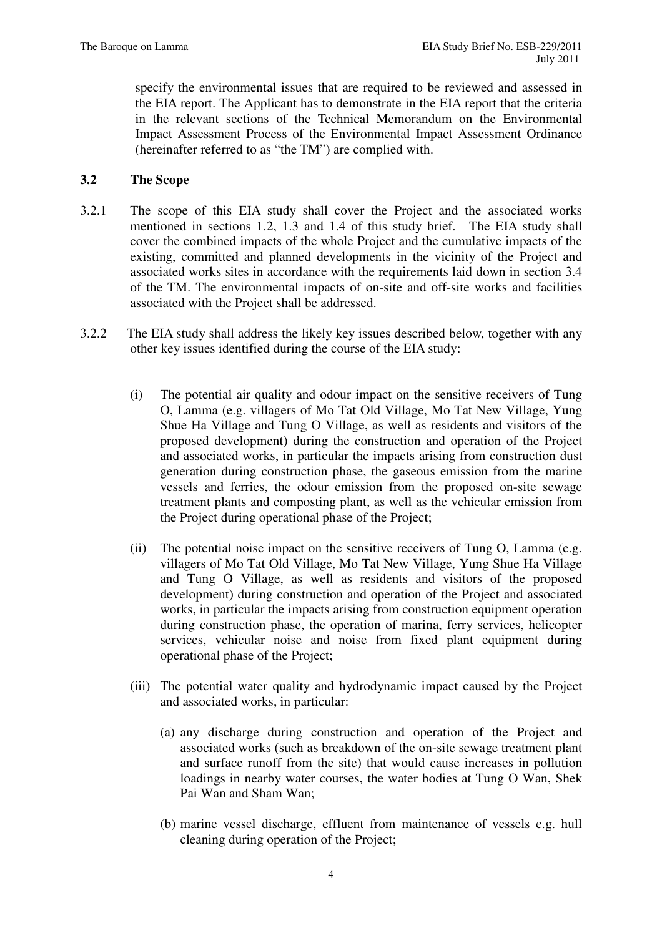specify the environmental issues that are required to be reviewed and assessed in the EIA report. The Applicant has to demonstrate in the EIA report that the criteria in the relevant sections of the Technical Memorandum on the Environmental Impact Assessment Process of the Environmental Impact Assessment Ordinance (hereinafter referred to as "the TM") are complied with.

## **3.2 The Scope**

- 3.2.1 The scope of this EIA study shall cover the Project and the associated works mentioned in sections 1.2, 1.3 and 1.4 of this study brief. The EIA study shall cover the combined impacts of the whole Project and the cumulative impacts of the existing, committed and planned developments in the vicinity of the Project and associated works sites in accordance with the requirements laid down in section 3.4 of the TM. The environmental impacts of on-site and off-site works and facilities associated with the Project shall be addressed.
- 3.2.2 The EIA study shall address the likely key issues described below, together with any other key issues identified during the course of the EIA study:
	- (i) The potential air quality and odour impact on the sensitive receivers of Tung O, Lamma (e.g. villagers of Mo Tat Old Village, Mo Tat New Village, Yung Shue Ha Village and Tung O Village, as well as residents and visitors of the proposed development) during the construction and operation of the Project and associated works, in particular the impacts arising from construction dust generation during construction phase, the gaseous emission from the marine vessels and ferries, the odour emission from the proposed on-site sewage treatment plants and composting plant, as well as the vehicular emission from the Project during operational phase of the Project;
	- (ii) The potential noise impact on the sensitive receivers of Tung O, Lamma (e.g. villagers of Mo Tat Old Village, Mo Tat New Village, Yung Shue Ha Village and Tung O Village, as well as residents and visitors of the proposed development) during construction and operation of the Project and associated works, in particular the impacts arising from construction equipment operation during construction phase, the operation of marina, ferry services, helicopter services, vehicular noise and noise from fixed plant equipment during operational phase of the Project;
	- (iii) The potential water quality and hydrodynamic impact caused by the Project and associated works, in particular:
		- (a) any discharge during construction and operation of the Project and associated works (such as breakdown of the on-site sewage treatment plant and surface runoff from the site) that would cause increases in pollution loadings in nearby water courses, the water bodies at Tung O Wan, Shek Pai Wan and Sham Wan;
		- (b) marine vessel discharge, effluent from maintenance of vessels e.g. hull cleaning during operation of the Project;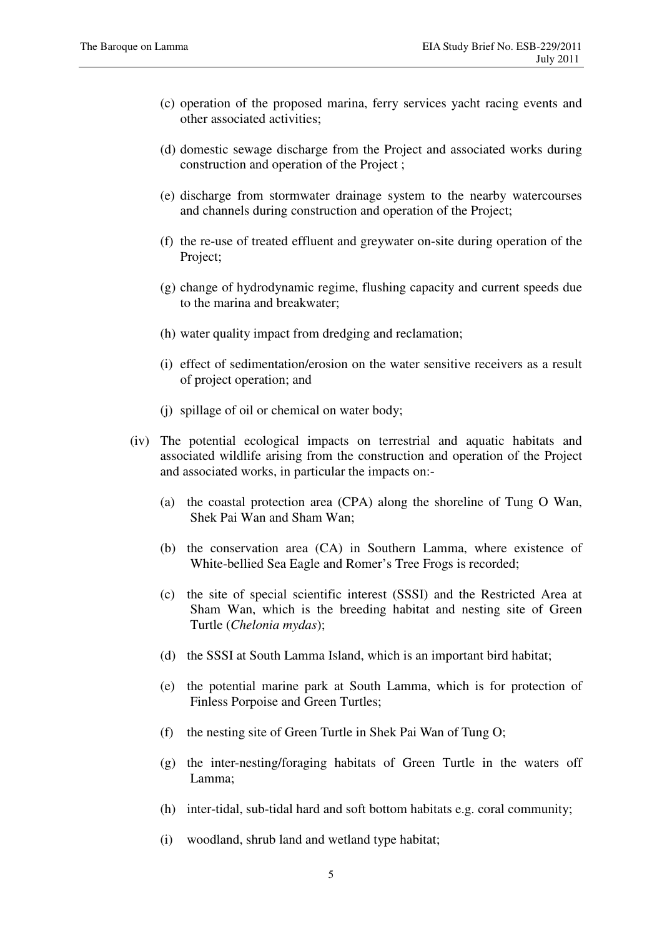- (c) operation of the proposed marina, ferry services yacht racing events and other associated activities;
- (d) domestic sewage discharge from the Project and associated works during construction and operation of the Project ;
- (e) discharge from stormwater drainage system to the nearby watercourses and channels during construction and operation of the Project;
- (f) the re-use of treated effluent and greywater on-site during operation of the Project;
- (g) change of hydrodynamic regime, flushing capacity and current speeds due to the marina and breakwater;
- (h) water quality impact from dredging and reclamation;
- (i) effect of sedimentation/erosion on the water sensitive receivers as a result of project operation; and
- (j) spillage of oil or chemical on water body;
- (iv) The potential ecological impacts on terrestrial and aquatic habitats and associated wildlife arising from the construction and operation of the Project and associated works, in particular the impacts on:-
	- (a) the coastal protection area (CPA) along the shoreline of Tung O Wan, Shek Pai Wan and Sham Wan;
	- (b) the conservation area (CA) in Southern Lamma, where existence of White-bellied Sea Eagle and Romer's Tree Frogs is recorded;
	- (c) the site of special scientific interest (SSSI) and the Restricted Area at Sham Wan, which is the breeding habitat and nesting site of Green Turtle (*Chelonia mydas*);
	- (d) the SSSI at South Lamma Island, which is an important bird habitat;
	- (e) the potential marine park at South Lamma, which is for protection of Finless Porpoise and Green Turtles;
	- (f) the nesting site of Green Turtle in Shek Pai Wan of Tung O;
	- (g) the inter-nesting/foraging habitats of Green Turtle in the waters off Lamma;
	- (h) inter-tidal, sub-tidal hard and soft bottom habitats e.g. coral community;
	- (i) woodland, shrub land and wetland type habitat;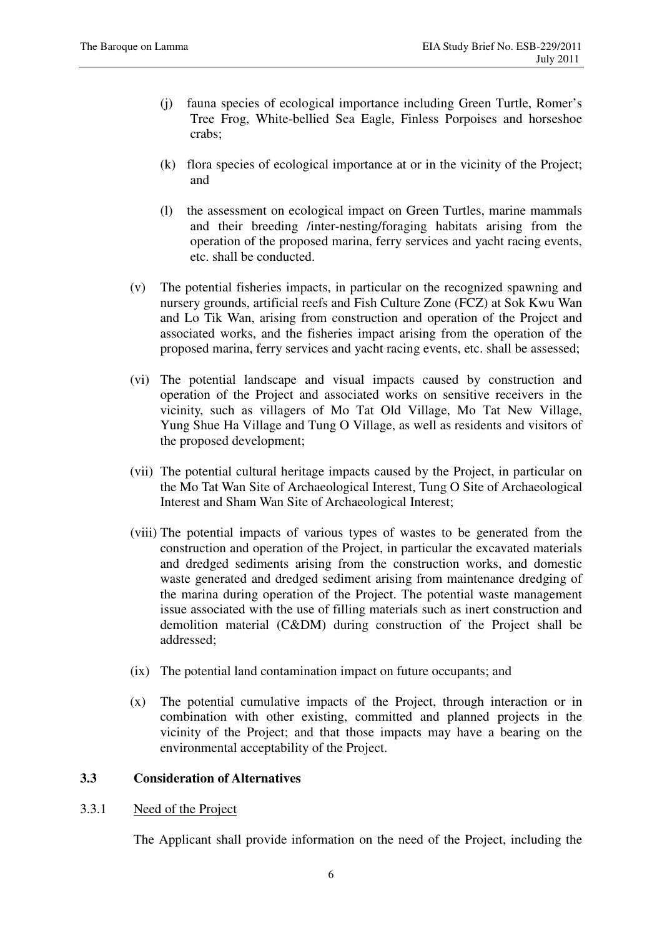- (j) fauna species of ecological importance including Green Turtle, Romer's Tree Frog, White-bellied Sea Eagle, Finless Porpoises and horseshoe crabs;
- (k) flora species of ecological importance at or in the vicinity of the Project; and
- (l) the assessment on ecological impact on Green Turtles, marine mammals and their breeding /inter-nesting/foraging habitats arising from the operation of the proposed marina, ferry services and yacht racing events, etc. shall be conducted.
- (v) The potential fisheries impacts, in particular on the recognized spawning and nursery grounds, artificial reefs and Fish Culture Zone (FCZ) at Sok Kwu Wan and Lo Tik Wan, arising from construction and operation of the Project and associated works, and the fisheries impact arising from the operation of the proposed marina, ferry services and yacht racing events, etc. shall be assessed;
- (vi) The potential landscape and visual impacts caused by construction and operation of the Project and associated works on sensitive receivers in the vicinity, such as villagers of Mo Tat Old Village, Mo Tat New Village, Yung Shue Ha Village and Tung O Village, as well as residents and visitors of the proposed development;
- (vii) The potential cultural heritage impacts caused by the Project, in particular on the Mo Tat Wan Site of Archaeological Interest, Tung O Site of Archaeological Interest and Sham Wan Site of Archaeological Interest;
- (viii) The potential impacts of various types of wastes to be generated from the construction and operation of the Project, in particular the excavated materials and dredged sediments arising from the construction works, and domestic waste generated and dredged sediment arising from maintenance dredging of the marina during operation of the Project. The potential waste management issue associated with the use of filling materials such as inert construction and demolition material (C&DM) during construction of the Project shall be addressed;
- (ix) The potential land contamination impact on future occupants; and
- (x) The potential cumulative impacts of the Project, through interaction or in combination with other existing, committed and planned projects in the vicinity of the Project; and that those impacts may have a bearing on the environmental acceptability of the Project.

# **3.3 Consideration of Alternatives**

## 3.3.1 Need of the Project

The Applicant shall provide information on the need of the Project, including the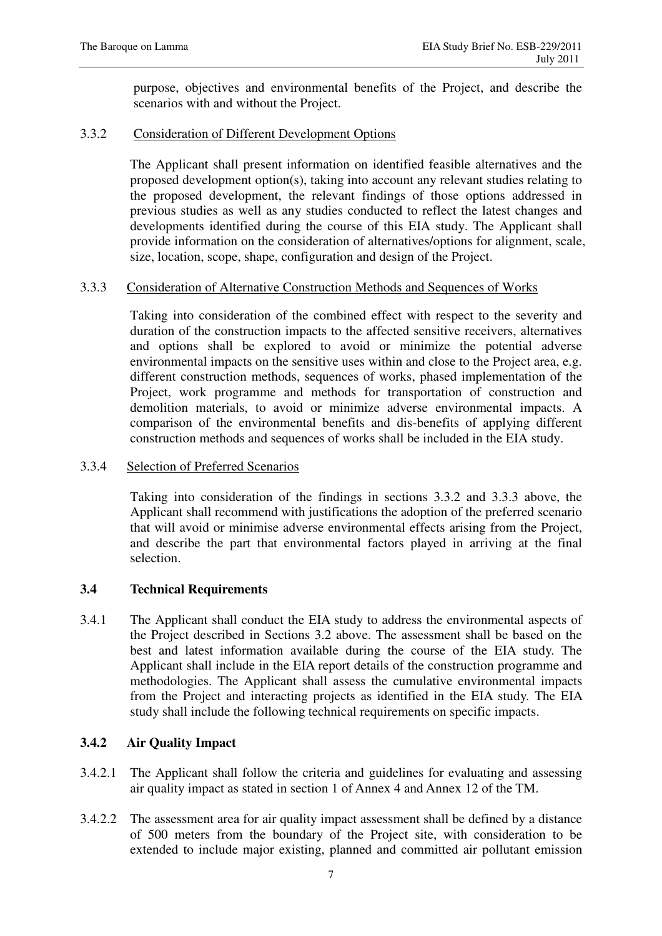purpose, objectives and environmental benefits of the Project, and describe the scenarios with and without the Project.

# 3.3.2 Consideration of Different Development Options

The Applicant shall present information on identified feasible alternatives and the proposed development option(s), taking into account any relevant studies relating to the proposed development, the relevant findings of those options addressed in previous studies as well as any studies conducted to reflect the latest changes and developments identified during the course of this EIA study. The Applicant shall provide information on the consideration of alternatives/options for alignment, scale, size, location, scope, shape, configuration and design of the Project.

## 3.3.3 Consideration of Alternative Construction Methods and Sequences of Works

Taking into consideration of the combined effect with respect to the severity and duration of the construction impacts to the affected sensitive receivers, alternatives and options shall be explored to avoid or minimize the potential adverse environmental impacts on the sensitive uses within and close to the Project area, e.g. different construction methods, sequences of works, phased implementation of the Project, work programme and methods for transportation of construction and demolition materials, to avoid or minimize adverse environmental impacts. A comparison of the environmental benefits and dis-benefits of applying different construction methods and sequences of works shall be included in the EIA study.

## 3.3.4 Selection of Preferred Scenarios

Taking into consideration of the findings in sections 3.3.2 and 3.3.3 above, the Applicant shall recommend with justifications the adoption of the preferred scenario that will avoid or minimise adverse environmental effects arising from the Project, and describe the part that environmental factors played in arriving at the final selection.

# **3.4 Technical Requirements**

3.4.1 The Applicant shall conduct the EIA study to address the environmental aspects of the Project described in Sections 3.2 above. The assessment shall be based on the best and latest information available during the course of the EIA study. The Applicant shall include in the EIA report details of the construction programme and methodologies. The Applicant shall assess the cumulative environmental impacts from the Project and interacting projects as identified in the EIA study. The EIA study shall include the following technical requirements on specific impacts.

# **3.4.2 Air Quality Impact**

- 3.4.2.1 The Applicant shall follow the criteria and guidelines for evaluating and assessing air quality impact as stated in section 1 of Annex 4 and Annex 12 of the TM.
- 3.4.2.2 The assessment area for air quality impact assessment shall be defined by a distance of 500 meters from the boundary of the Project site, with consideration to be extended to include major existing, planned and committed air pollutant emission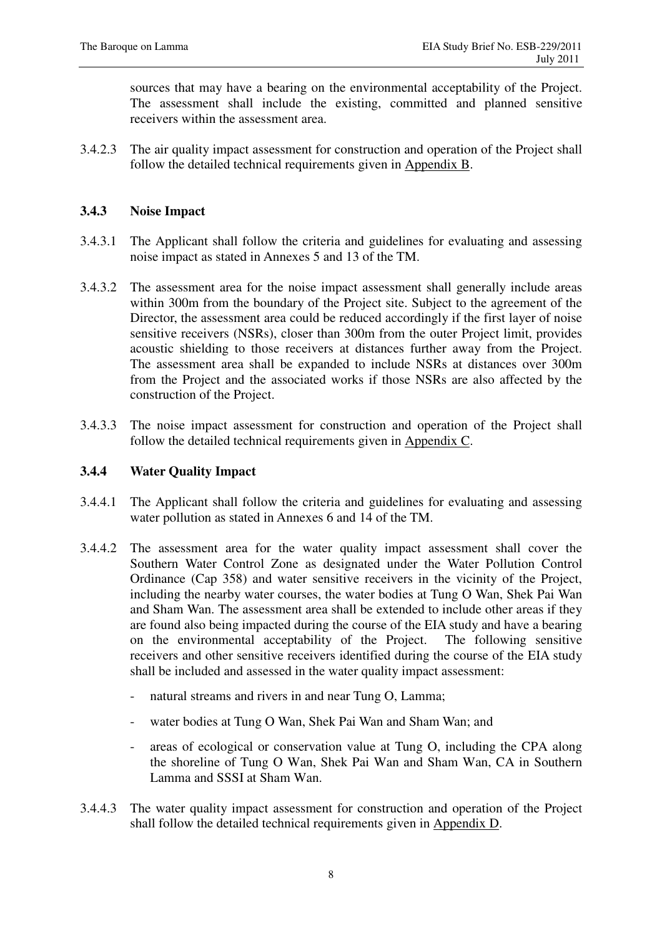sources that may have a bearing on the environmental acceptability of the Project. The assessment shall include the existing, committed and planned sensitive receivers within the assessment area.

3.4.2.3 The air quality impact assessment for construction and operation of the Project shall follow the detailed technical requirements given in Appendix B.

# **3.4.3 Noise Impact**

- 3.4.3.1 The Applicant shall follow the criteria and guidelines for evaluating and assessing noise impact as stated in Annexes 5 and 13 of the TM.
- 3.4.3.2 The assessment area for the noise impact assessment shall generally include areas within 300m from the boundary of the Project site. Subject to the agreement of the Director, the assessment area could be reduced accordingly if the first layer of noise sensitive receivers (NSRs), closer than 300m from the outer Project limit, provides acoustic shielding to those receivers at distances further away from the Project. The assessment area shall be expanded to include NSRs at distances over 300m from the Project and the associated works if those NSRs are also affected by the construction of the Project.
- 3.4.3.3 The noise impact assessment for construction and operation of the Project shall follow the detailed technical requirements given in Appendix C.

# **3.4.4 Water Quality Impact**

- 3.4.4.1 The Applicant shall follow the criteria and guidelines for evaluating and assessing water pollution as stated in Annexes 6 and 14 of the TM.
- 3.4.4.2 The assessment area for the water quality impact assessment shall cover the Southern Water Control Zone as designated under the Water Pollution Control Ordinance (Cap 358) and water sensitive receivers in the vicinity of the Project, including the nearby water courses, the water bodies at Tung O Wan, Shek Pai Wan and Sham Wan. The assessment area shall be extended to include other areas if they are found also being impacted during the course of the EIA study and have a bearing on the environmental acceptability of the Project. The following sensitive receivers and other sensitive receivers identified during the course of the EIA study shall be included and assessed in the water quality impact assessment:
	- natural streams and rivers in and near Tung O, Lamma;
	- water bodies at Tung O Wan, Shek Pai Wan and Sham Wan; and
	- areas of ecological or conservation value at Tung O, including the CPA along the shoreline of Tung O Wan, Shek Pai Wan and Sham Wan, CA in Southern Lamma and SSSI at Sham Wan.
- 3.4.4.3 The water quality impact assessment for construction and operation of the Project shall follow the detailed technical requirements given in Appendix D.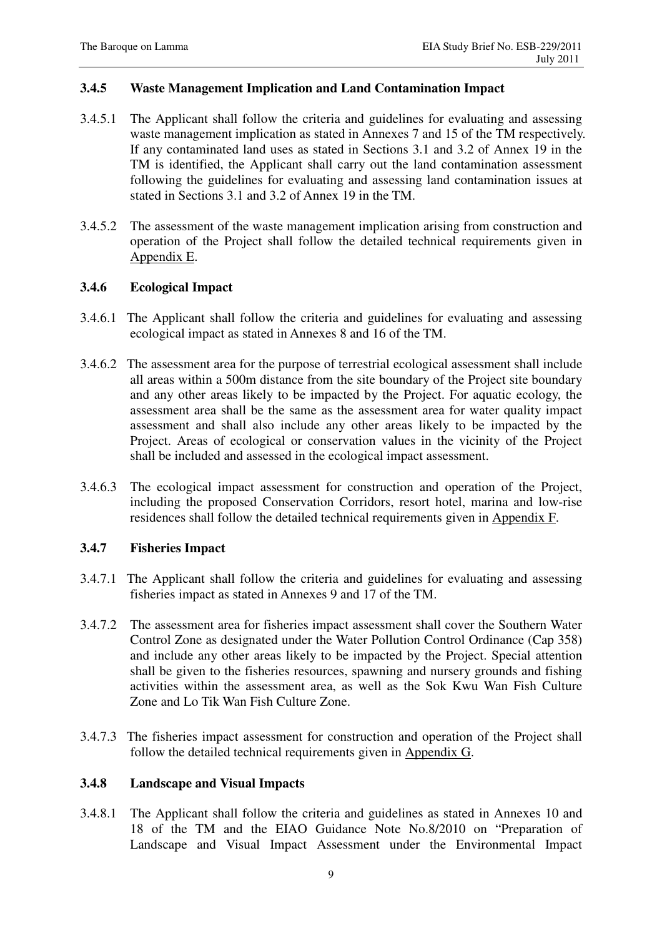## **3.4.5 Waste Management Implication and Land Contamination Impact**

- 3.4.5.1 The Applicant shall follow the criteria and guidelines for evaluating and assessing waste management implication as stated in Annexes 7 and 15 of the TM respectively. If any contaminated land uses as stated in Sections 3.1 and 3.2 of Annex 19 in the TM is identified, the Applicant shall carry out the land contamination assessment following the guidelines for evaluating and assessing land contamination issues at stated in Sections 3.1 and 3.2 of Annex 19 in the TM.
- 3.4.5.2 The assessment of the waste management implication arising from construction and operation of the Project shall follow the detailed technical requirements given in Appendix E.

## **3.4.6 Ecological Impact**

- 3.4.6.1 The Applicant shall follow the criteria and guidelines for evaluating and assessing ecological impact as stated in Annexes 8 and 16 of the TM.
- 3.4.6.2 The assessment area for the purpose of terrestrial ecological assessment shall include all areas within a 500m distance from the site boundary of the Project site boundary and any other areas likely to be impacted by the Project. For aquatic ecology, the assessment area shall be the same as the assessment area for water quality impact assessment and shall also include any other areas likely to be impacted by the Project. Areas of ecological or conservation values in the vicinity of the Project shall be included and assessed in the ecological impact assessment.
- 3.4.6.3 The ecological impact assessment for construction and operation of the Project, including the proposed Conservation Corridors, resort hotel, marina and low-rise residences shall follow the detailed technical requirements given in Appendix F.

## **3.4.7 Fisheries Impact**

- 3.4.7.1 The Applicant shall follow the criteria and guidelines for evaluating and assessing fisheries impact as stated in Annexes 9 and 17 of the TM.
- 3.4.7.2 The assessment area for fisheries impact assessment shall cover the Southern Water Control Zone as designated under the Water Pollution Control Ordinance (Cap 358) and include any other areas likely to be impacted by the Project. Special attention shall be given to the fisheries resources, spawning and nursery grounds and fishing activities within the assessment area, as well as the Sok Kwu Wan Fish Culture Zone and Lo Tik Wan Fish Culture Zone.
- 3.4.7.3 The fisheries impact assessment for construction and operation of the Project shall follow the detailed technical requirements given in Appendix G.

### **3.4.8 Landscape and Visual Impacts**

3.4.8.1 The Applicant shall follow the criteria and guidelines as stated in Annexes 10 and 18 of the TM and the EIAO Guidance Note No.8/2010 on "Preparation of Landscape and Visual Impact Assessment under the Environmental Impact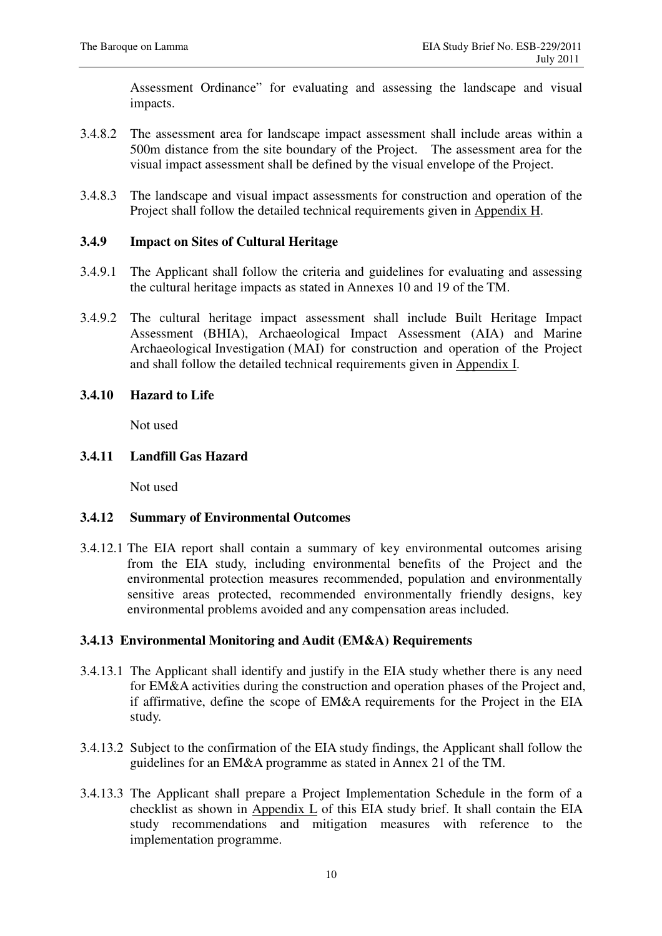Assessment Ordinance" for evaluating and assessing the landscape and visual impacts.

- 3.4.8.2 The assessment area for landscape impact assessment shall include areas within a 500m distance from the site boundary of the Project. The assessment area for the visual impact assessment shall be defined by the visual envelope of the Project.
- 3.4.8.3 The landscape and visual impact assessments for construction and operation of the Project shall follow the detailed technical requirements given in Appendix H.

## **3.4.9 Impact on Sites of Cultural Heritage**

- 3.4.9.1 The Applicant shall follow the criteria and guidelines for evaluating and assessing the cultural heritage impacts as stated in Annexes 10 and 19 of the TM.
- 3.4.9.2 The cultural heritage impact assessment shall include Built Heritage Impact Assessment (BHIA), Archaeological Impact Assessment (AIA) and Marine Archaeological Investigation ( MAI) for construction and operation of the Project and shall follow the detailed technical requirements given in Appendix I.
- **3.4.10 Hazard to Life**

Not used

## **3.4.11 Landfill Gas Hazard**

Not used

## **3.4.12 Summary of Environmental Outcomes**

3.4.12.1 The EIA report shall contain a summary of key environmental outcomes arising from the EIA study, including environmental benefits of the Project and the environmental protection measures recommended, population and environmentally sensitive areas protected, recommended environmentally friendly designs, key environmental problems avoided and any compensation areas included.

## **3.4.13 Environmental Monitoring and Audit (EM&A) Requirements**

- 3.4.13.1 The Applicant shall identify and justify in the EIA study whether there is any need for EM&A activities during the construction and operation phases of the Project and, if affirmative, define the scope of EM&A requirements for the Project in the EIA study.
- 3.4.13.2 Subject to the confirmation of the EIA study findings, the Applicant shall follow the guidelines for an EM&A programme as stated in Annex 21 of the TM.
- 3.4.13.3 The Applicant shall prepare a Project Implementation Schedule in the form of a checklist as shown in Appendix L of this EIA study brief. It shall contain the EIA study recommendations and mitigation measures with reference to the implementation programme.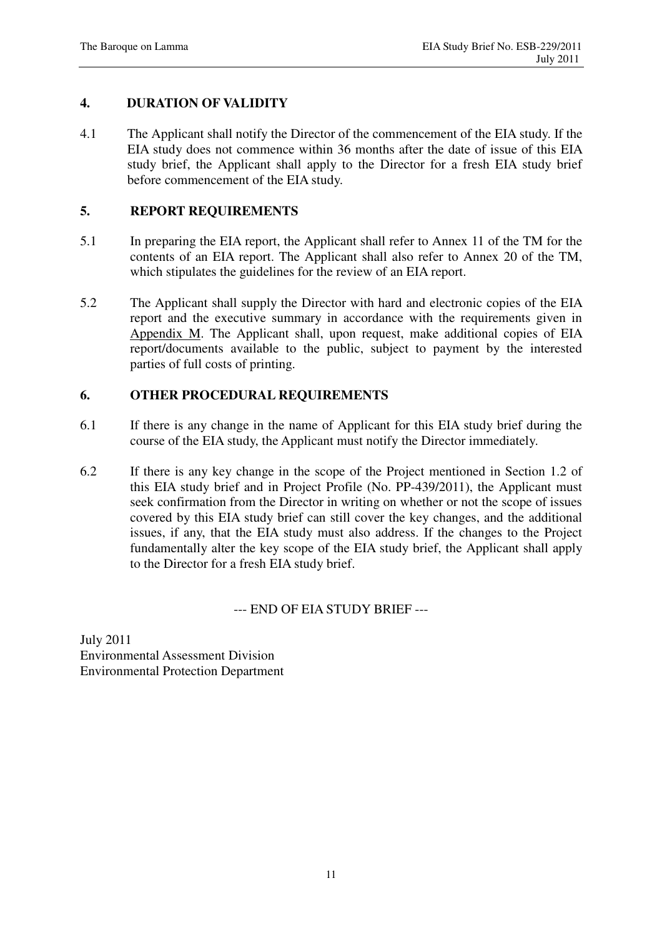## **4. DURATION OF VALIDITY**

4.1 The Applicant shall notify the Director of the commencement of the EIA study. If the EIA study does not commence within 36 months after the date of issue of this EIA study brief, the Applicant shall apply to the Director for a fresh EIA study brief before commencement of the EIA study.

## **5. REPORT REQUIREMENTS**

- 5.1 In preparing the EIA report, the Applicant shall refer to Annex 11 of the TM for the contents of an EIA report. The Applicant shall also refer to Annex 20 of the TM, which stipulates the guidelines for the review of an EIA report.
- 5.2 The Applicant shall supply the Director with hard and electronic copies of the EIA report and the executive summary in accordance with the requirements given in Appendix M. The Applicant shall, upon request, make additional copies of EIA report/documents available to the public, subject to payment by the interested parties of full costs of printing.

# **6. OTHER PROCEDURAL REQUIREMENTS**

- 6.1 If there is any change in the name of Applicant for this EIA study brief during the course of the EIA study, the Applicant must notify the Director immediately.
- 6.2 If there is any key change in the scope of the Project mentioned in Section 1.2 of this EIA study brief and in Project Profile (No. PP-439/2011), the Applicant must seek confirmation from the Director in writing on whether or not the scope of issues covered by this EIA study brief can still cover the key changes, and the additional issues, if any, that the EIA study must also address. If the changes to the Project fundamentally alter the key scope of the EIA study brief, the Applicant shall apply to the Director for a fresh EIA study brief.

## --- END OF EIA STUDY BRIEF ---

July 2011 Environmental Assessment Division Environmental Protection Department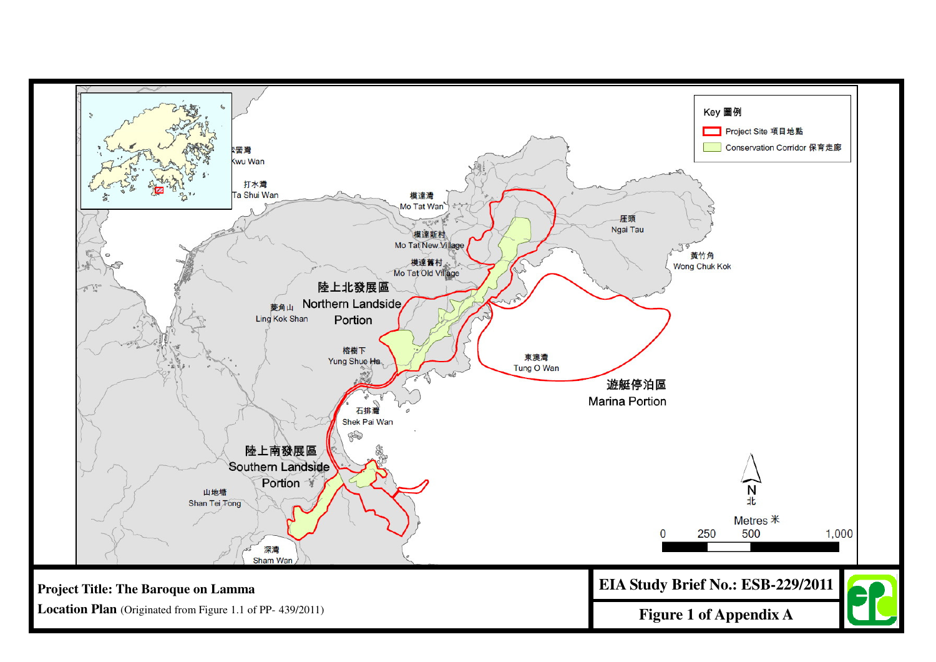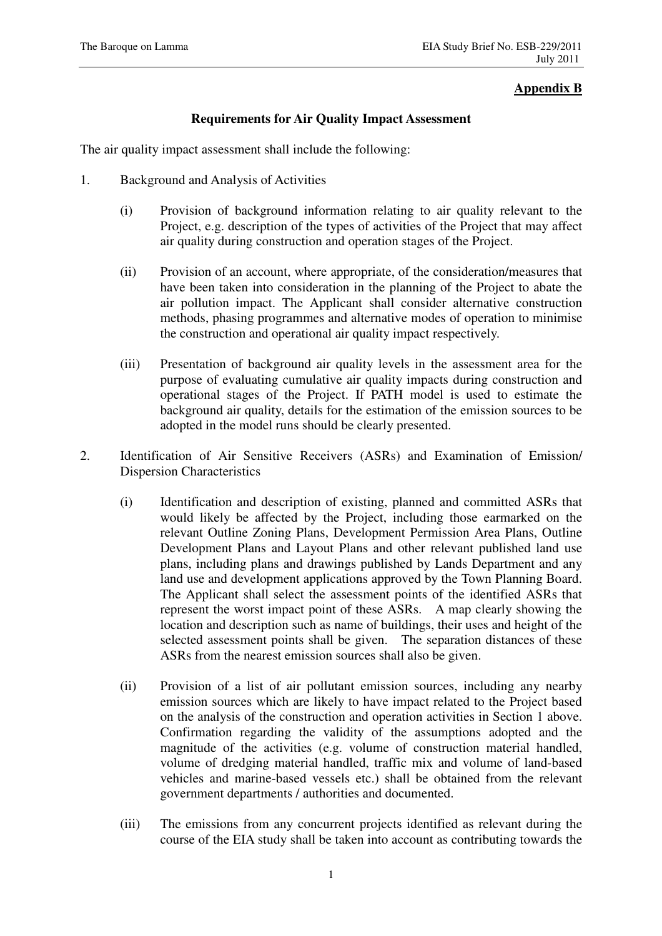# **Appendix B**

### **Requirements for Air Quality Impact Assessment**

The air quality impact assessment shall include the following:

- 1. Background and Analysis of Activities
	- (i) Provision of background information relating to air quality relevant to the Project, e.g. description of the types of activities of the Project that may affect air quality during construction and operation stages of the Project.
	- (ii) Provision of an account, where appropriate, of the consideration/measures that have been taken into consideration in the planning of the Project to abate the air pollution impact. The Applicant shall consider alternative construction methods, phasing programmes and alternative modes of operation to minimise the construction and operational air quality impact respectively.
	- (iii) Presentation of background air quality levels in the assessment area for the purpose of evaluating cumulative air quality impacts during construction and operational stages of the Project. If PATH model is used to estimate the background air quality, details for the estimation of the emission sources to be adopted in the model runs should be clearly presented.
- 2. Identification of Air Sensitive Receivers (ASRs) and Examination of Emission/ Dispersion Characteristics
	- (i) Identification and description of existing, planned and committed ASRs that would likely be affected by the Project, including those earmarked on the relevant Outline Zoning Plans, Development Permission Area Plans, Outline Development Plans and Layout Plans and other relevant published land use plans, including plans and drawings published by Lands Department and any land use and development applications approved by the Town Planning Board. The Applicant shall select the assessment points of the identified ASRs that represent the worst impact point of these ASRs. A map clearly showing the location and description such as name of buildings, their uses and height of the selected assessment points shall be given. The separation distances of these ASRs from the nearest emission sources shall also be given.
	- (ii) Provision of a list of air pollutant emission sources, including any nearby emission sources which are likely to have impact related to the Project based on the analysis of the construction and operation activities in Section 1 above. Confirmation regarding the validity of the assumptions adopted and the magnitude of the activities (e.g. volume of construction material handled, volume of dredging material handled, traffic mix and volume of land-based vehicles and marine-based vessels etc.) shall be obtained from the relevant government departments / authorities and documented.
	- (iii) The emissions from any concurrent projects identified as relevant during the course of the EIA study shall be taken into account as contributing towards the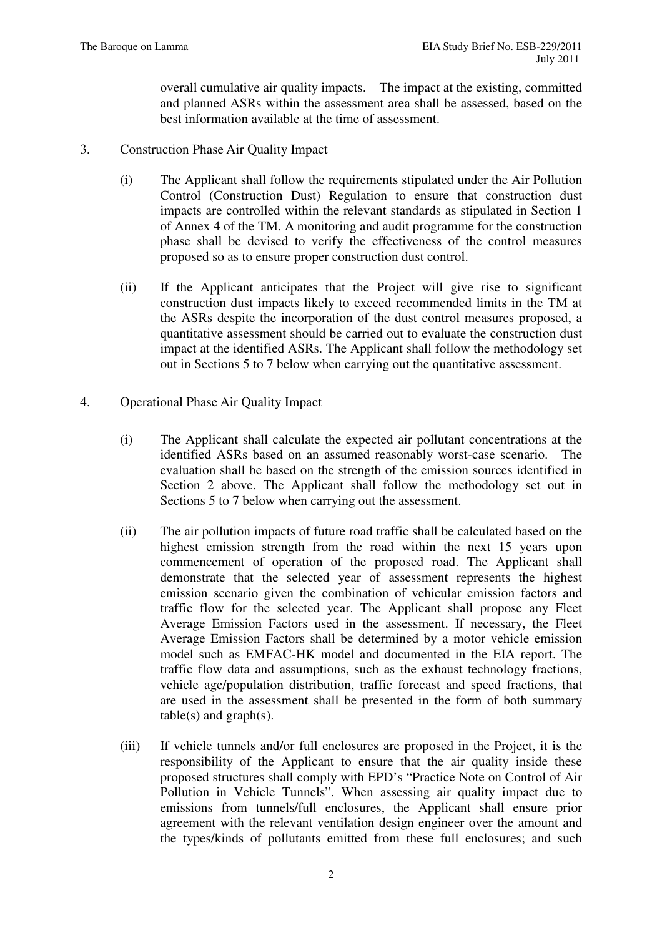overall cumulative air quality impacts. The impact at the existing, committed and planned ASRs within the assessment area shall be assessed, based on the best information available at the time of assessment.

- 3. Construction Phase Air Quality Impact
	- (i) The Applicant shall follow the requirements stipulated under the Air Pollution Control (Construction Dust) Regulation to ensure that construction dust impacts are controlled within the relevant standards as stipulated in Section 1 of Annex 4 of the TM. A monitoring and audit programme for the construction phase shall be devised to verify the effectiveness of the control measures proposed so as to ensure proper construction dust control.
	- (ii) If the Applicant anticipates that the Project will give rise to significant construction dust impacts likely to exceed recommended limits in the TM at the ASRs despite the incorporation of the dust control measures proposed, a quantitative assessment should be carried out to evaluate the construction dust impact at the identified ASRs. The Applicant shall follow the methodology set out in Sections 5 to 7 below when carrying out the quantitative assessment.
- 4. Operational Phase Air Quality Impact
	- (i) The Applicant shall calculate the expected air pollutant concentrations at the identified ASRs based on an assumed reasonably worst-case scenario. The evaluation shall be based on the strength of the emission sources identified in Section 2 above. The Applicant shall follow the methodology set out in Sections 5 to 7 below when carrying out the assessment.
	- (ii) The air pollution impacts of future road traffic shall be calculated based on the highest emission strength from the road within the next 15 years upon commencement of operation of the proposed road. The Applicant shall demonstrate that the selected year of assessment represents the highest emission scenario given the combination of vehicular emission factors and traffic flow for the selected year. The Applicant shall propose any Fleet Average Emission Factors used in the assessment. If necessary, the Fleet Average Emission Factors shall be determined by a motor vehicle emission model such as EMFAC-HK model and documented in the EIA report. The traffic flow data and assumptions, such as the exhaust technology fractions, vehicle age/population distribution, traffic forecast and speed fractions, that are used in the assessment shall be presented in the form of both summary  $table(s)$  and  $graph(s)$ .
	- (iii) If vehicle tunnels and/or full enclosures are proposed in the Project, it is the responsibility of the Applicant to ensure that the air quality inside these proposed structures shall comply with EPD's "Practice Note on Control of Air Pollution in Vehicle Tunnels". When assessing air quality impact due to emissions from tunnels/full enclosures, the Applicant shall ensure prior agreement with the relevant ventilation design engineer over the amount and the types/kinds of pollutants emitted from these full enclosures; and such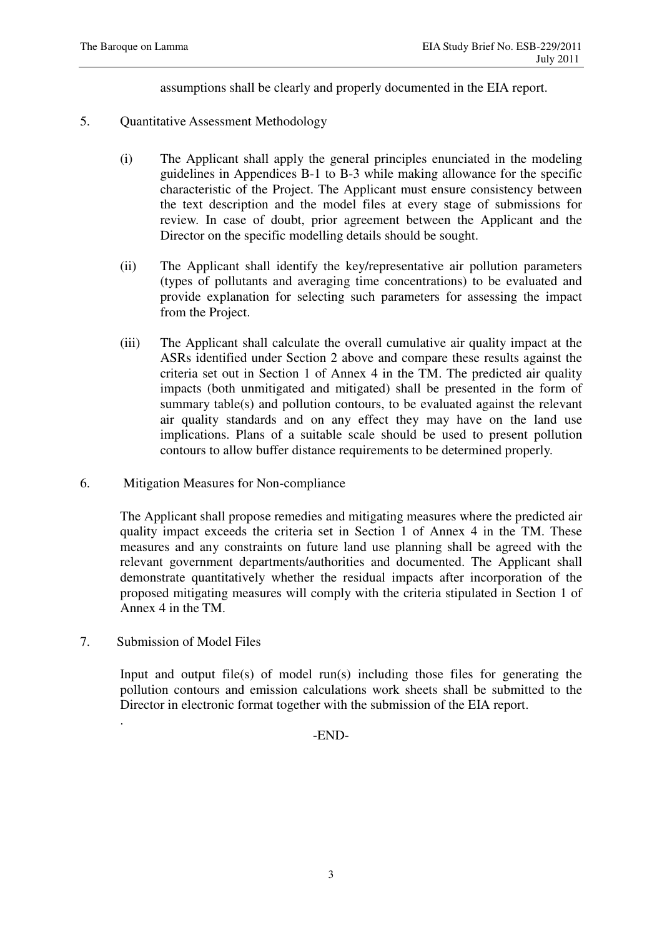assumptions shall be clearly and properly documented in the EIA report.

- 5. Quantitative Assessment Methodology
	- (i) The Applicant shall apply the general principles enunciated in the modeling guidelines in Appendices B-1 to B-3 while making allowance for the specific characteristic of the Project. The Applicant must ensure consistency between the text description and the model files at every stage of submissions for review. In case of doubt, prior agreement between the Applicant and the Director on the specific modelling details should be sought.
	- (ii) The Applicant shall identify the key/representative air pollution parameters (types of pollutants and averaging time concentrations) to be evaluated and provide explanation for selecting such parameters for assessing the impact from the Project.
	- (iii) The Applicant shall calculate the overall cumulative air quality impact at the ASRs identified under Section 2 above and compare these results against the criteria set out in Section 1 of Annex 4 in the TM. The predicted air quality impacts (both unmitigated and mitigated) shall be presented in the form of summary table(s) and pollution contours, to be evaluated against the relevant air quality standards and on any effect they may have on the land use implications. Plans of a suitable scale should be used to present pollution contours to allow buffer distance requirements to be determined properly.
- 6. Mitigation Measures for Non-compliance

The Applicant shall propose remedies and mitigating measures where the predicted air quality impact exceeds the criteria set in Section 1 of Annex 4 in the TM. These measures and any constraints on future land use planning shall be agreed with the relevant government departments/authorities and documented. The Applicant shall demonstrate quantitatively whether the residual impacts after incorporation of the proposed mitigating measures will comply with the criteria stipulated in Section 1 of Annex 4 in the TM.

7. Submission of Model Files

.

Input and output file(s) of model run(s) including those files for generating the pollution contours and emission calculations work sheets shall be submitted to the Director in electronic format together with the submission of the EIA report.

-END-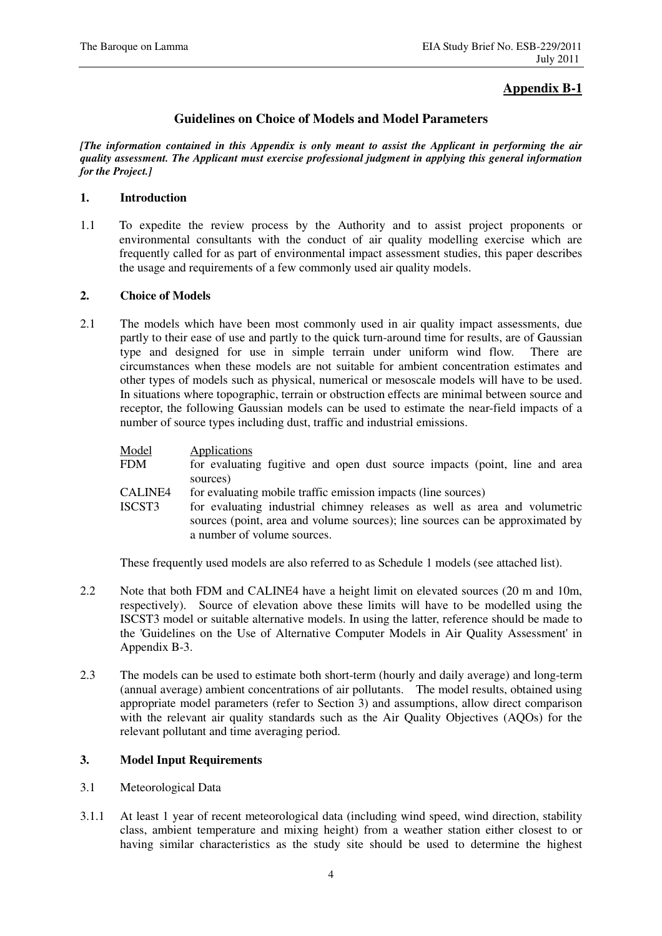# **Appendix B-1**

### **Guidelines on Choice of Models and Model Parameters**

*[The information contained in this Appendix is only meant to assist the Applicant in performing the air quality assessment. The Applicant must exercise professional judgment in applying this general information for the Project.]* 

### **1. Introduction**

1.1 To expedite the review process by the Authority and to assist project proponents or environmental consultants with the conduct of air quality modelling exercise which are frequently called for as part of environmental impact assessment studies, this paper describes the usage and requirements of a few commonly used air quality models.

#### **2. Choice of Models**

2.1 The models which have been most commonly used in air quality impact assessments, due partly to their ease of use and partly to the quick turn-around time for results, are of Gaussian type and designed for use in simple terrain under uniform wind flow. There are circumstances when these models are not suitable for ambient concentration estimates and other types of models such as physical, numerical or mesoscale models will have to be used. In situations where topographic, terrain or obstruction effects are minimal between source and receptor, the following Gaussian models can be used to estimate the near-field impacts of a number of source types including dust, traffic and industrial emissions.

| Model                    | Applications                                                                                                                                                                                                                                               |
|--------------------------|------------------------------------------------------------------------------------------------------------------------------------------------------------------------------------------------------------------------------------------------------------|
| FDM                      | for evaluating fugitive and open dust source impacts (point, line and area<br>sources)                                                                                                                                                                     |
| <b>CALINE4</b><br>ISCST3 | for evaluating mobile traffic emission impacts (line sources)<br>for evaluating industrial chimney releases as well as area and volumetric<br>sources (point, area and volume sources); line sources can be approximated by<br>a number of volume sources. |

These frequently used models are also referred to as Schedule 1 models (see attached list).

- 2.2 Note that both FDM and CALINE4 have a height limit on elevated sources (20 m and 10m, respectively). Source of elevation above these limits will have to be modelled using the ISCST3 model or suitable alternative models. In using the latter, reference should be made to the 'Guidelines on the Use of Alternative Computer Models in Air Quality Assessment' in Appendix B-3.
- 2.3 The models can be used to estimate both short-term (hourly and daily average) and long-term (annual average) ambient concentrations of air pollutants. The model results, obtained using appropriate model parameters (refer to Section 3) and assumptions, allow direct comparison with the relevant air quality standards such as the Air Quality Objectives (AQOs) for the relevant pollutant and time averaging period.

### **3. Model Input Requirements**

- 3.1 Meteorological Data
- 3.1.1 At least 1 year of recent meteorological data (including wind speed, wind direction, stability class, ambient temperature and mixing height) from a weather station either closest to or having similar characteristics as the study site should be used to determine the highest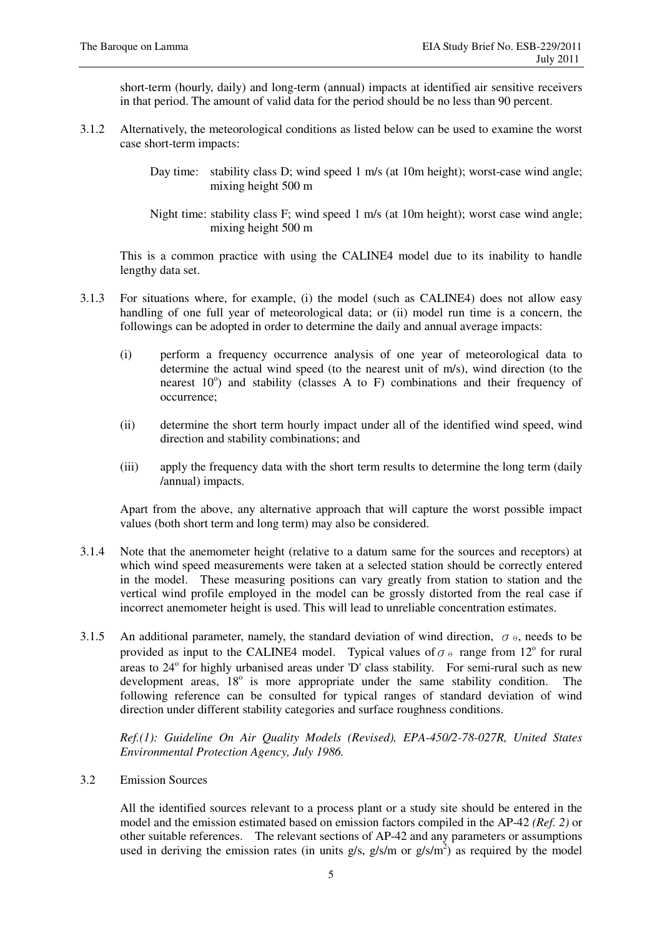short-term (hourly, daily) and long-term (annual) impacts at identified air sensitive receivers in that period. The amount of valid data for the period should be no less than 90 percent.

- 3.1.2 Alternatively, the meteorological conditions as listed below can be used to examine the worst case short-term impacts:
	- Day time: stability class D; wind speed 1 m/s (at 10m height); worst-case wind angle; mixing height 500 m
	- Night time: stability class F; wind speed 1 m/s (at 10m height); worst case wind angle; mixing height 500 m

This is a common practice with using the CALINE4 model due to its inability to handle lengthy data set.

- 3.1.3 For situations where, for example, (i) the model (such as CALINE4) does not allow easy handling of one full year of meteorological data; or (ii) model run time is a concern, the followings can be adopted in order to determine the daily and annual average impacts:
	- (i) perform a frequency occurrence analysis of one year of meteorological data to determine the actual wind speed (to the nearest unit of m/s), wind direction (to the nearest  $10^{\circ}$ ) and stability (classes A to F) combinations and their frequency of occurrence;
	- (ii) determine the short term hourly impact under all of the identified wind speed, wind direction and stability combinations; and
	- (iii) apply the frequency data with the short term results to determine the long term (daily /annual) impacts.

Apart from the above, any alternative approach that will capture the worst possible impact values (both short term and long term) may also be considered.

- 3.1.4 Note that the anemometer height (relative to a datum same for the sources and receptors) at which wind speed measurements were taken at a selected station should be correctly entered in the model. These measuring positions can vary greatly from station to station and the vertical wind profile employed in the model can be grossly distorted from the real case if incorrect anemometer height is used. This will lead to unreliable concentration estimates.
- 3.1.5 An additional parameter, namely, the standard deviation of wind direction,  $\sigma_{\theta}$ , needs to be provided as input to the CALINE4 model. Typical values of  $\sigma_{\theta}$  range from 12<sup>o</sup> for rural areas to 24° for highly urbanised areas under 'D' class stability. For semi-rural such as new development areas,  $18^{\circ}$  is more appropriate under the same stability condition. The following reference can be consulted for typical ranges of standard deviation of wind direction under different stability categories and surface roughness conditions.

*Ref.(1): Guideline On Air Quality Models (Revised), EPA-450/2-78-027R, United States Environmental Protection Agency, July 1986.* 

3.2 Emission Sources

All the identified sources relevant to a process plant or a study site should be entered in the model and the emission estimated based on emission factors compiled in the AP-42 *(Ref. 2)* or other suitable references. The relevant sections of AP-42 and any parameters or assumptions used in deriving the emission rates (in units  $g/s$ ,  $g/s/m$  or  $g/s/m<sup>2</sup>$ ) as required by the model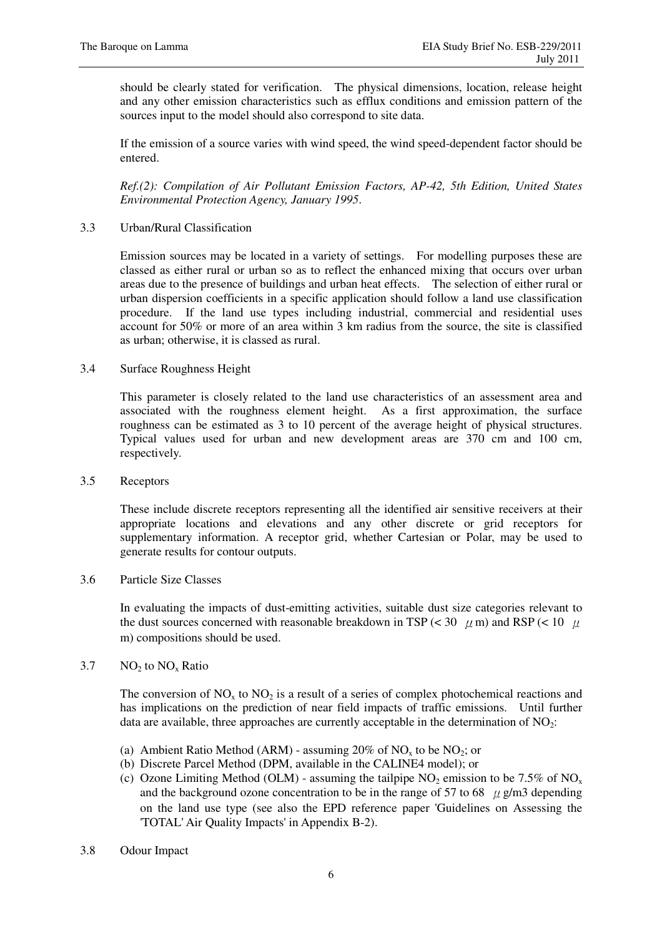should be clearly stated for verification. The physical dimensions, location, release height and any other emission characteristics such as efflux conditions and emission pattern of the sources input to the model should also correspond to site data.

If the emission of a source varies with wind speed, the wind speed-dependent factor should be entered.

*Ref.(2): Compilation of Air Pollutant Emission Factors, AP-42, 5th Edition, United States Environmental Protection Agency, January 1995*.

#### 3.3 Urban/Rural Classification

Emission sources may be located in a variety of settings. For modelling purposes these are classed as either rural or urban so as to reflect the enhanced mixing that occurs over urban areas due to the presence of buildings and urban heat effects. The selection of either rural or urban dispersion coefficients in a specific application should follow a land use classification procedure. If the land use types including industrial, commercial and residential uses account for 50% or more of an area within 3 km radius from the source, the site is classified as urban; otherwise, it is classed as rural.

#### 3.4 Surface Roughness Height

This parameter is closely related to the land use characteristics of an assessment area and associated with the roughness element height. As a first approximation, the surface roughness can be estimated as 3 to 10 percent of the average height of physical structures. Typical values used for urban and new development areas are 370 cm and 100 cm, respectively.

3.5 Receptors

These include discrete receptors representing all the identified air sensitive receivers at their appropriate locations and elevations and any other discrete or grid receptors for supplementary information. A receptor grid, whether Cartesian or Polar, may be used to generate results for contour outputs.

#### 3.6 Particle Size Classes

In evaluating the impacts of dust-emitting activities, suitable dust size categories relevant to the dust sources concerned with reasonable breakdown in TSP ( $\lt$  30  $\mu$  m) and RSP ( $\lt$  10  $\mu$ m) compositions should be used.

### 3.7  $NO<sub>2</sub>$  to  $NO<sub>x</sub>$  Ratio

The conversion of  $NO<sub>x</sub>$  to  $NO<sub>2</sub>$  is a result of a series of complex photochemical reactions and has implications on the prediction of near field impacts of traffic emissions. Until further data are available, three approaches are currently acceptable in the determination of  $NO<sub>2</sub>$ :

- (a) Ambient Ratio Method (ARM) assuming  $20\%$  of NO<sub>x</sub> to be NO<sub>2</sub>; or
- (b) Discrete Parcel Method (DPM, available in the CALINE4 model); or
- (c) Ozone Limiting Method (OLM) assuming the tailpipe  $NO_2$  emission to be 7.5% of  $NO_x$ and the background ozone concentration to be in the range of 57 to 68  $\mu$  g/m3 depending on the land use type (see also the EPD reference paper 'Guidelines on Assessing the 'TOTAL' Air Quality Impacts' in Appendix B-2).
- 3.8 Odour Impact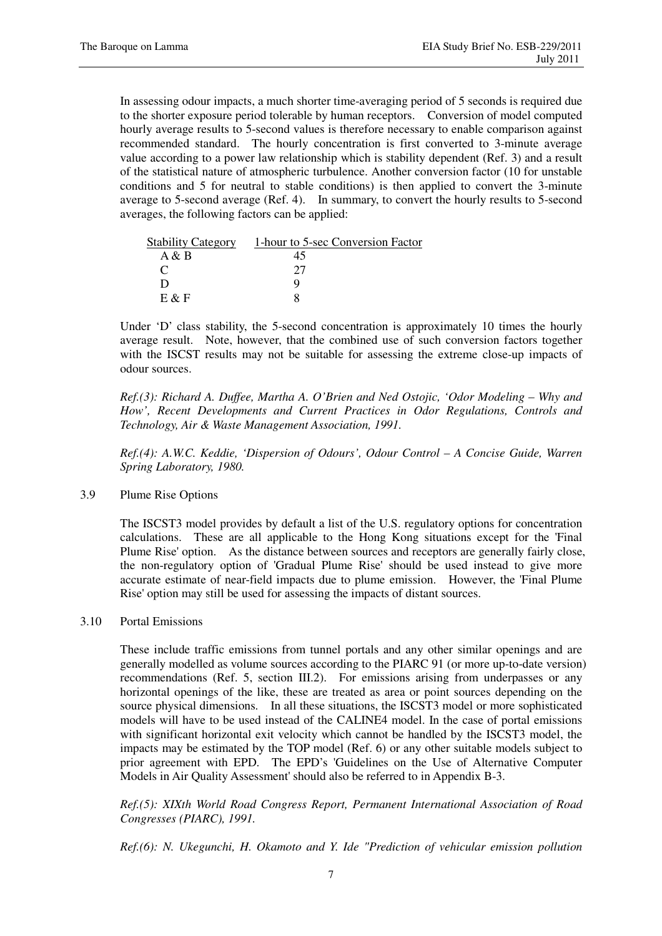In assessing odour impacts, a much shorter time-averaging period of 5 seconds is required due to the shorter exposure period tolerable by human receptors. Conversion of model computed hourly average results to 5-second values is therefore necessary to enable comparison against recommended standard. The hourly concentration is first converted to 3-minute average value according to a power law relationship which is stability dependent (Ref. 3) and a result of the statistical nature of atmospheric turbulence. Another conversion factor (10 for unstable conditions and 5 for neutral to stable conditions) is then applied to convert the 3-minute average to 5-second average (Ref. 4). In summary, to convert the hourly results to 5-second averages, the following factors can be applied:

| <b>Stability Category</b> | 1-hour to 5-sec Conversion Factor |
|---------------------------|-----------------------------------|
| A & B                     | 45                                |
|                           |                                   |
| ו ו                       |                                   |
| $E \& F$                  |                                   |

Under 'D' class stability, the 5-second concentration is approximately 10 times the hourly average result. Note, however, that the combined use of such conversion factors together with the ISCST results may not be suitable for assessing the extreme close-up impacts of odour sources.

*Ref.(3): Richard A. Duffee, Martha A. O'Brien and Ned Ostojic, 'Odor Modeling – Why and How', Recent Developments and Current Practices in Odor Regulations, Controls and Technology, Air & Waste Management Association, 1991.* 

*Ref.(4): A.W.C. Keddie, 'Dispersion of Odours', Odour Control – A Concise Guide, Warren Spring Laboratory, 1980.* 

#### 3.9 Plume Rise Options

The ISCST3 model provides by default a list of the U.S. regulatory options for concentration calculations. These are all applicable to the Hong Kong situations except for the 'Final Plume Rise' option. As the distance between sources and receptors are generally fairly close, the non-regulatory option of 'Gradual Plume Rise' should be used instead to give more accurate estimate of near-field impacts due to plume emission. However, the 'Final Plume Rise' option may still be used for assessing the impacts of distant sources.

#### 3.10 Portal Emissions

These include traffic emissions from tunnel portals and any other similar openings and are generally modelled as volume sources according to the PIARC 91 (or more up-to-date version) recommendations (Ref. 5, section III.2). For emissions arising from underpasses or any horizontal openings of the like, these are treated as area or point sources depending on the source physical dimensions. In all these situations, the ISCST3 model or more sophisticated models will have to be used instead of the CALINE4 model. In the case of portal emissions with significant horizontal exit velocity which cannot be handled by the ISCST3 model, the impacts may be estimated by the TOP model (Ref. 6) or any other suitable models subject to prior agreement with EPD. The EPD's 'Guidelines on the Use of Alternative Computer Models in Air Quality Assessment' should also be referred to in Appendix B-3.

*Ref.(5): XIXth World Road Congress Report, Permanent International Association of Road Congresses (PIARC), 1991.* 

*Ref.(6): N. Ukegunchi, H. Okamoto and Y. Ide "Prediction of vehicular emission pollution*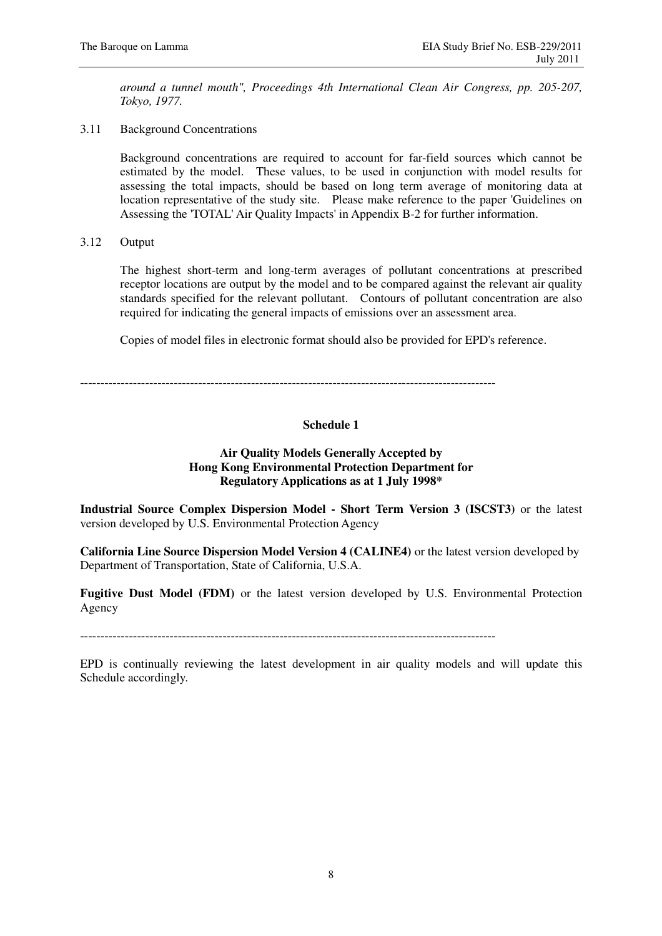*around a tunnel mouth", Proceedings 4th International Clean Air Congress, pp. 205-207, Tokyo, 1977.* 

3.11 Background Concentrations

Background concentrations are required to account for far-field sources which cannot be estimated by the model. These values, to be used in conjunction with model results for assessing the total impacts, should be based on long term average of monitoring data at location representative of the study site. Please make reference to the paper 'Guidelines on Assessing the 'TOTAL' Air Quality Impacts' in Appendix B-2 for further information.

3.12 Output

The highest short-term and long-term averages of pollutant concentrations at prescribed receptor locations are output by the model and to be compared against the relevant air quality standards specified for the relevant pollutant. Contours of pollutant concentration are also required for indicating the general impacts of emissions over an assessment area.

Copies of model files in electronic format should also be provided for EPD's reference.

------------------------------------------------------------------------------------------------------

### **Schedule 1**

#### **Air Quality Models Generally Accepted by Hong Kong Environmental Protection Department for Regulatory Applications as at 1 July 1998\***

**Industrial Source Complex Dispersion Model - Short Term Version 3 (ISCST3)** or the latest version developed by U.S. Environmental Protection Agency

**California Line Source Dispersion Model Version 4 (CALINE4)** or the latest version developed by Department of Transportation, State of California, U.S.A.

**Fugitive Dust Model (FDM)** or the latest version developed by U.S. Environmental Protection Agency

------------------------------------------------------------------------------------------------------

EPD is continually reviewing the latest development in air quality models and will update this Schedule accordingly.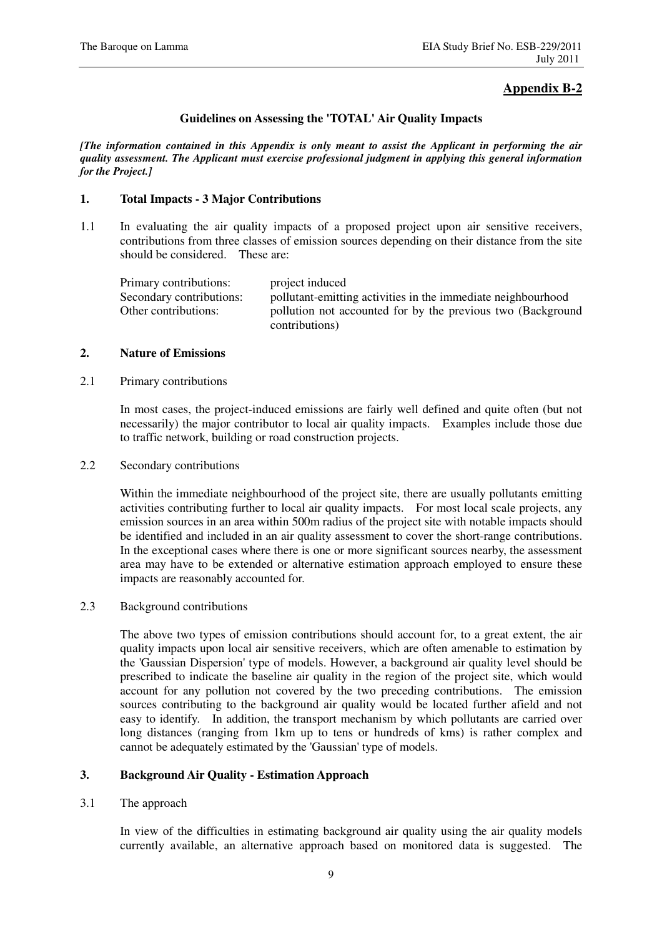# **Appendix B-2**

#### **Guidelines on Assessing the 'TOTAL' Air Quality Impacts**

*[The information contained in this Appendix is only meant to assist the Applicant in performing the air quality assessment. The Applicant must exercise professional judgment in applying this general information for the Project.]* 

#### **1. Total Impacts - 3 Major Contributions**

1.1 In evaluating the air quality impacts of a proposed project upon air sensitive receivers, contributions from three classes of emission sources depending on their distance from the site should be considered. These are:

| Primary contributions:   | project induced                                                               |
|--------------------------|-------------------------------------------------------------------------------|
| Secondary contributions: | pollutant-emitting activities in the immediate neighbourhood                  |
| Other contributions:     | pollution not accounted for by the previous two (Background<br>contributions) |

#### **2. Nature of Emissions**

2.1 Primary contributions

In most cases, the project-induced emissions are fairly well defined and quite often (but not necessarily) the major contributor to local air quality impacts. Examples include those due to traffic network, building or road construction projects.

2.2 Secondary contributions

Within the immediate neighbourhood of the project site, there are usually pollutants emitting activities contributing further to local air quality impacts. For most local scale projects, any emission sources in an area within 500m radius of the project site with notable impacts should be identified and included in an air quality assessment to cover the short-range contributions. In the exceptional cases where there is one or more significant sources nearby, the assessment area may have to be extended or alternative estimation approach employed to ensure these impacts are reasonably accounted for.

2.3 Background contributions

The above two types of emission contributions should account for, to a great extent, the air quality impacts upon local air sensitive receivers, which are often amenable to estimation by the 'Gaussian Dispersion' type of models. However, a background air quality level should be prescribed to indicate the baseline air quality in the region of the project site, which would account for any pollution not covered by the two preceding contributions. The emission sources contributing to the background air quality would be located further afield and not easy to identify. In addition, the transport mechanism by which pollutants are carried over long distances (ranging from 1km up to tens or hundreds of kms) is rather complex and cannot be adequately estimated by the 'Gaussian' type of models.

### **3. Background Air Quality - Estimation Approach**

3.1 The approach

In view of the difficulties in estimating background air quality using the air quality models currently available, an alternative approach based on monitored data is suggested. The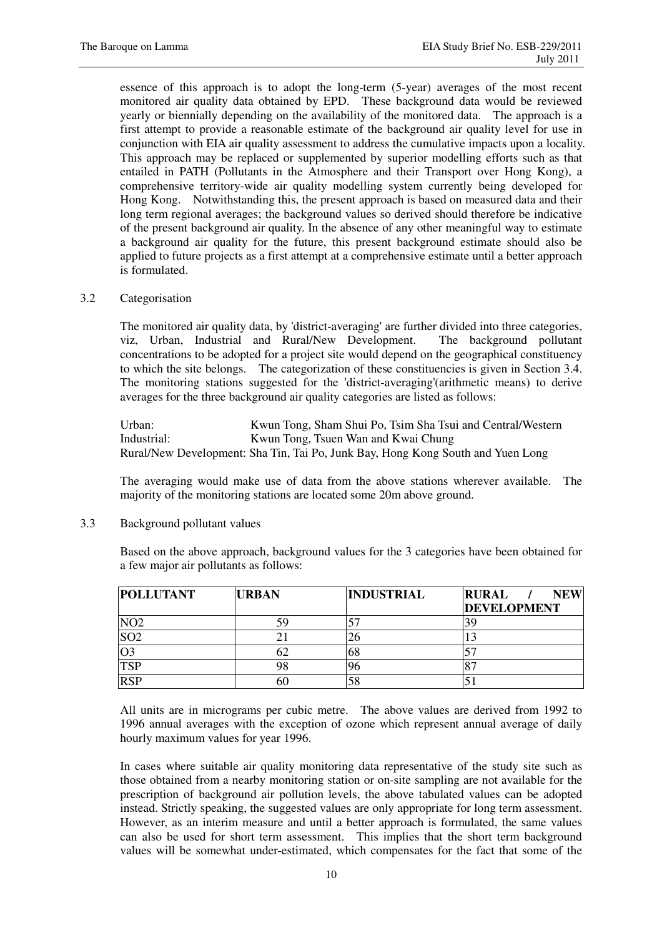essence of this approach is to adopt the long-term (5-year) averages of the most recent monitored air quality data obtained by EPD. These background data would be reviewed yearly or biennially depending on the availability of the monitored data. The approach is a first attempt to provide a reasonable estimate of the background air quality level for use in conjunction with EIA air quality assessment to address the cumulative impacts upon a locality. This approach may be replaced or supplemented by superior modelling efforts such as that entailed in PATH (Pollutants in the Atmosphere and their Transport over Hong Kong), a comprehensive territory-wide air quality modelling system currently being developed for Hong Kong. Notwithstanding this, the present approach is based on measured data and their long term regional averages; the background values so derived should therefore be indicative of the present background air quality. In the absence of any other meaningful way to estimate a background air quality for the future, this present background estimate should also be applied to future projects as a first attempt at a comprehensive estimate until a better approach is formulated.

#### 3.2 Categorisation

The monitored air quality data, by 'district-averaging' are further divided into three categories, viz, Urban, Industrial and Rural/New Development. The background pollutant concentrations to be adopted for a project site would depend on the geographical constituency to which the site belongs. The categorization of these constituencies is given in Section 3.4. The monitoring stations suggested for the 'district-averaging'(arithmetic means) to derive averages for the three background air quality categories are listed as follows:

Urban: Kwun Tong, Sham Shui Po, Tsim Sha Tsui and Central/Western<br>Industrial: Kwun Tong, Tsuen Wan and Kwai Chung Kwun Tong, Tsuen Wan and Kwai Chung Rural/New Development: Sha Tin, Tai Po, Junk Bay, Hong Kong South and Yuen Long

The averaging would make use of data from the above stations wherever available. The majority of the monitoring stations are located some 20m above ground.

3.3 Background pollutant values

Based on the above approach, background values for the 3 categories have been obtained for a few major air pollutants as follows:

| <b>POLLUTANT</b> | <b>URBAN</b> | <b>INDUSTRIAL</b> | <b>RURAL</b><br><b>NEW</b> |
|------------------|--------------|-------------------|----------------------------|
|                  |              |                   | <b>DEVELOPMENT</b>         |
| NO <sub>2</sub>  | 59           |                   |                            |
| SO <sub>2</sub>  |              | ۷ņ                |                            |
| O3               | ٥Ż           | 68                |                            |
| <b>TSP</b>       | 98           | 96                |                            |
| <b>RSP</b>       | 60           | 58                | الد.                       |

All units are in micrograms per cubic metre. The above values are derived from 1992 to 1996 annual averages with the exception of ozone which represent annual average of daily hourly maximum values for year 1996.

In cases where suitable air quality monitoring data representative of the study site such as those obtained from a nearby monitoring station or on-site sampling are not available for the prescription of background air pollution levels, the above tabulated values can be adopted instead. Strictly speaking, the suggested values are only appropriate for long term assessment. However, as an interim measure and until a better approach is formulated, the same values can also be used for short term assessment. This implies that the short term background values will be somewhat under-estimated, which compensates for the fact that some of the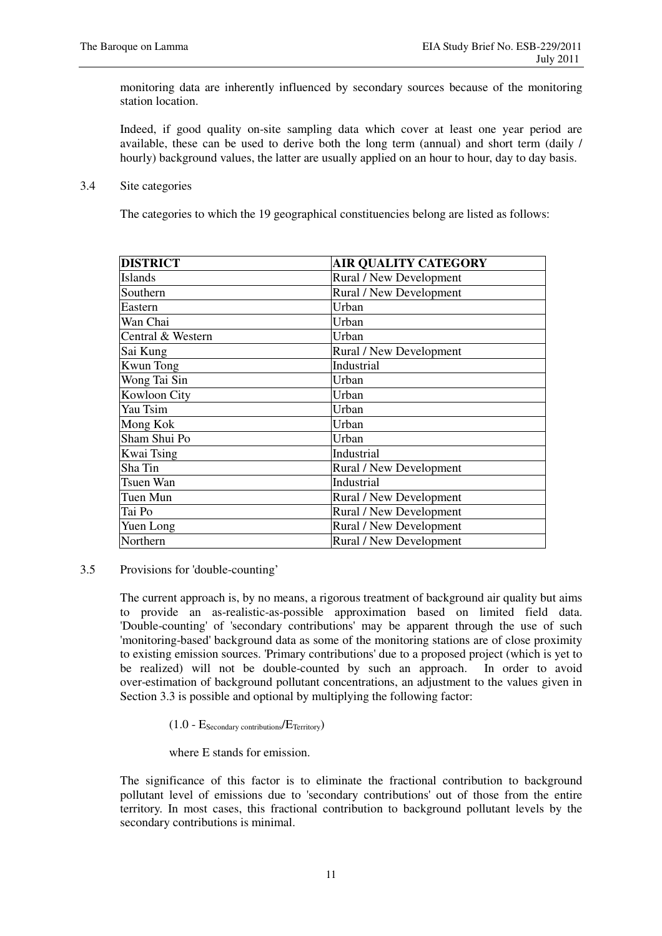monitoring data are inherently influenced by secondary sources because of the monitoring station location.

Indeed, if good quality on-site sampling data which cover at least one year period are available, these can be used to derive both the long term (annual) and short term (daily / hourly) background values, the latter are usually applied on an hour to hour, day to day basis.

3.4 Site categories

The categories to which the 19 geographical constituencies belong are listed as follows:

| <b>DISTRICT</b>   | <b>AIR QUALITY CATEGORY</b> |
|-------------------|-----------------------------|
| <b>Islands</b>    | Rural / New Development     |
| Southern          | Rural / New Development     |
| Eastern           | Urban                       |
| Wan Chai          | Urban                       |
| Central & Western | Urban                       |
| Sai Kung          | Rural / New Development     |
| <b>Kwun Tong</b>  | Industrial                  |
| Wong Tai Sin      | Urban                       |
| Kowloon City      | Urban                       |
| Yau Tsim          | Urban                       |
| Mong Kok          | Urban                       |
| Sham Shui Po      | Urban                       |
| Kwai Tsing        | Industrial                  |
| Sha Tin           | Rural / New Development     |
| Tsuen Wan         | Industrial                  |
| Tuen Mun          | Rural / New Development     |
| Tai Po            | Rural / New Development     |
| Yuen Long         | Rural / New Development     |
| Northern          | Rural / New Development     |

#### 3.5 Provisions for 'double-counting'

The current approach is, by no means, a rigorous treatment of background air quality but aims to provide an as-realistic-as-possible approximation based on limited field data. 'Double-counting' of 'secondary contributions' may be apparent through the use of such 'monitoring-based' background data as some of the monitoring stations are of close proximity to existing emission sources. 'Primary contributions' due to a proposed project (which is yet to be realized) will not be double-counted by such an approach. In order to avoid over-estimation of background pollutant concentrations, an adjustment to the values given in Section 3.3 is possible and optional by multiplying the following factor:

 $(1.0 - E_{\text{Secondary contributions}}/E_{\text{Territory}})$ 

where E stands for emission.

The significance of this factor is to eliminate the fractional contribution to background pollutant level of emissions due to 'secondary contributions' out of those from the entire territory. In most cases, this fractional contribution to background pollutant levels by the secondary contributions is minimal.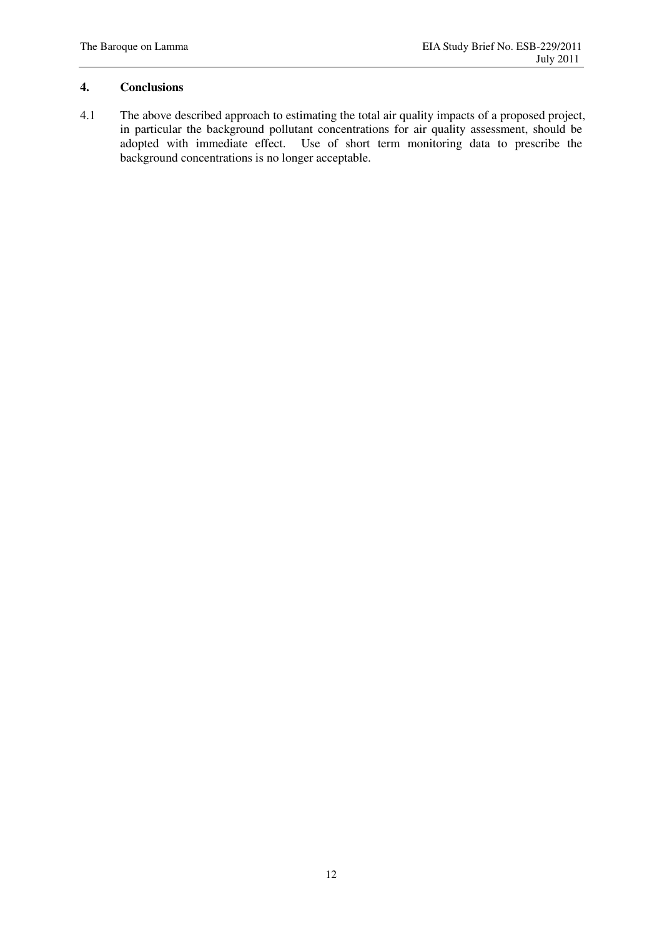### **4. Conclusions**

4.1 The above described approach to estimating the total air quality impacts of a proposed project, in particular the background pollutant concentrations for air quality assessment, should be adopted with immediate effect. Use of short term monitoring data to prescribe the background concentrations is no longer acceptable.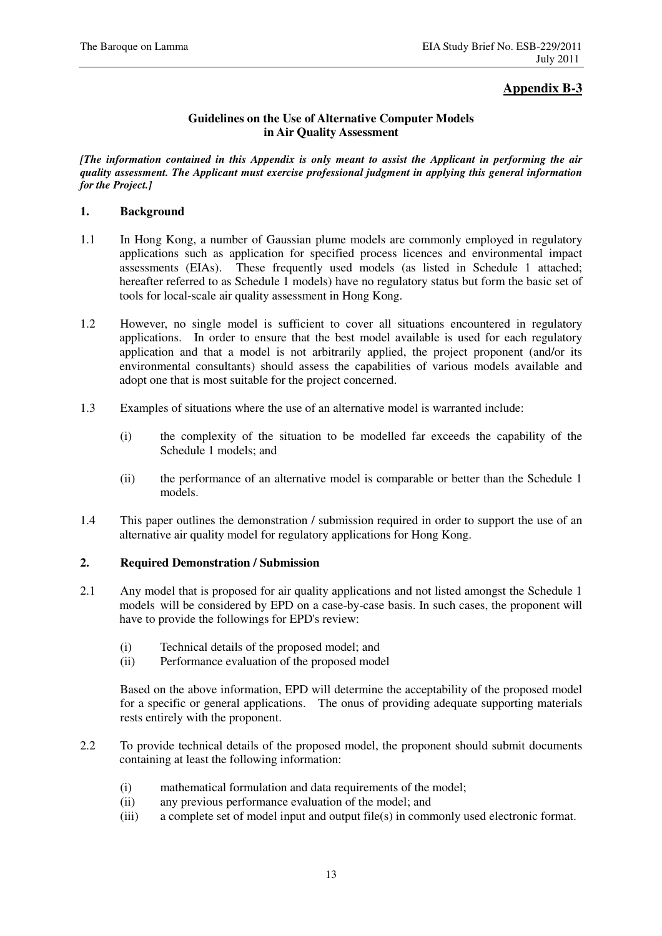# **Appendix B-3**

### **Guidelines on the Use of Alternative Computer Models in Air Quality Assessment**

*[The information contained in this Appendix is only meant to assist the Applicant in performing the air quality assessment. The Applicant must exercise professional judgment in applying this general information for the Project.]* 

### **1. Background**

- 1.1 In Hong Kong, a number of Gaussian plume models are commonly employed in regulatory applications such as application for specified process licences and environmental impact assessments (EIAs). These frequently used models (as listed in Schedule 1 attached; hereafter referred to as Schedule 1 models) have no regulatory status but form the basic set of tools for local-scale air quality assessment in Hong Kong.
- 1.2 However, no single model is sufficient to cover all situations encountered in regulatory applications. In order to ensure that the best model available is used for each regulatory application and that a model is not arbitrarily applied, the project proponent (and/or its environmental consultants) should assess the capabilities of various models available and adopt one that is most suitable for the project concerned.
- 1.3 Examples of situations where the use of an alternative model is warranted include:
	- (i) the complexity of the situation to be modelled far exceeds the capability of the Schedule 1 models; and
	- (ii) the performance of an alternative model is comparable or better than the Schedule 1 models.
- 1.4 This paper outlines the demonstration / submission required in order to support the use of an alternative air quality model for regulatory applications for Hong Kong.

#### **2. Required Demonstration / Submission**

- 2.1 Any model that is proposed for air quality applications and not listed amongst the Schedule 1 models will be considered by EPD on a case-by-case basis. In such cases, the proponent will have to provide the followings for EPD's review:
	- (i) Technical details of the proposed model; and
	- (ii) Performance evaluation of the proposed model

Based on the above information, EPD will determine the acceptability of the proposed model for a specific or general applications. The onus of providing adequate supporting materials rests entirely with the proponent.

- 2.2 To provide technical details of the proposed model, the proponent should submit documents containing at least the following information:
	- (i) mathematical formulation and data requirements of the model;
	- (ii) any previous performance evaluation of the model; and
	- (iii) a complete set of model input and output file(s) in commonly used electronic format.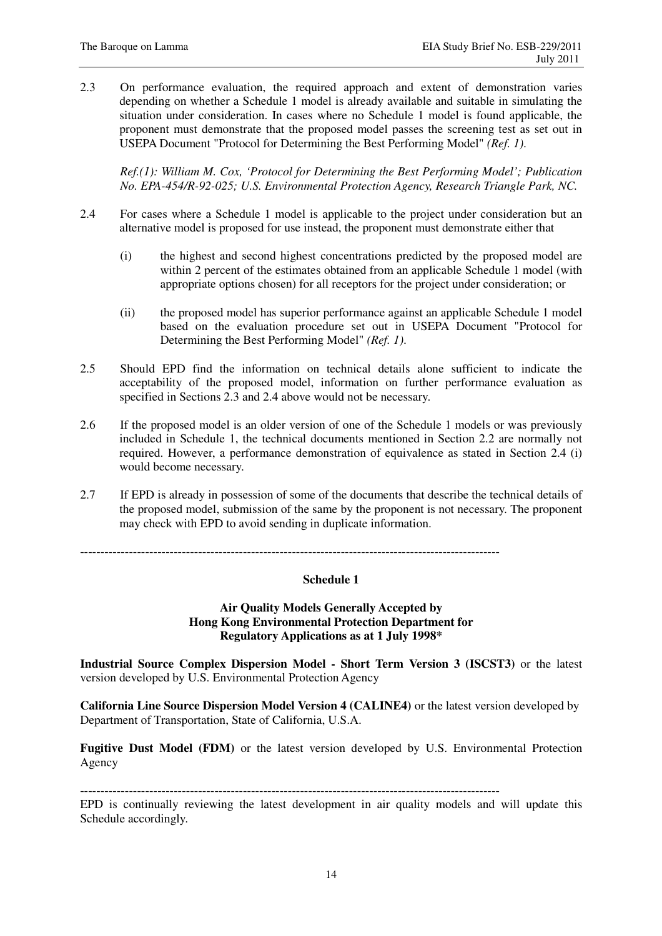2.3 On performance evaluation, the required approach and extent of demonstration varies depending on whether a Schedule 1 model is already available and suitable in simulating the situation under consideration. In cases where no Schedule 1 model is found applicable, the proponent must demonstrate that the proposed model passes the screening test as set out in USEPA Document "Protocol for Determining the Best Performing Model" *(Ref. 1)*.

*Ref.(1): William M. Cox, 'Protocol for Determining the Best Performing Model'; Publication No. EPA-454/R-92-025; U.S. Environmental Protection Agency, Research Triangle Park, NC.* 

- 2.4 For cases where a Schedule 1 model is applicable to the project under consideration but an alternative model is proposed for use instead, the proponent must demonstrate either that
	- (i) the highest and second highest concentrations predicted by the proposed model are within 2 percent of the estimates obtained from an applicable Schedule 1 model (with appropriate options chosen) for all receptors for the project under consideration; or
	- (ii) the proposed model has superior performance against an applicable Schedule 1 model based on the evaluation procedure set out in USEPA Document "Protocol for Determining the Best Performing Model" *(Ref. 1)*.
- 2.5 Should EPD find the information on technical details alone sufficient to indicate the acceptability of the proposed model, information on further performance evaluation as specified in Sections 2.3 and 2.4 above would not be necessary.
- 2.6 If the proposed model is an older version of one of the Schedule 1 models or was previously included in Schedule 1, the technical documents mentioned in Section 2.2 are normally not required. However, a performance demonstration of equivalence as stated in Section 2.4 (i) would become necessary.
- 2.7 If EPD is already in possession of some of the documents that describe the technical details of the proposed model, submission of the same by the proponent is not necessary. The proponent may check with EPD to avoid sending in duplicate information.

 $-$ 

#### **Schedule 1**

**Air Quality Models Generally Accepted by Hong Kong Environmental Protection Department for Regulatory Applications as at 1 July 1998\*** 

**Industrial Source Complex Dispersion Model - Short Term Version 3 (ISCST3)** or the latest version developed by U.S. Environmental Protection Agency

**California Line Source Dispersion Model Version 4 (CALINE4)** or the latest version developed by Department of Transportation, State of California, U.S.A.

**Fugitive Dust Model (FDM)** or the latest version developed by U.S. Environmental Protection Agency

-------------------------------------------------------------------------------------------------------

EPD is continually reviewing the latest development in air quality models and will update this Schedule accordingly.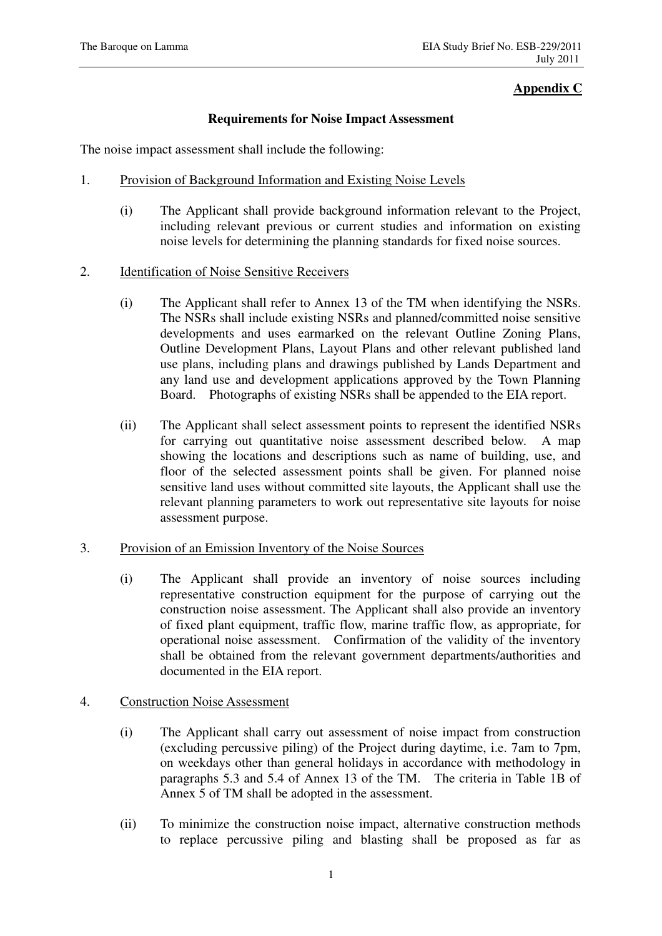## **Appendix C**

### **Requirements for Noise Impact Assessment**

The noise impact assessment shall include the following:

- 1. Provision of Background Information and Existing Noise Levels
	- (i) The Applicant shall provide background information relevant to the Project, including relevant previous or current studies and information on existing noise levels for determining the planning standards for fixed noise sources.
- 2. Identification of Noise Sensitive Receivers
	- (i) The Applicant shall refer to Annex 13 of the TM when identifying the NSRs. The NSRs shall include existing NSRs and planned/committed noise sensitive developments and uses earmarked on the relevant Outline Zoning Plans, Outline Development Plans, Layout Plans and other relevant published land use plans, including plans and drawings published by Lands Department and any land use and development applications approved by the Town Planning Board. Photographs of existing NSRs shall be appended to the EIA report.
	- (ii) The Applicant shall select assessment points to represent the identified NSRs for carrying out quantitative noise assessment described below. A map showing the locations and descriptions such as name of building, use, and floor of the selected assessment points shall be given. For planned noise sensitive land uses without committed site layouts, the Applicant shall use the relevant planning parameters to work out representative site layouts for noise assessment purpose.

## 3. Provision of an Emission Inventory of the Noise Sources

(i) The Applicant shall provide an inventory of noise sources including representative construction equipment for the purpose of carrying out the construction noise assessment. The Applicant shall also provide an inventory of fixed plant equipment, traffic flow, marine traffic flow, as appropriate, for operational noise assessment. Confirmation of the validity of the inventory shall be obtained from the relevant government departments/authorities and documented in the EIA report.

## 4. Construction Noise Assessment

- (i) The Applicant shall carry out assessment of noise impact from construction (excluding percussive piling) of the Project during daytime, i.e. 7am to 7pm, on weekdays other than general holidays in accordance with methodology in paragraphs 5.3 and 5.4 of Annex 13 of the TM. The criteria in Table 1B of Annex 5 of TM shall be adopted in the assessment.
- (ii) To minimize the construction noise impact, alternative construction methods to replace percussive piling and blasting shall be proposed as far as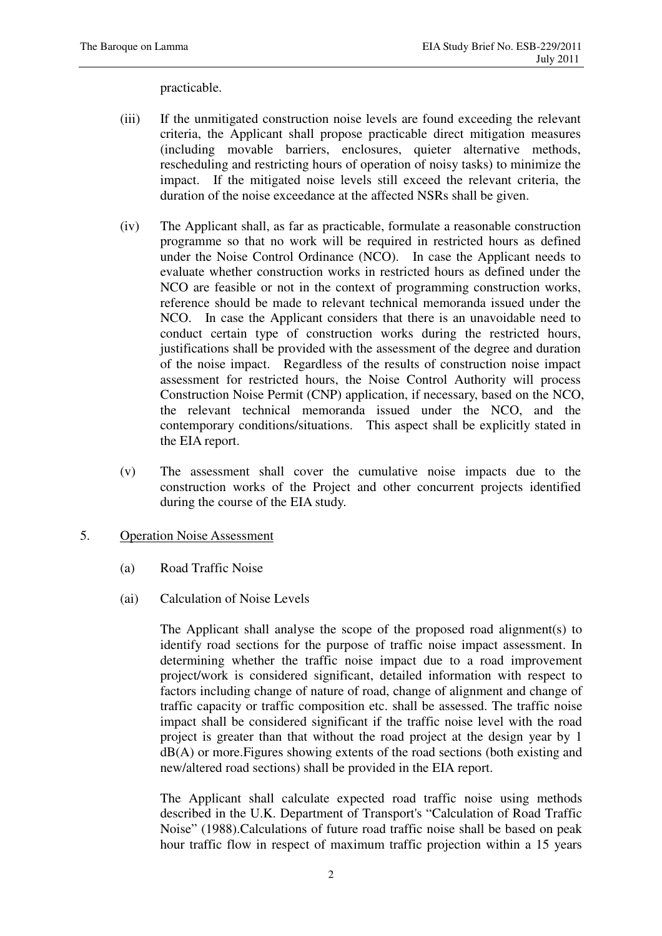practicable.

- (iii) If the unmitigated construction noise levels are found exceeding the relevant criteria, the Applicant shall propose practicable direct mitigation measures (including movable barriers, enclosures, quieter alternative methods, rescheduling and restricting hours of operation of noisy tasks) to minimize the impact. If the mitigated noise levels still exceed the relevant criteria, the duration of the noise exceedance at the affected NSRs shall be given.
- (iv) The Applicant shall, as far as practicable, formulate a reasonable construction programme so that no work will be required in restricted hours as defined under the Noise Control Ordinance (NCO). In case the Applicant needs to evaluate whether construction works in restricted hours as defined under the NCO are feasible or not in the context of programming construction works, reference should be made to relevant technical memoranda issued under the NCO. In case the Applicant considers that there is an unavoidable need to conduct certain type of construction works during the restricted hours, justifications shall be provided with the assessment of the degree and duration of the noise impact. Regardless of the results of construction noise impact assessment for restricted hours, the Noise Control Authority will process Construction Noise Permit (CNP) application, if necessary, based on the NCO, the relevant technical memoranda issued under the NCO, and the contemporary conditions/situations. This aspect shall be explicitly stated in the EIA report.
- (v) The assessment shall cover the cumulative noise impacts due to the construction works of the Project and other concurrent projects identified during the course of the EIA study.
- 5. Operation Noise Assessment
	- (a) Road Traffic Noise
	- (ai) Calculation of Noise Levels

The Applicant shall analyse the scope of the proposed road alignment(s) to identify road sections for the purpose of traffic noise impact assessment. In determining whether the traffic noise impact due to a road improvement project/work is considered significant, detailed information with respect to factors including change of nature of road, change of alignment and change of traffic capacity or traffic composition etc. shall be assessed. The traffic noise impact shall be considered significant if the traffic noise level with the road project is greater than that without the road project at the design year by 1 dB(A) or more.Figures showing extents of the road sections (both existing and new/altered road sections) shall be provided in the EIA report.

The Applicant shall calculate expected road traffic noise using methods described in the U.K. Department of Transport's "Calculation of Road Traffic Noise" (1988).Calculations of future road traffic noise shall be based on peak hour traffic flow in respect of maximum traffic projection within a 15 years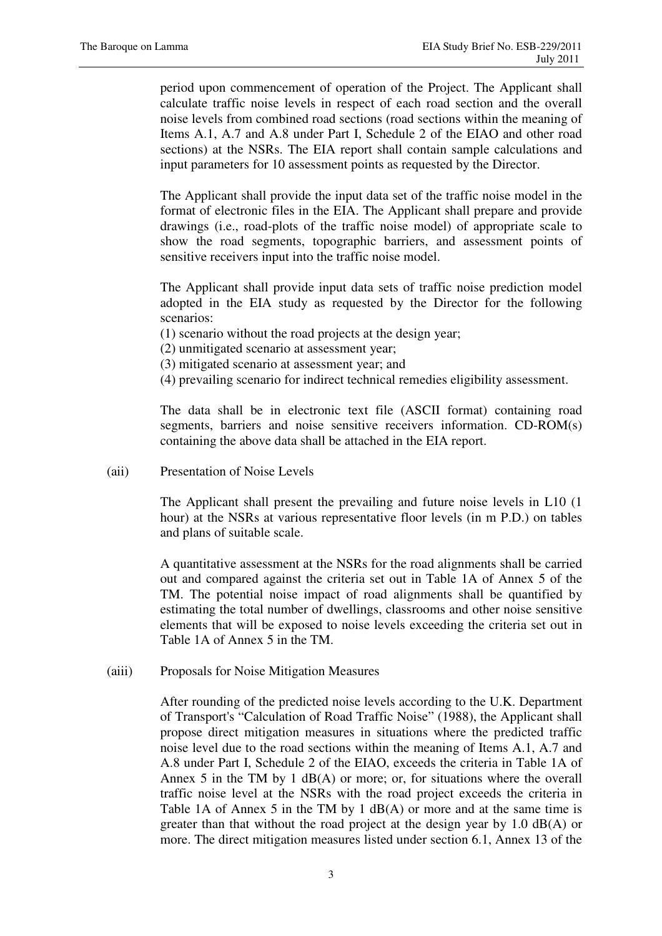period upon commencement of operation of the Project. The Applicant shall calculate traffic noise levels in respect of each road section and the overall noise levels from combined road sections (road sections within the meaning of Items A.1, A.7 and A.8 under Part I, Schedule 2 of the EIAO and other road sections) at the NSRs. The EIA report shall contain sample calculations and input parameters for 10 assessment points as requested by the Director.

The Applicant shall provide the input data set of the traffic noise model in the format of electronic files in the EIA. The Applicant shall prepare and provide drawings (i.e., road-plots of the traffic noise model) of appropriate scale to show the road segments, topographic barriers, and assessment points of sensitive receivers input into the traffic noise model.

The Applicant shall provide input data sets of traffic noise prediction model adopted in the EIA study as requested by the Director for the following scenarios:

(1) scenario without the road projects at the design year;

- (2) unmitigated scenario at assessment year;
- (3) mitigated scenario at assessment year; and
- (4) prevailing scenario for indirect technical remedies eligibility assessment.

The data shall be in electronic text file (ASCII format) containing road segments, barriers and noise sensitive receivers information. CD-ROM(s) containing the above data shall be attached in the EIA report.

(aii) Presentation of Noise Levels

The Applicant shall present the prevailing and future noise levels in L10 (1 hour) at the NSRs at various representative floor levels (in m P.D.) on tables and plans of suitable scale.

A quantitative assessment at the NSRs for the road alignments shall be carried out and compared against the criteria set out in Table 1A of Annex 5 of the TM. The potential noise impact of road alignments shall be quantified by estimating the total number of dwellings, classrooms and other noise sensitive elements that will be exposed to noise levels exceeding the criteria set out in Table 1A of Annex 5 in the TM.

(aiii) Proposals for Noise Mitigation Measures

After rounding of the predicted noise levels according to the U.K. Department of Transport's "Calculation of Road Traffic Noise" (1988), the Applicant shall propose direct mitigation measures in situations where the predicted traffic noise level due to the road sections within the meaning of Items A.1, A.7 and A.8 under Part I, Schedule 2 of the EIAO, exceeds the criteria in Table 1A of Annex 5 in the TM by 1 dB(A) or more; or, for situations where the overall traffic noise level at the NSRs with the road project exceeds the criteria in Table 1A of Annex 5 in the TM by 1 dB(A) or more and at the same time is greater than that without the road project at the design year by 1.0 dB(A) or more. The direct mitigation measures listed under section 6.1, Annex 13 of the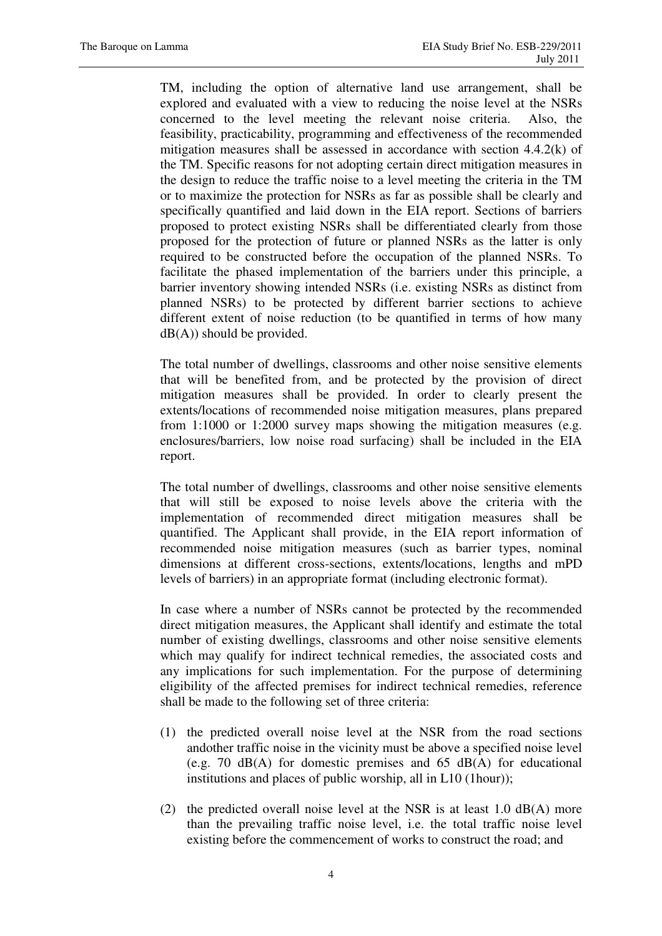TM, including the option of alternative land use arrangement, shall be explored and evaluated with a view to reducing the noise level at the NSRs concerned to the level meeting the relevant noise criteria. Also, the feasibility, practicability, programming and effectiveness of the recommended mitigation measures shall be assessed in accordance with section 4.4.2(k) of the TM. Specific reasons for not adopting certain direct mitigation measures in the design to reduce the traffic noise to a level meeting the criteria in the TM or to maximize the protection for NSRs as far as possible shall be clearly and specifically quantified and laid down in the EIA report. Sections of barriers proposed to protect existing NSRs shall be differentiated clearly from those proposed for the protection of future or planned NSRs as the latter is only required to be constructed before the occupation of the planned NSRs. To facilitate the phased implementation of the barriers under this principle, a barrier inventory showing intended NSRs (i.e. existing NSRs as distinct from planned NSRs) to be protected by different barrier sections to achieve different extent of noise reduction (to be quantified in terms of how many  $dB(A)$ ) should be provided.

The total number of dwellings, classrooms and other noise sensitive elements that will be benefited from, and be protected by the provision of direct mitigation measures shall be provided. In order to clearly present the extents/locations of recommended noise mitigation measures, plans prepared from 1:1000 or 1:2000 survey maps showing the mitigation measures (e.g. enclosures/barriers, low noise road surfacing) shall be included in the EIA report.

The total number of dwellings, classrooms and other noise sensitive elements that will still be exposed to noise levels above the criteria with the implementation of recommended direct mitigation measures shall be quantified. The Applicant shall provide, in the EIA report information of recommended noise mitigation measures (such as barrier types, nominal dimensions at different cross-sections, extents/locations, lengths and mPD levels of barriers) in an appropriate format (including electronic format).

In case where a number of NSRs cannot be protected by the recommended direct mitigation measures, the Applicant shall identify and estimate the total number of existing dwellings, classrooms and other noise sensitive elements which may qualify for indirect technical remedies, the associated costs and any implications for such implementation. For the purpose of determining eligibility of the affected premises for indirect technical remedies, reference shall be made to the following set of three criteria:

- (1) the predicted overall noise level at the NSR from the road sections andother traffic noise in the vicinity must be above a specified noise level (e.g. 70 dB(A) for domestic premises and 65 dB(A) for educational institutions and places of public worship, all in L10 (1hour));
- (2) the predicted overall noise level at the NSR is at least 1.0 dB(A) more than the prevailing traffic noise level, i.e. the total traffic noise level existing before the commencement of works to construct the road; and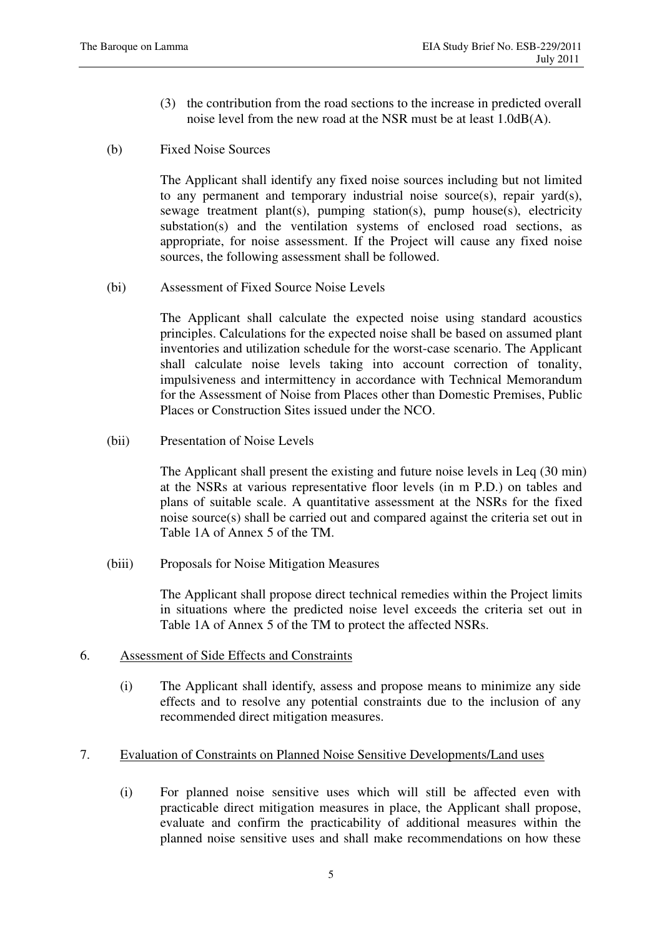- (3) the contribution from the road sections to the increase in predicted overall noise level from the new road at the NSR must be at least 1.0dB(A).
- (b) Fixed Noise Sources

The Applicant shall identify any fixed noise sources including but not limited to any permanent and temporary industrial noise source(s), repair yard(s), sewage treatment plant(s), pumping station(s), pump house(s), electricity substation(s) and the ventilation systems of enclosed road sections, as appropriate, for noise assessment. If the Project will cause any fixed noise sources, the following assessment shall be followed.

(bi) Assessment of Fixed Source Noise Levels

The Applicant shall calculate the expected noise using standard acoustics principles. Calculations for the expected noise shall be based on assumed plant inventories and utilization schedule for the worst-case scenario. The Applicant shall calculate noise levels taking into account correction of tonality, impulsiveness and intermittency in accordance with Technical Memorandum for the Assessment of Noise from Places other than Domestic Premises, Public Places or Construction Sites issued under the NCO.

(bii) Presentation of Noise Levels

The Applicant shall present the existing and future noise levels in Leq (30 min) at the NSRs at various representative floor levels (in m P.D.) on tables and plans of suitable scale. A quantitative assessment at the NSRs for the fixed noise source(s) shall be carried out and compared against the criteria set out in Table 1A of Annex 5 of the TM.

(biii) Proposals for Noise Mitigation Measures

The Applicant shall propose direct technical remedies within the Project limits in situations where the predicted noise level exceeds the criteria set out in Table 1A of Annex 5 of the TM to protect the affected NSRs.

#### 6. Assessment of Side Effects and Constraints

(i) The Applicant shall identify, assess and propose means to minimize any side effects and to resolve any potential constraints due to the inclusion of any recommended direct mitigation measures.

## 7. Evaluation of Constraints on Planned Noise Sensitive Developments/Land uses

(i) For planned noise sensitive uses which will still be affected even with practicable direct mitigation measures in place, the Applicant shall propose, evaluate and confirm the practicability of additional measures within the planned noise sensitive uses and shall make recommendations on how these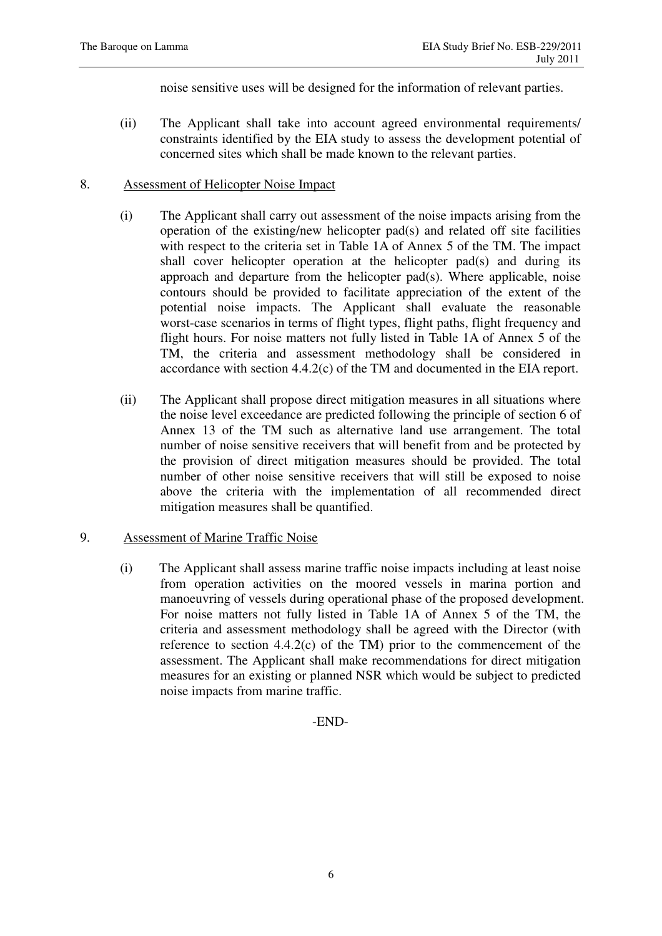noise sensitive uses will be designed for the information of relevant parties.

(ii) The Applicant shall take into account agreed environmental requirements/ constraints identified by the EIA study to assess the development potential of concerned sites which shall be made known to the relevant parties.

## 8. Assessment of Helicopter Noise Impact

- (i) The Applicant shall carry out assessment of the noise impacts arising from the operation of the existing/new helicopter pad(s) and related off site facilities with respect to the criteria set in Table 1A of Annex 5 of the TM. The impact shall cover helicopter operation at the helicopter pad(s) and during its approach and departure from the helicopter pad(s). Where applicable, noise contours should be provided to facilitate appreciation of the extent of the potential noise impacts. The Applicant shall evaluate the reasonable worst-case scenarios in terms of flight types, flight paths, flight frequency and flight hours. For noise matters not fully listed in Table 1A of Annex 5 of the TM, the criteria and assessment methodology shall be considered in accordance with section 4.4.2(c) of the TM and documented in the EIA report.
- (ii) The Applicant shall propose direct mitigation measures in all situations where the noise level exceedance are predicted following the principle of section 6 of Annex 13 of the TM such as alternative land use arrangement. The total number of noise sensitive receivers that will benefit from and be protected by the provision of direct mitigation measures should be provided. The total number of other noise sensitive receivers that will still be exposed to noise above the criteria with the implementation of all recommended direct mitigation measures shall be quantified.

# 9. Assessment of Marine Traffic Noise

(i) The Applicant shall assess marine traffic noise impacts including at least noise from operation activities on the moored vessels in marina portion and manoeuvring of vessels during operational phase of the proposed development. For noise matters not fully listed in Table 1A of Annex 5 of the TM, the criteria and assessment methodology shall be agreed with the Director (with reference to section 4.4.2(c) of the TM) prior to the commencement of the assessment. The Applicant shall make recommendations for direct mitigation measures for an existing or planned NSR which would be subject to predicted noise impacts from marine traffic.

## -END-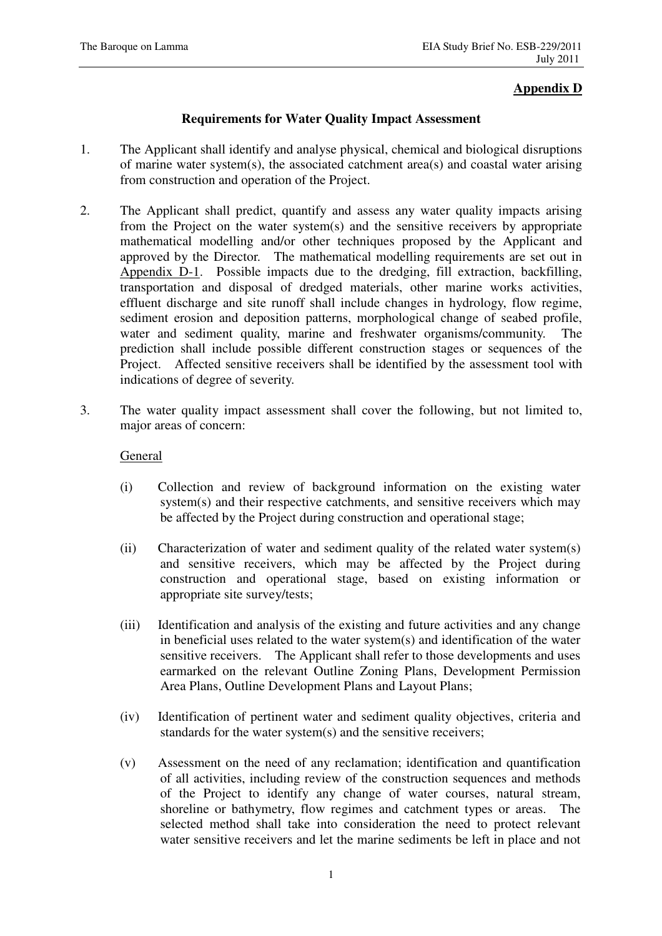# **Appendix D**

### **Requirements for Water Quality Impact Assessment**

- 1. The Applicant shall identify and analyse physical, chemical and biological disruptions of marine water system(s), the associated catchment area(s) and coastal water arising from construction and operation of the Project.
- 2. The Applicant shall predict, quantify and assess any water quality impacts arising from the Project on the water system(s) and the sensitive receivers by appropriate mathematical modelling and/or other techniques proposed by the Applicant and approved by the Director. The mathematical modelling requirements are set out in Appendix D-1. Possible impacts due to the dredging, fill extraction, backfilling, transportation and disposal of dredged materials, other marine works activities, effluent discharge and site runoff shall include changes in hydrology, flow regime, sediment erosion and deposition patterns, morphological change of seabed profile, water and sediment quality, marine and freshwater organisms/community. The prediction shall include possible different construction stages or sequences of the Project. Affected sensitive receivers shall be identified by the assessment tool with indications of degree of severity.
- 3. The water quality impact assessment shall cover the following, but not limited to, major areas of concern:

## General

- (i) Collection and review of background information on the existing water system(s) and their respective catchments, and sensitive receivers which may be affected by the Project during construction and operational stage;
- (ii) Characterization of water and sediment quality of the related water system(s) and sensitive receivers, which may be affected by the Project during construction and operational stage, based on existing information or appropriate site survey/tests;
- (iii) Identification and analysis of the existing and future activities and any change in beneficial uses related to the water system(s) and identification of the water sensitive receivers. The Applicant shall refer to those developments and uses earmarked on the relevant Outline Zoning Plans, Development Permission Area Plans, Outline Development Plans and Layout Plans;
- (iv) Identification of pertinent water and sediment quality objectives, criteria and standards for the water system(s) and the sensitive receivers;
- (v) Assessment on the need of any reclamation; identification and quantification of all activities, including review of the construction sequences and methods of the Project to identify any change of water courses, natural stream, shoreline or bathymetry, flow regimes and catchment types or areas. The selected method shall take into consideration the need to protect relevant water sensitive receivers and let the marine sediments be left in place and not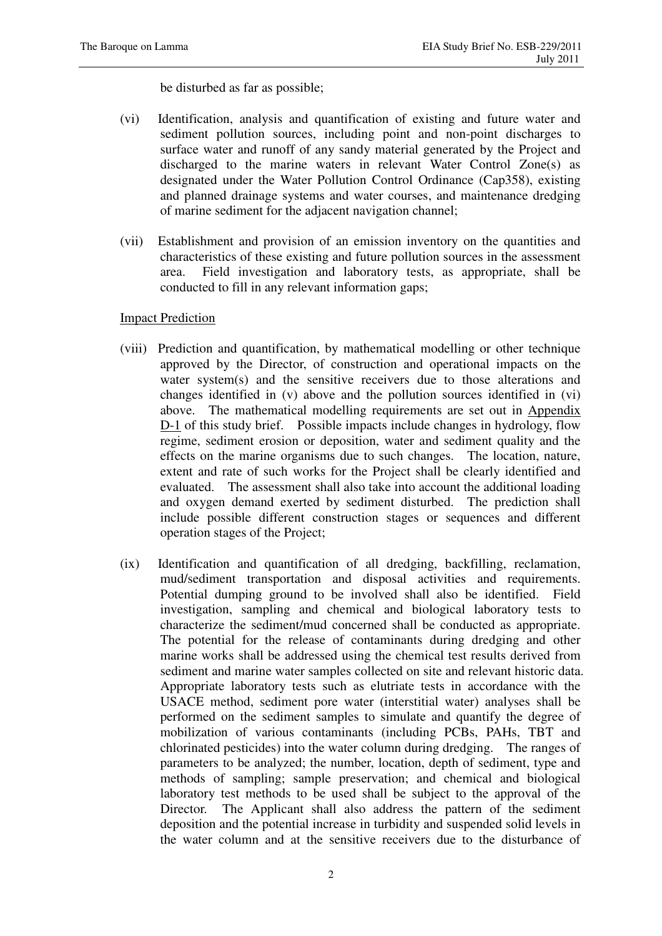be disturbed as far as possible;

- (vi) Identification, analysis and quantification of existing and future water and sediment pollution sources, including point and non-point discharges to surface water and runoff of any sandy material generated by the Project and discharged to the marine waters in relevant Water Control Zone(s) as designated under the Water Pollution Control Ordinance (Cap358), existing and planned drainage systems and water courses, and maintenance dredging of marine sediment for the adjacent navigation channel;
- (vii) Establishment and provision of an emission inventory on the quantities and characteristics of these existing and future pollution sources in the assessment area. Field investigation and laboratory tests, as appropriate, shall be conducted to fill in any relevant information gaps;

## Impact Prediction

- (viii) Prediction and quantification, by mathematical modelling or other technique approved by the Director, of construction and operational impacts on the water system(s) and the sensitive receivers due to those alterations and changes identified in (v) above and the pollution sources identified in (vi) above. The mathematical modelling requirements are set out in Appendix D-1 of this study brief. Possible impacts include changes in hydrology, flow regime, sediment erosion or deposition, water and sediment quality and the effects on the marine organisms due to such changes. The location, nature, extent and rate of such works for the Project shall be clearly identified and evaluated. The assessment shall also take into account the additional loading and oxygen demand exerted by sediment disturbed. The prediction shall include possible different construction stages or sequences and different operation stages of the Project;
- (ix) Identification and quantification of all dredging, backfilling, reclamation, mud/sediment transportation and disposal activities and requirements. Potential dumping ground to be involved shall also be identified. Field investigation, sampling and chemical and biological laboratory tests to characterize the sediment/mud concerned shall be conducted as appropriate. The potential for the release of contaminants during dredging and other marine works shall be addressed using the chemical test results derived from sediment and marine water samples collected on site and relevant historic data. Appropriate laboratory tests such as elutriate tests in accordance with the USACE method, sediment pore water (interstitial water) analyses shall be performed on the sediment samples to simulate and quantify the degree of mobilization of various contaminants (including PCBs, PAHs, TBT and chlorinated pesticides) into the water column during dredging. The ranges of parameters to be analyzed; the number, location, depth of sediment, type and methods of sampling; sample preservation; and chemical and biological laboratory test methods to be used shall be subject to the approval of the Director. The Applicant shall also address the pattern of the sediment deposition and the potential increase in turbidity and suspended solid levels in the water column and at the sensitive receivers due to the disturbance of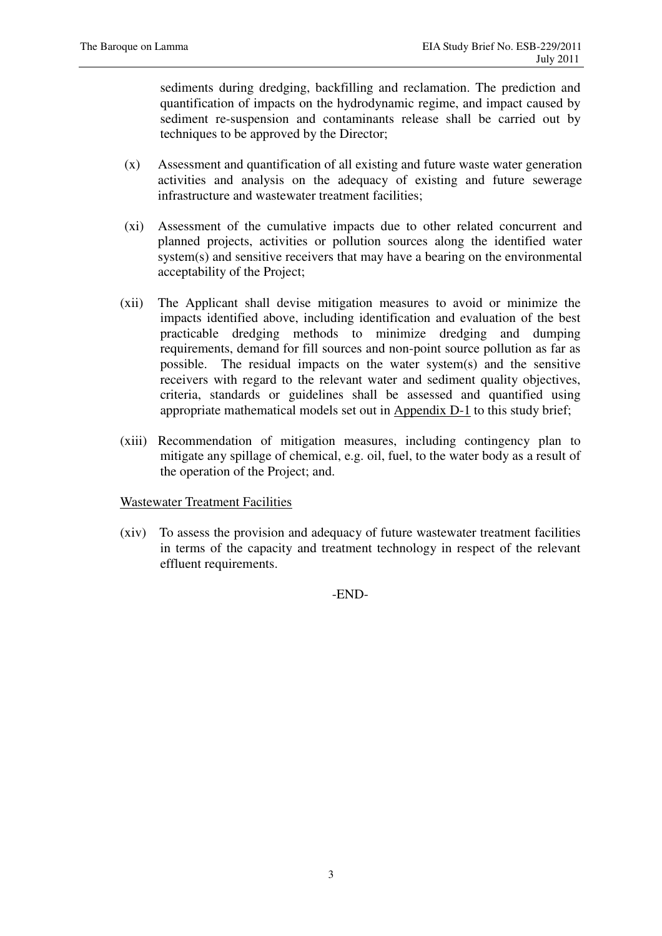sediments during dredging, backfilling and reclamation. The prediction and quantification of impacts on the hydrodynamic regime, and impact caused by sediment re-suspension and contaminants release shall be carried out by techniques to be approved by the Director;

- (x) Assessment and quantification of all existing and future waste water generation activities and analysis on the adequacy of existing and future sewerage infrastructure and wastewater treatment facilities;
- (xi) Assessment of the cumulative impacts due to other related concurrent and planned projects, activities or pollution sources along the identified water system(s) and sensitive receivers that may have a bearing on the environmental acceptability of the Project;
- (xii) The Applicant shall devise mitigation measures to avoid or minimize the impacts identified above, including identification and evaluation of the best practicable dredging methods to minimize dredging and dumping requirements, demand for fill sources and non-point source pollution as far as possible. The residual impacts on the water system(s) and the sensitive receivers with regard to the relevant water and sediment quality objectives, criteria, standards or guidelines shall be assessed and quantified using appropriate mathematical models set out in Appendix D-1 to this study brief;
- (xiii) Recommendation of mitigation measures, including contingency plan to mitigate any spillage of chemical, e.g. oil, fuel, to the water body as a result of the operation of the Project; and.

## Wastewater Treatment Facilities

(xiv) To assess the provision and adequacy of future wastewater treatment facilities in terms of the capacity and treatment technology in respect of the relevant effluent requirements.

-END-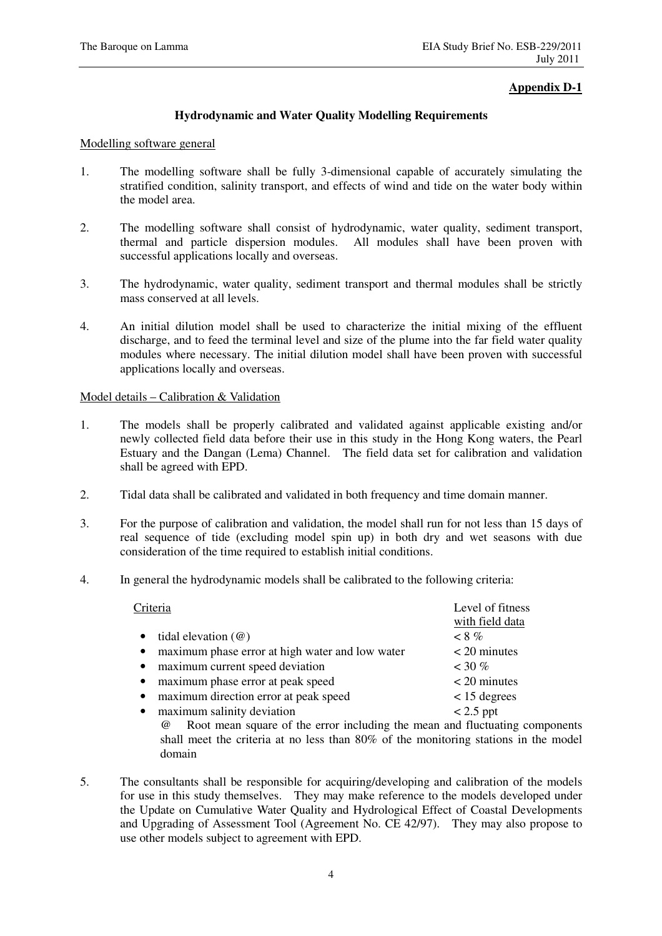### **Appendix D-1**

### **Hydrodynamic and Water Quality Modelling Requirements**

#### Modelling software general

- 1. The modelling software shall be fully 3-dimensional capable of accurately simulating the stratified condition, salinity transport, and effects of wind and tide on the water body within the model area.
- 2. The modelling software shall consist of hydrodynamic, water quality, sediment transport, thermal and particle dispersion modules. All modules shall have been proven with successful applications locally and overseas.
- 3. The hydrodynamic, water quality, sediment transport and thermal modules shall be strictly mass conserved at all levels.
- 4. An initial dilution model shall be used to characterize the initial mixing of the effluent discharge, and to feed the terminal level and size of the plume into the far field water quality modules where necessary. The initial dilution model shall have been proven with successful applications locally and overseas.

#### Model details – Calibration & Validation

- 1. The models shall be properly calibrated and validated against applicable existing and/or newly collected field data before their use in this study in the Hong Kong waters, the Pearl Estuary and the Dangan (Lema) Channel. The field data set for calibration and validation shall be agreed with EPD.
- 2. Tidal data shall be calibrated and validated in both frequency and time domain manner.
- 3. For the purpose of calibration and validation, the model shall run for not less than 15 days of real sequence of tide (excluding model spin up) in both dry and wet seasons with due consideration of the time required to establish initial conditions.
- 4. In general the hydrodynamic models shall be calibrated to the following criteria:

|           | Criteria                                                                                                                                                                                                                                                                                                                                                                                                                                                                                 | Level of fitness |
|-----------|------------------------------------------------------------------------------------------------------------------------------------------------------------------------------------------------------------------------------------------------------------------------------------------------------------------------------------------------------------------------------------------------------------------------------------------------------------------------------------------|------------------|
|           |                                                                                                                                                                                                                                                                                                                                                                                                                                                                                          | with field data  |
| $\bullet$ | tidal elevation $(\omega)$                                                                                                                                                                                                                                                                                                                                                                                                                                                               | $< 8\%$          |
| $\bullet$ | maximum phase error at high water and low water                                                                                                                                                                                                                                                                                                                                                                                                                                          | $<$ 20 minutes   |
| $\bullet$ | maximum current speed deviation                                                                                                                                                                                                                                                                                                                                                                                                                                                          | $~130\%$         |
| $\bullet$ | maximum phase error at peak speed                                                                                                                                                                                                                                                                                                                                                                                                                                                        | $<$ 20 minutes   |
| $\bullet$ | maximum direction error at peak speed                                                                                                                                                                                                                                                                                                                                                                                                                                                    | $< 15$ degrees   |
| $\bullet$ | maximum salinity deviation                                                                                                                                                                                                                                                                                                                                                                                                                                                               | $< 2.5$ ppt      |
|           | $\odot$ $\blacksquare$ $\blacksquare$ $\blacksquare$ $\blacksquare$ $\blacksquare$ $\blacksquare$ $\blacksquare$ $\blacksquare$ $\blacksquare$ $\blacksquare$ $\blacksquare$ $\blacksquare$ $\blacksquare$ $\blacksquare$ $\blacksquare$ $\blacksquare$ $\blacksquare$ $\blacksquare$ $\blacksquare$ $\blacksquare$ $\blacksquare$ $\blacksquare$ $\blacksquare$ $\blacksquare$ $\blacksquare$ $\blacksquare$ $\blacksquare$ $\blacksquare$ $\blacksquare$ $\blacksquare$ $\blacksquare$ |                  |

Root mean square of the error including the mean and fluctuating components shall meet the criteria at no less than 80% of the monitoring stations in the model domain

5. The consultants shall be responsible for acquiring/developing and calibration of the models for use in this study themselves. They may make reference to the models developed under the Update on Cumulative Water Quality and Hydrological Effect of Coastal Developments and Upgrading of Assessment Tool (Agreement No. CE 42/97). They may also propose to use other models subject to agreement with EPD.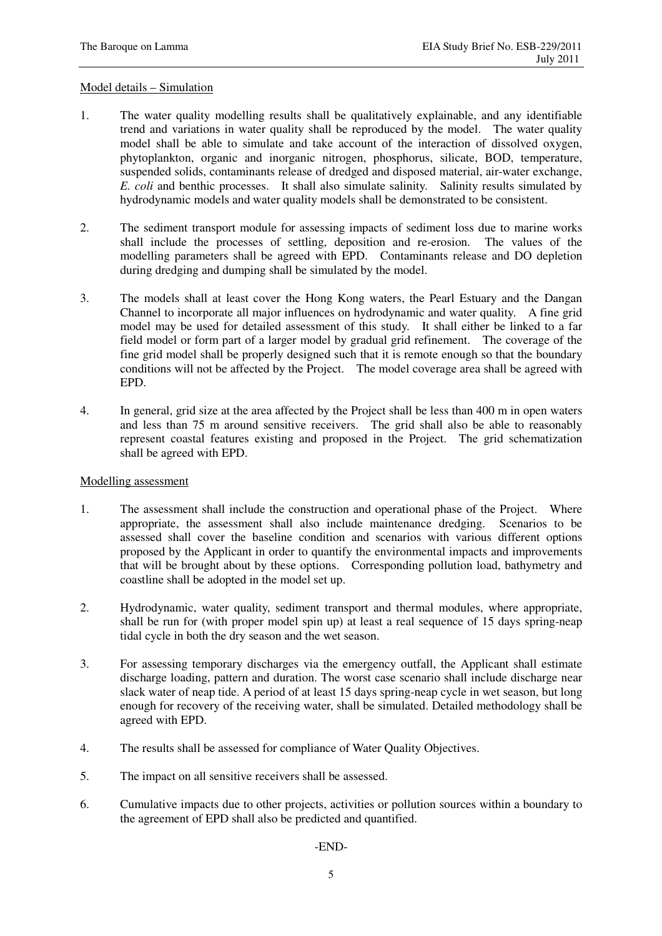#### Model details – Simulation

- 1. The water quality modelling results shall be qualitatively explainable, and any identifiable trend and variations in water quality shall be reproduced by the model. The water quality model shall be able to simulate and take account of the interaction of dissolved oxygen, phytoplankton, organic and inorganic nitrogen, phosphorus, silicate, BOD, temperature, suspended solids, contaminants release of dredged and disposed material, air-water exchange, *E. coli* and benthic processes. It shall also simulate salinity. Salinity results simulated by hydrodynamic models and water quality models shall be demonstrated to be consistent.
- 2. The sediment transport module for assessing impacts of sediment loss due to marine works shall include the processes of settling, deposition and re-erosion. The values of the modelling parameters shall be agreed with EPD. Contaminants release and DO depletion during dredging and dumping shall be simulated by the model.
- 3. The models shall at least cover the Hong Kong waters, the Pearl Estuary and the Dangan Channel to incorporate all major influences on hydrodynamic and water quality. A fine grid model may be used for detailed assessment of this study. It shall either be linked to a far field model or form part of a larger model by gradual grid refinement. The coverage of the fine grid model shall be properly designed such that it is remote enough so that the boundary conditions will not be affected by the Project. The model coverage area shall be agreed with EPD.
- 4. In general, grid size at the area affected by the Project shall be less than 400 m in open waters and less than 75 m around sensitive receivers. The grid shall also be able to reasonably represent coastal features existing and proposed in the Project. The grid schematization shall be agreed with EPD.

#### Modelling assessment

- 1. The assessment shall include the construction and operational phase of the Project. Where appropriate, the assessment shall also include maintenance dredging. Scenarios to be assessed shall cover the baseline condition and scenarios with various different options proposed by the Applicant in order to quantify the environmental impacts and improvements that will be brought about by these options. Corresponding pollution load, bathymetry and coastline shall be adopted in the model set up.
- 2. Hydrodynamic, water quality, sediment transport and thermal modules, where appropriate, shall be run for (with proper model spin up) at least a real sequence of 15 days spring-neap tidal cycle in both the dry season and the wet season.
- 3. For assessing temporary discharges via the emergency outfall, the Applicant shall estimate discharge loading, pattern and duration. The worst case scenario shall include discharge near slack water of neap tide. A period of at least 15 days spring-neap cycle in wet season, but long enough for recovery of the receiving water, shall be simulated. Detailed methodology shall be agreed with EPD.
- 4. The results shall be assessed for compliance of Water Quality Objectives.
- 5. The impact on all sensitive receivers shall be assessed.
- 6. Cumulative impacts due to other projects, activities or pollution sources within a boundary to the agreement of EPD shall also be predicted and quantified.

-END-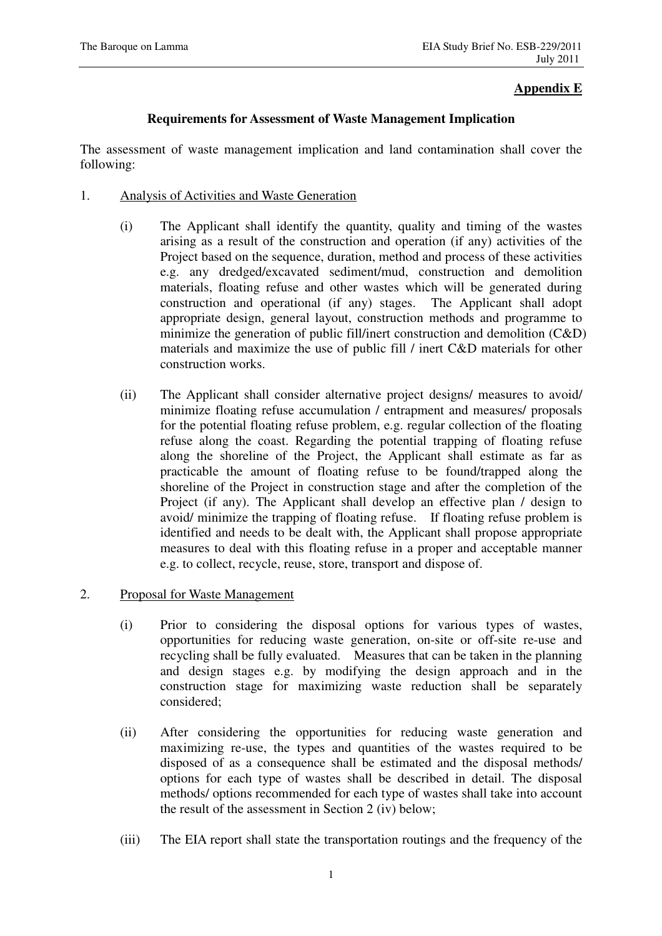## **Appendix E**

## **Requirements for Assessment of Waste Management Implication**

The assessment of waste management implication and land contamination shall cover the following:

- 1. Analysis of Activities and Waste Generation
	- (i) The Applicant shall identify the quantity, quality and timing of the wastes arising as a result of the construction and operation (if any) activities of the Project based on the sequence, duration, method and process of these activities e.g. any dredged/excavated sediment/mud, construction and demolition materials, floating refuse and other wastes which will be generated during construction and operational (if any) stages. The Applicant shall adopt appropriate design, general layout, construction methods and programme to minimize the generation of public fill/inert construction and demolition (C&D) materials and maximize the use of public fill / inert C&D materials for other construction works.
	- (ii) The Applicant shall consider alternative project designs/ measures to avoid/ minimize floating refuse accumulation / entrapment and measures/ proposals for the potential floating refuse problem, e.g. regular collection of the floating refuse along the coast. Regarding the potential trapping of floating refuse along the shoreline of the Project, the Applicant shall estimate as far as practicable the amount of floating refuse to be found/trapped along the shoreline of the Project in construction stage and after the completion of the Project (if any). The Applicant shall develop an effective plan / design to avoid/ minimize the trapping of floating refuse. If floating refuse problem is identified and needs to be dealt with, the Applicant shall propose appropriate measures to deal with this floating refuse in a proper and acceptable manner e.g. to collect, recycle, reuse, store, transport and dispose of.
- 2. Proposal for Waste Management
	- (i) Prior to considering the disposal options for various types of wastes, opportunities for reducing waste generation, on-site or off-site re-use and recycling shall be fully evaluated. Measures that can be taken in the planning and design stages e.g. by modifying the design approach and in the construction stage for maximizing waste reduction shall be separately considered;
	- (ii) After considering the opportunities for reducing waste generation and maximizing re-use, the types and quantities of the wastes required to be disposed of as a consequence shall be estimated and the disposal methods/ options for each type of wastes shall be described in detail. The disposal methods/ options recommended for each type of wastes shall take into account the result of the assessment in Section 2 (iv) below;
	- (iii) The EIA report shall state the transportation routings and the frequency of the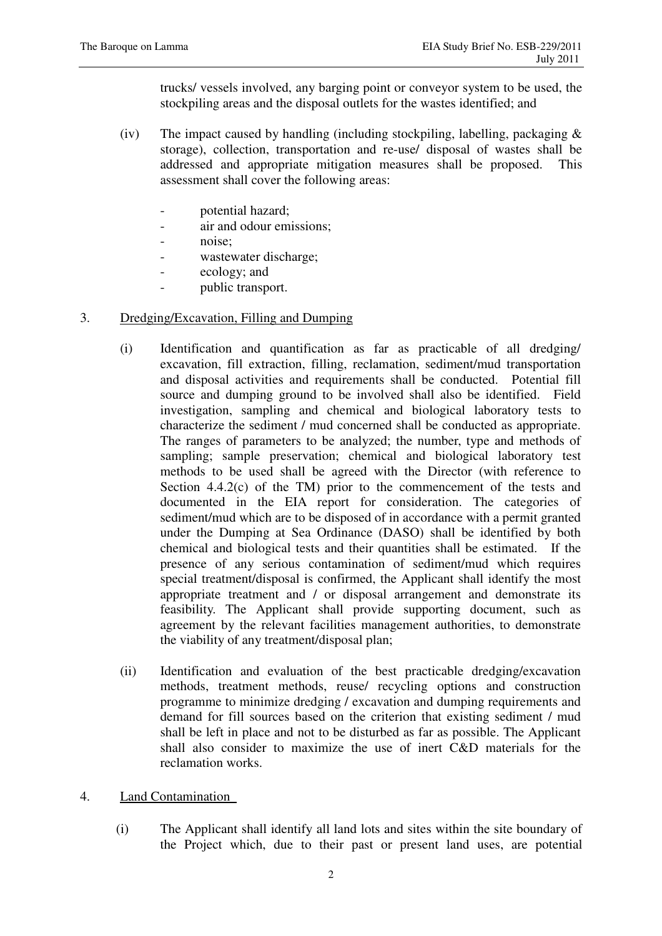trucks/ vessels involved, any barging point or conveyor system to be used, the stockpiling areas and the disposal outlets for the wastes identified; and

- (iv) The impact caused by handling (including stockpiling, labelling, packaging  $\&$ storage), collection, transportation and re-use/ disposal of wastes shall be addressed and appropriate mitigation measures shall be proposed. This assessment shall cover the following areas:
	- potential hazard;
	- air and odour emissions;
	- noise;
	- wastewater discharge;
	- ecology; and
	- public transport.

## 3. Dredging/Excavation, Filling and Dumping

- (i) Identification and quantification as far as practicable of all dredging/ excavation, fill extraction, filling, reclamation, sediment/mud transportation and disposal activities and requirements shall be conducted. Potential fill source and dumping ground to be involved shall also be identified. Field investigation, sampling and chemical and biological laboratory tests to characterize the sediment / mud concerned shall be conducted as appropriate. The ranges of parameters to be analyzed; the number, type and methods of sampling; sample preservation; chemical and biological laboratory test methods to be used shall be agreed with the Director (with reference to Section  $4.4.2(c)$  of the TM) prior to the commencement of the tests and documented in the EIA report for consideration. The categories of sediment/mud which are to be disposed of in accordance with a permit granted under the Dumping at Sea Ordinance (DASO) shall be identified by both chemical and biological tests and their quantities shall be estimated. If the presence of any serious contamination of sediment/mud which requires special treatment/disposal is confirmed, the Applicant shall identify the most appropriate treatment and / or disposal arrangement and demonstrate its feasibility. The Applicant shall provide supporting document, such as agreement by the relevant facilities management authorities, to demonstrate the viability of any treatment/disposal plan;
- (ii) Identification and evaluation of the best practicable dredging/excavation methods, treatment methods, reuse/ recycling options and construction programme to minimize dredging / excavation and dumping requirements and demand for fill sources based on the criterion that existing sediment / mud shall be left in place and not to be disturbed as far as possible. The Applicant shall also consider to maximize the use of inert C&D materials for the reclamation works.
- 4. Land Contamination
	- (i) The Applicant shall identify all land lots and sites within the site boundary of the Project which, due to their past or present land uses, are potential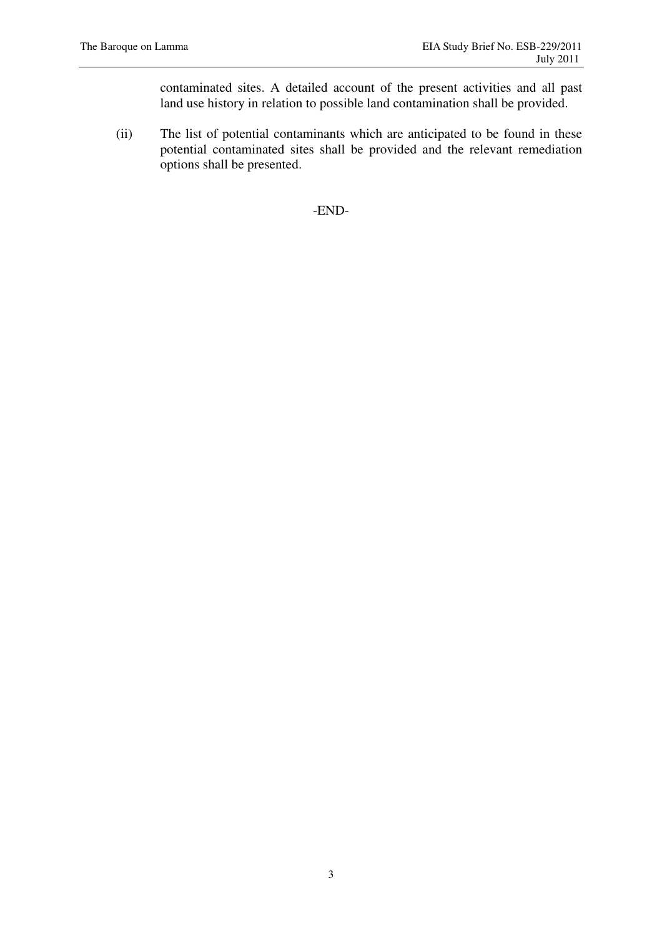contaminated sites. A detailed account of the present activities and all past land use history in relation to possible land contamination shall be provided.

(ii) The list of potential contaminants which are anticipated to be found in these potential contaminated sites shall be provided and the relevant remediation options shall be presented.

-END-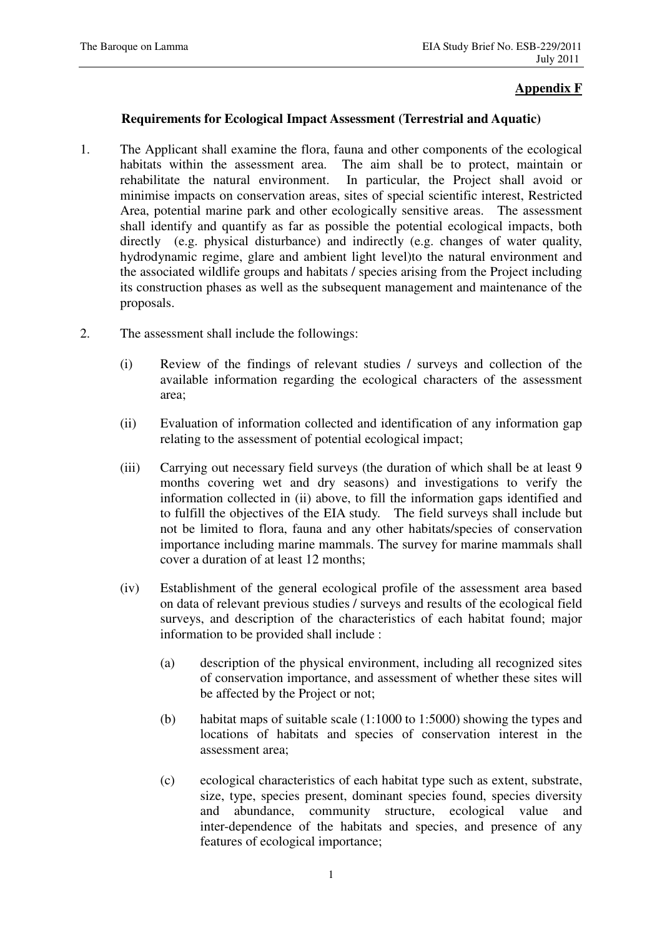## **Appendix F**

#### **Requirements for Ecological Impact Assessment (Terrestrial and Aquatic)**

- 1. The Applicant shall examine the flora, fauna and other components of the ecological habitats within the assessment area. The aim shall be to protect, maintain or rehabilitate the natural environment. In particular, the Project shall avoid or minimise impacts on conservation areas, sites of special scientific interest, Restricted Area, potential marine park and other ecologically sensitive areas. The assessment shall identify and quantify as far as possible the potential ecological impacts, both directly (e.g. physical disturbance) and indirectly (e.g. changes of water quality, hydrodynamic regime, glare and ambient light level)to the natural environment and the associated wildlife groups and habitats / species arising from the Project including its construction phases as well as the subsequent management and maintenance of the proposals.
- 2. The assessment shall include the followings:
	- (i) Review of the findings of relevant studies / surveys and collection of the available information regarding the ecological characters of the assessment area;
	- (ii) Evaluation of information collected and identification of any information gap relating to the assessment of potential ecological impact;
	- (iii) Carrying out necessary field surveys (the duration of which shall be at least 9 months covering wet and dry seasons) and investigations to verify the information collected in (ii) above, to fill the information gaps identified and to fulfill the objectives of the EIA study. The field surveys shall include but not be limited to flora, fauna and any other habitats/species of conservation importance including marine mammals. The survey for marine mammals shall cover a duration of at least 12 months;
	- (iv) Establishment of the general ecological profile of the assessment area based on data of relevant previous studies / surveys and results of the ecological field surveys, and description of the characteristics of each habitat found; major information to be provided shall include :
		- (a) description of the physical environment, including all recognized sites of conservation importance, and assessment of whether these sites will be affected by the Project or not;
		- (b) habitat maps of suitable scale (1:1000 to 1:5000) showing the types and locations of habitats and species of conservation interest in the assessment area;
		- (c) ecological characteristics of each habitat type such as extent, substrate, size, type, species present, dominant species found, species diversity and abundance, community structure, ecological value and inter-dependence of the habitats and species, and presence of any features of ecological importance;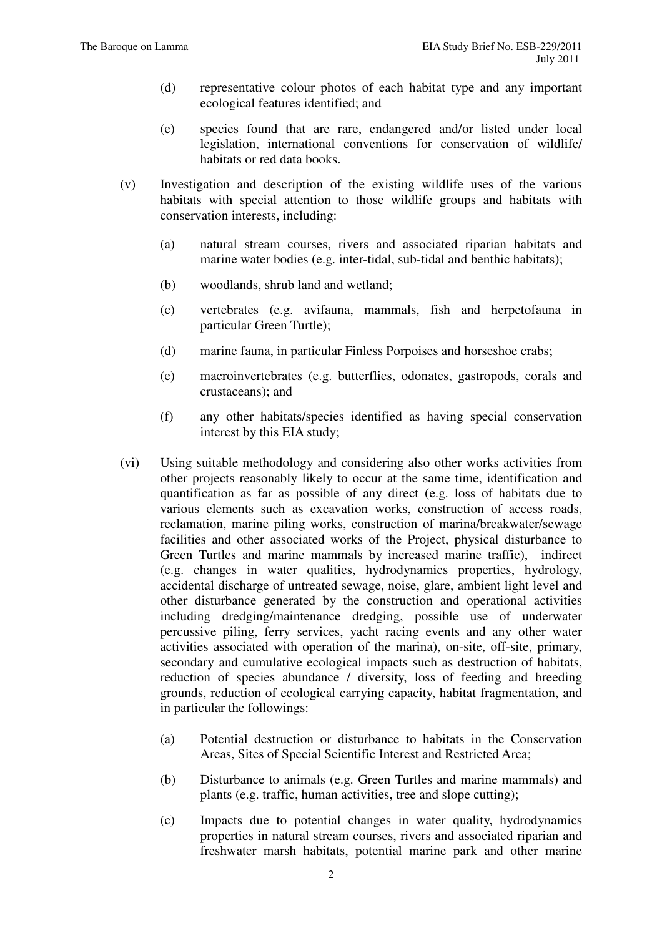- (d) representative colour photos of each habitat type and any important ecological features identified; and
- (e) species found that are rare, endangered and/or listed under local legislation, international conventions for conservation of wildlife/ habitats or red data books.
- (v) Investigation and description of the existing wildlife uses of the various habitats with special attention to those wildlife groups and habitats with conservation interests, including:
	- (a) natural stream courses, rivers and associated riparian habitats and marine water bodies (e.g. inter-tidal, sub-tidal and benthic habitats);
	- (b) woodlands, shrub land and wetland;
	- (c) vertebrates (e.g. avifauna, mammals, fish and herpetofauna in particular Green Turtle);
	- (d) marine fauna, in particular Finless Porpoises and horseshoe crabs;
	- (e) macroinvertebrates (e.g. butterflies, odonates, gastropods, corals and crustaceans); and
	- (f) any other habitats/species identified as having special conservation interest by this EIA study;
- (vi) Using suitable methodology and considering also other works activities from other projects reasonably likely to occur at the same time, identification and quantification as far as possible of any direct (e.g. loss of habitats due to various elements such as excavation works, construction of access roads, reclamation, marine piling works, construction of marina/breakwater/sewage facilities and other associated works of the Project, physical disturbance to Green Turtles and marine mammals by increased marine traffic), indirect (e.g. changes in water qualities, hydrodynamics properties, hydrology, accidental discharge of untreated sewage, noise, glare, ambient light level and other disturbance generated by the construction and operational activities including dredging/maintenance dredging, possible use of underwater percussive piling, ferry services, yacht racing events and any other water activities associated with operation of the marina), on-site, off-site, primary, secondary and cumulative ecological impacts such as destruction of habitats, reduction of species abundance / diversity, loss of feeding and breeding grounds, reduction of ecological carrying capacity, habitat fragmentation, and in particular the followings:
	- (a) Potential destruction or disturbance to habitats in the Conservation Areas, Sites of Special Scientific Interest and Restricted Area;
	- (b) Disturbance to animals (e.g. Green Turtles and marine mammals) and plants (e.g. traffic, human activities, tree and slope cutting);
	- (c) Impacts due to potential changes in water quality, hydrodynamics properties in natural stream courses, rivers and associated riparian and freshwater marsh habitats, potential marine park and other marine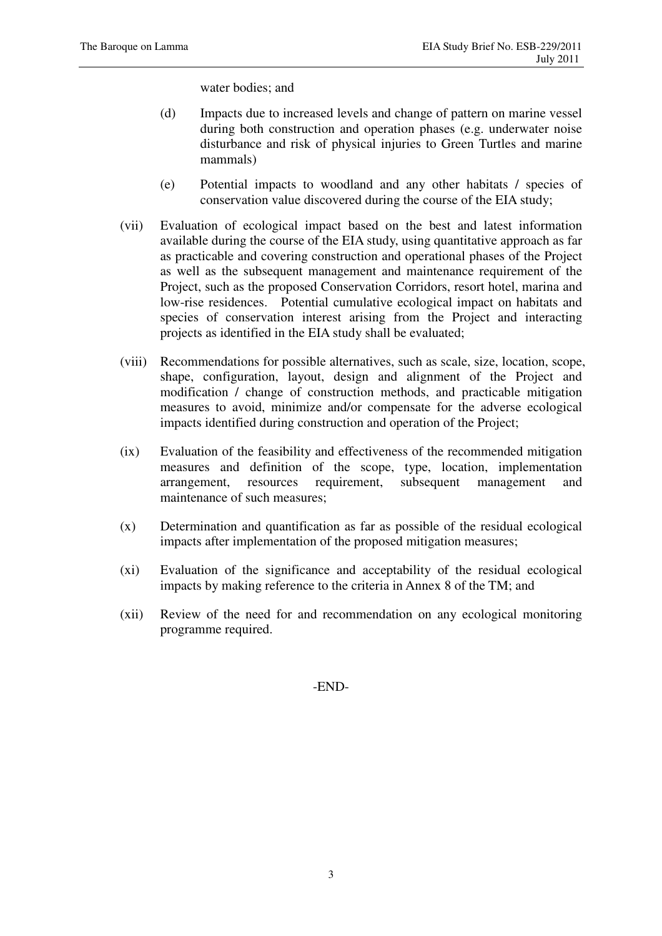water bodies; and

- (d) Impacts due to increased levels and change of pattern on marine vessel during both construction and operation phases (e.g. underwater noise disturbance and risk of physical injuries to Green Turtles and marine mammals)
- (e) Potential impacts to woodland and any other habitats / species of conservation value discovered during the course of the EIA study;
- (vii) Evaluation of ecological impact based on the best and latest information available during the course of the EIA study, using quantitative approach as far as practicable and covering construction and operational phases of the Project as well as the subsequent management and maintenance requirement of the Project, such as the proposed Conservation Corridors, resort hotel, marina and low-rise residences. Potential cumulative ecological impact on habitats and species of conservation interest arising from the Project and interacting projects as identified in the EIA study shall be evaluated;
- (viii) Recommendations for possible alternatives, such as scale, size, location, scope, shape, configuration, layout, design and alignment of the Project and modification / change of construction methods, and practicable mitigation measures to avoid, minimize and/or compensate for the adverse ecological impacts identified during construction and operation of the Project;
- (ix) Evaluation of the feasibility and effectiveness of the recommended mitigation measures and definition of the scope, type, location, implementation arrangement, resources requirement, subsequent management and maintenance of such measures;
- (x) Determination and quantification as far as possible of the residual ecological impacts after implementation of the proposed mitigation measures;
- (xi) Evaluation of the significance and acceptability of the residual ecological impacts by making reference to the criteria in Annex 8 of the TM; and
- (xii) Review of the need for and recommendation on any ecological monitoring programme required.

-END-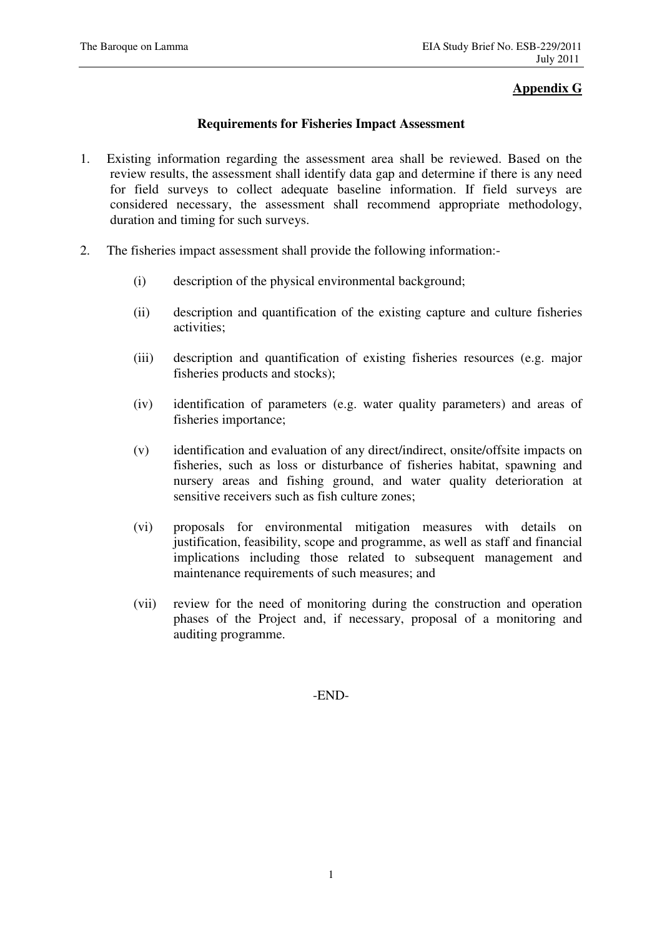## **Appendix G**

## **Requirements for Fisheries Impact Assessment**

- 1. Existing information regarding the assessment area shall be reviewed. Based on the review results, the assessment shall identify data gap and determine if there is any need for field surveys to collect adequate baseline information. If field surveys are considered necessary, the assessment shall recommend appropriate methodology, duration and timing for such surveys.
- 2. The fisheries impact assessment shall provide the following information:-
	- (i) description of the physical environmental background;
	- (ii) description and quantification of the existing capture and culture fisheries activities;
	- (iii) description and quantification of existing fisheries resources (e.g. major fisheries products and stocks);
	- (iv) identification of parameters (e.g. water quality parameters) and areas of fisheries importance;
	- (v) identification and evaluation of any direct/indirect, onsite/offsite impacts on fisheries, such as loss or disturbance of fisheries habitat, spawning and nursery areas and fishing ground, and water quality deterioration at sensitive receivers such as fish culture zones;
	- (vi) proposals for environmental mitigation measures with details on justification, feasibility, scope and programme, as well as staff and financial implications including those related to subsequent management and maintenance requirements of such measures; and
	- (vii) review for the need of monitoring during the construction and operation phases of the Project and, if necessary, proposal of a monitoring and auditing programme.

-END-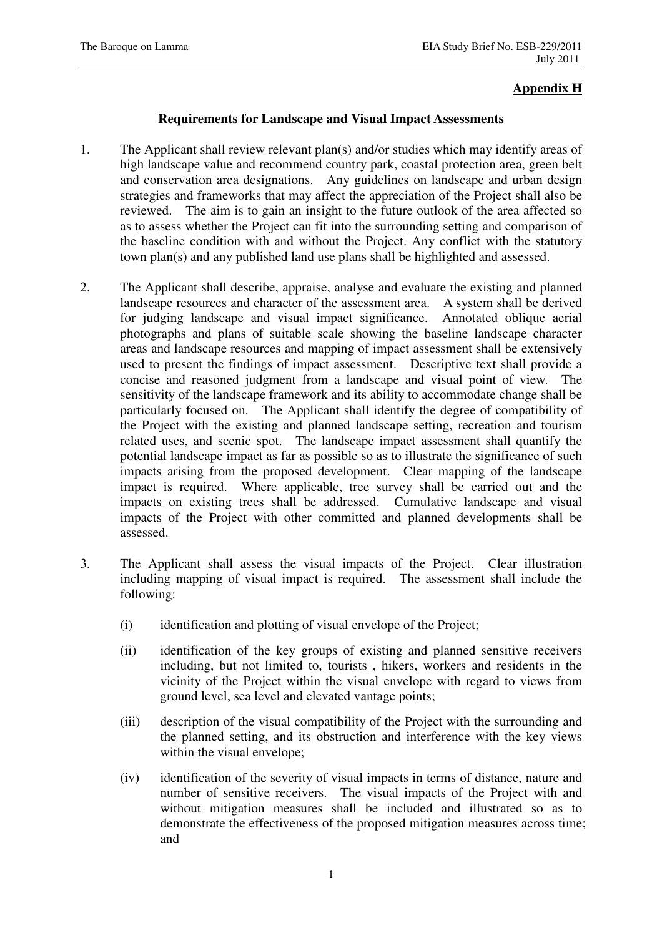## **Appendix H**

## **Requirements for Landscape and Visual Impact Assessments**

- 1. The Applicant shall review relevant plan(s) and/or studies which may identify areas of high landscape value and recommend country park, coastal protection area, green belt and conservation area designations. Any guidelines on landscape and urban design strategies and frameworks that may affect the appreciation of the Project shall also be reviewed. The aim is to gain an insight to the future outlook of the area affected so as to assess whether the Project can fit into the surrounding setting and comparison of the baseline condition with and without the Project. Any conflict with the statutory town plan(s) and any published land use plans shall be highlighted and assessed.
- 2. The Applicant shall describe, appraise, analyse and evaluate the existing and planned landscape resources and character of the assessment area. A system shall be derived for judging landscape and visual impact significance. Annotated oblique aerial photographs and plans of suitable scale showing the baseline landscape character areas and landscape resources and mapping of impact assessment shall be extensively used to present the findings of impact assessment. Descriptive text shall provide a concise and reasoned judgment from a landscape and visual point of view. The sensitivity of the landscape framework and its ability to accommodate change shall be particularly focused on. The Applicant shall identify the degree of compatibility of the Project with the existing and planned landscape setting, recreation and tourism related uses, and scenic spot. The landscape impact assessment shall quantify the potential landscape impact as far as possible so as to illustrate the significance of such impacts arising from the proposed development. Clear mapping of the landscape impact is required. Where applicable, tree survey shall be carried out and the impacts on existing trees shall be addressed. Cumulative landscape and visual impacts of the Project with other committed and planned developments shall be assessed.
- 3. The Applicant shall assess the visual impacts of the Project. Clear illustration including mapping of visual impact is required. The assessment shall include the following:
	- (i) identification and plotting of visual envelope of the Project;
	- (ii) identification of the key groups of existing and planned sensitive receivers including, but not limited to, tourists , hikers, workers and residents in the vicinity of the Project within the visual envelope with regard to views from ground level, sea level and elevated vantage points;
	- (iii) description of the visual compatibility of the Project with the surrounding and the planned setting, and its obstruction and interference with the key views within the visual envelope;
	- (iv) identification of the severity of visual impacts in terms of distance, nature and number of sensitive receivers. The visual impacts of the Project with and without mitigation measures shall be included and illustrated so as to demonstrate the effectiveness of the proposed mitigation measures across time; and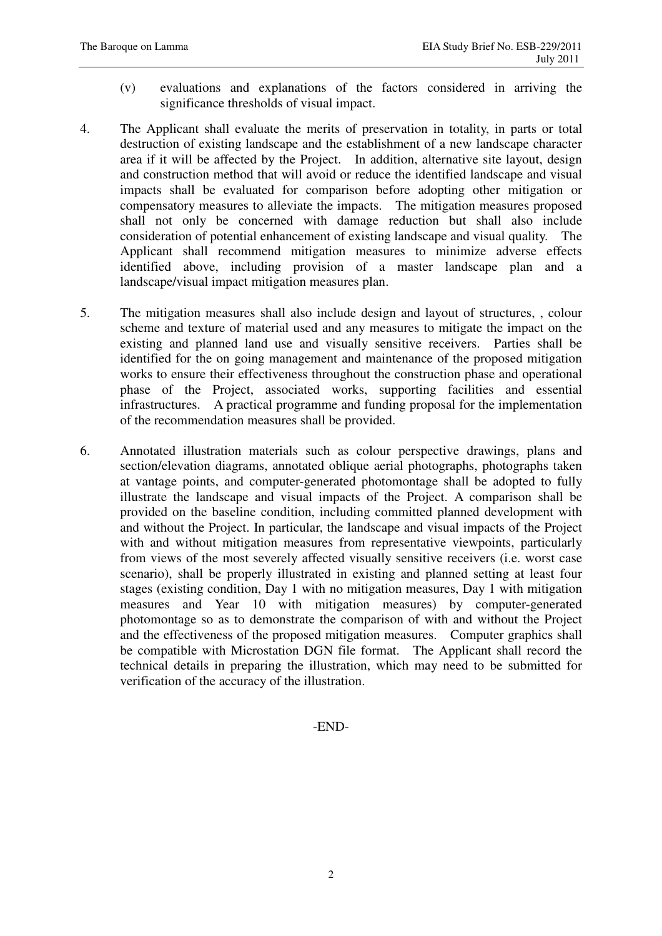- (v) evaluations and explanations of the factors considered in arriving the significance thresholds of visual impact.
- 4. The Applicant shall evaluate the merits of preservation in totality, in parts or total destruction of existing landscape and the establishment of a new landscape character area if it will be affected by the Project. In addition, alternative site layout, design and construction method that will avoid or reduce the identified landscape and visual impacts shall be evaluated for comparison before adopting other mitigation or compensatory measures to alleviate the impacts. The mitigation measures proposed shall not only be concerned with damage reduction but shall also include consideration of potential enhancement of existing landscape and visual quality. The Applicant shall recommend mitigation measures to minimize adverse effects identified above, including provision of a master landscape plan and a landscape/visual impact mitigation measures plan.
- 5. The mitigation measures shall also include design and layout of structures, , colour scheme and texture of material used and any measures to mitigate the impact on the existing and planned land use and visually sensitive receivers. Parties shall be identified for the on going management and maintenance of the proposed mitigation works to ensure their effectiveness throughout the construction phase and operational phase of the Project, associated works, supporting facilities and essential infrastructures. A practical programme and funding proposal for the implementation of the recommendation measures shall be provided.
- 6. Annotated illustration materials such as colour perspective drawings, plans and section/elevation diagrams, annotated oblique aerial photographs, photographs taken at vantage points, and computer-generated photomontage shall be adopted to fully illustrate the landscape and visual impacts of the Project. A comparison shall be provided on the baseline condition, including committed planned development with and without the Project. In particular, the landscape and visual impacts of the Project with and without mitigation measures from representative viewpoints, particularly from views of the most severely affected visually sensitive receivers (i.e. worst case scenario), shall be properly illustrated in existing and planned setting at least four stages (existing condition, Day 1 with no mitigation measures, Day 1 with mitigation measures and Year 10 with mitigation measures) by computer-generated photomontage so as to demonstrate the comparison of with and without the Project and the effectiveness of the proposed mitigation measures. Computer graphics shall be compatible with Microstation DGN file format. The Applicant shall record the technical details in preparing the illustration, which may need to be submitted for verification of the accuracy of the illustration.

-END-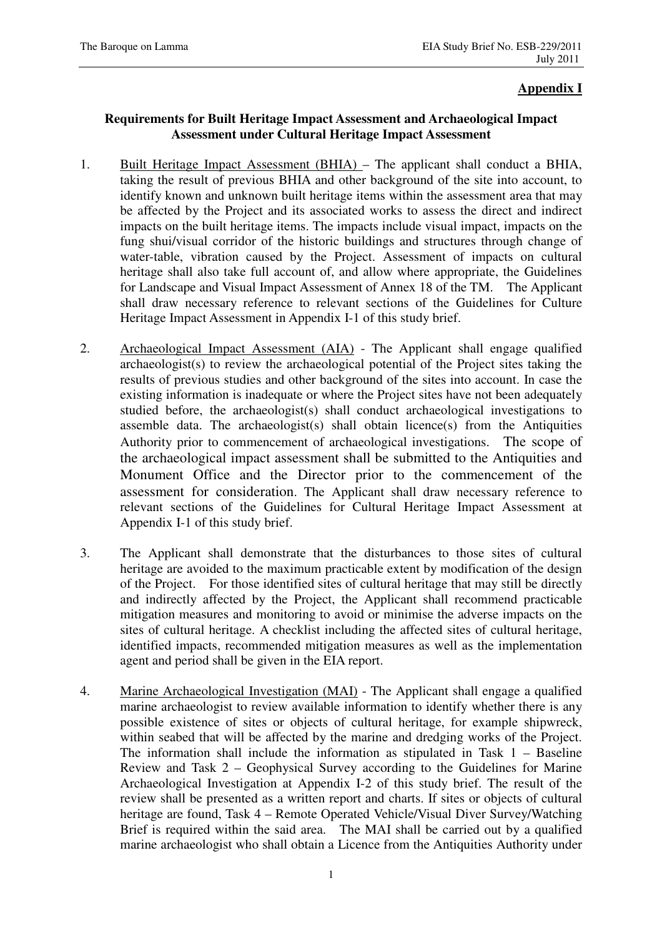## **Appendix I**

## **Requirements for Built Heritage Impact Assessment and Archaeological Impact Assessment under Cultural Heritage Impact Assessment**

- 1. Built Heritage Impact Assessment (BHIA) The applicant shall conduct a BHIA, taking the result of previous BHIA and other background of the site into account, to identify known and unknown built heritage items within the assessment area that may be affected by the Project and its associated works to assess the direct and indirect impacts on the built heritage items. The impacts include visual impact, impacts on the fung shui/visual corridor of the historic buildings and structures through change of water-table, vibration caused by the Project. Assessment of impacts on cultural heritage shall also take full account of, and allow where appropriate, the Guidelines for Landscape and Visual Impact Assessment of Annex 18 of the TM. The Applicant shall draw necessary reference to relevant sections of the Guidelines for Culture Heritage Impact Assessment in Appendix I-1 of this study brief.
- 2. Archaeological Impact Assessment (AIA) The Applicant shall engage qualified archaeologist(s) to review the archaeological potential of the Project sites taking the results of previous studies and other background of the sites into account. In case the existing information is inadequate or where the Project sites have not been adequately studied before, the archaeologist(s) shall conduct archaeological investigations to assemble data. The archaeologist(s) shall obtain licence(s) from the Antiquities Authority prior to commencement of archaeological investigations. The scope of the archaeological impact assessment shall be submitted to the Antiquities and Monument Office and the Director prior to the commencement of the assessment for consideration. The Applicant shall draw necessary reference to relevant sections of the Guidelines for Cultural Heritage Impact Assessment at Appendix I-1 of this study brief.
- 3. The Applicant shall demonstrate that the disturbances to those sites of cultural heritage are avoided to the maximum practicable extent by modification of the design of the Project. For those identified sites of cultural heritage that may still be directly and indirectly affected by the Project, the Applicant shall recommend practicable mitigation measures and monitoring to avoid or minimise the adverse impacts on the sites of cultural heritage. A checklist including the affected sites of cultural heritage, identified impacts, recommended mitigation measures as well as the implementation agent and period shall be given in the EIA report.
- 4. Marine Archaeological Investigation (MAI) The Applicant shall engage a qualified marine archaeologist to review available information to identify whether there is any possible existence of sites or objects of cultural heritage, for example shipwreck, within seabed that will be affected by the marine and dredging works of the Project. The information shall include the information as stipulated in Task 1 – Baseline Review and Task 2 – Geophysical Survey according to the Guidelines for Marine Archaeological Investigation at Appendix I-2 of this study brief. The result of the review shall be presented as a written report and charts. If sites or objects of cultural heritage are found, Task 4 – Remote Operated Vehicle/Visual Diver Survey/Watching Brief is required within the said area. The MAI shall be carried out by a qualified marine archaeologist who shall obtain a Licence from the Antiquities Authority under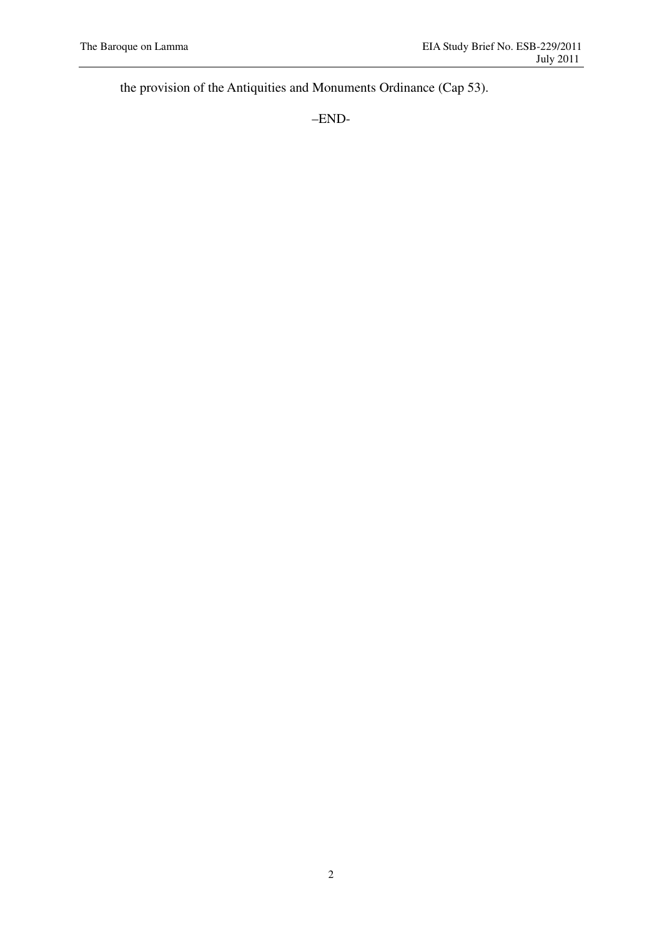the provision of the Antiquities and Monuments Ordinance (Cap 53).

–END-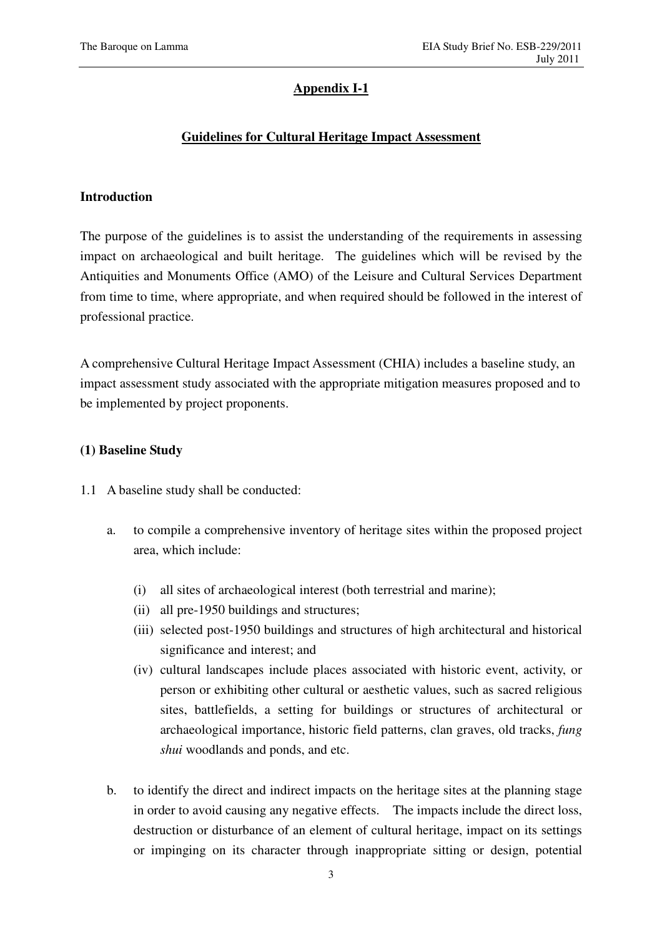## **Appendix I-1**

## **Guidelines for Cultural Heritage Impact Assessment**

## **Introduction**

The purpose of the guidelines is to assist the understanding of the requirements in assessing impact on archaeological and built heritage. The guidelines which will be revised by the Antiquities and Monuments Office (AMO) of the Leisure and Cultural Services Department from time to time, where appropriate, and when required should be followed in the interest of professional practice.

A comprehensive Cultural Heritage Impact Assessment (CHIA) includes a baseline study, an impact assessment study associated with the appropriate mitigation measures proposed and to be implemented by project proponents.

## **(1) Baseline Study**

- 1.1 A baseline study shall be conducted:
	- a. to compile a comprehensive inventory of heritage sites within the proposed project area, which include:
		- (i) all sites of archaeological interest (both terrestrial and marine);
		- (ii) all pre-1950 buildings and structures;
		- (iii) selected post-1950 buildings and structures of high architectural and historical significance and interest; and
		- (iv) cultural landscapes include places associated with historic event, activity, or person or exhibiting other cultural or aesthetic values, such as sacred religious sites, battlefields, a setting for buildings or structures of architectural or archaeological importance, historic field patterns, clan graves, old tracks, *fung shui* woodlands and ponds, and etc.
	- b. to identify the direct and indirect impacts on the heritage sites at the planning stage in order to avoid causing any negative effects. The impacts include the direct loss, destruction or disturbance of an element of cultural heritage, impact on its settings or impinging on its character through inappropriate sitting or design, potential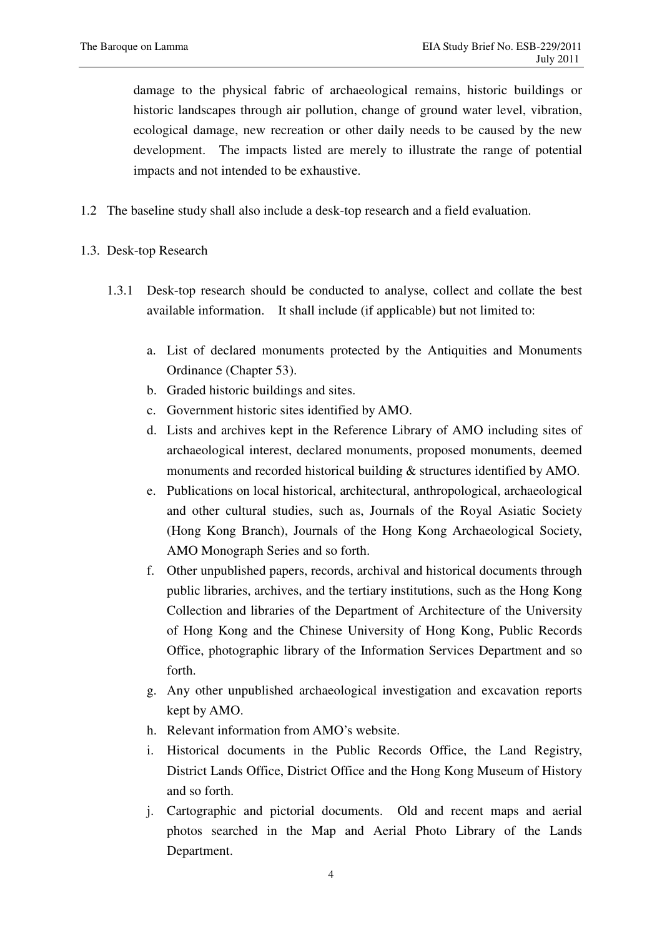damage to the physical fabric of archaeological remains, historic buildings or historic landscapes through air pollution, change of ground water level, vibration, ecological damage, new recreation or other daily needs to be caused by the new development. The impacts listed are merely to illustrate the range of potential impacts and not intended to be exhaustive.

- 1.2 The baseline study shall also include a desk-top research and a field evaluation.
- 1.3. Desk-top Research
	- 1.3.1 Desk-top research should be conducted to analyse, collect and collate the best available information. It shall include (if applicable) but not limited to:
		- a. List of declared monuments protected by the Antiquities and Monuments Ordinance (Chapter 53).
		- b. Graded historic buildings and sites.
		- c. Government historic sites identified by AMO.
		- d. Lists and archives kept in the Reference Library of AMO including sites of archaeological interest, declared monuments, proposed monuments, deemed monuments and recorded historical building & structures identified by AMO.
		- e. Publications on local historical, architectural, anthropological, archaeological and other cultural studies, such as, Journals of the Royal Asiatic Society (Hong Kong Branch), Journals of the Hong Kong Archaeological Society, AMO Monograph Series and so forth.
		- f. Other unpublished papers, records, archival and historical documents through public libraries, archives, and the tertiary institutions, such as the Hong Kong Collection and libraries of the Department of Architecture of the University of Hong Kong and the Chinese University of Hong Kong, Public Records Office, photographic library of the Information Services Department and so forth.
		- g. Any other unpublished archaeological investigation and excavation reports kept by AMO.
		- h. Relevant information from AMO's website.
		- i. Historical documents in the Public Records Office, the Land Registry, District Lands Office, District Office and the Hong Kong Museum of History and so forth.
		- j. Cartographic and pictorial documents. Old and recent maps and aerial photos searched in the Map and Aerial Photo Library of the Lands Department.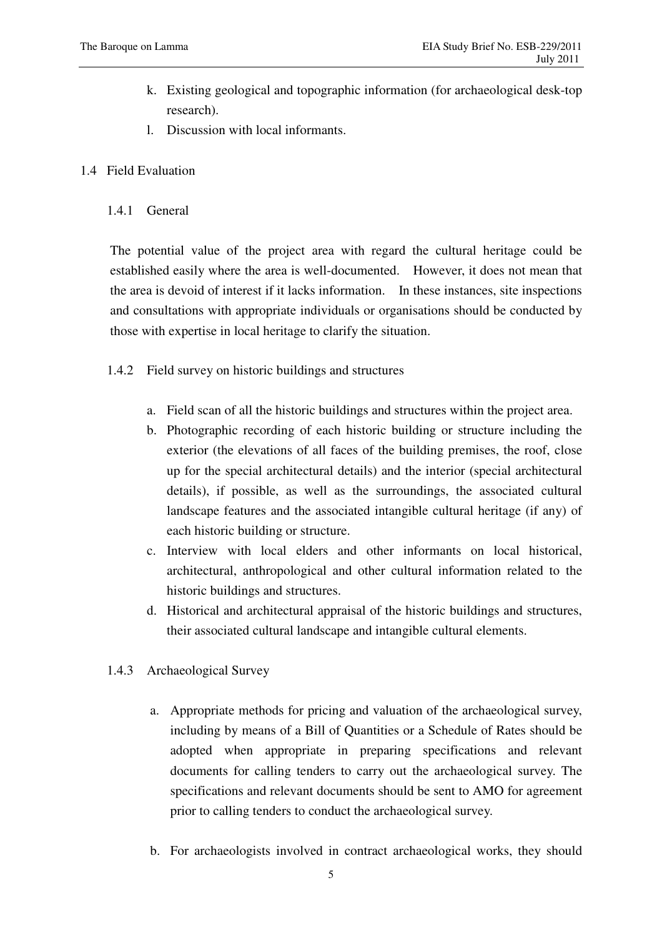- k. Existing geological and topographic information (for archaeological desk-top research).
- l. Discussion with local informants.
- 1.4 Field Evaluation
	- 1.4.1 General

The potential value of the project area with regard the cultural heritage could be established easily where the area is well-documented. However, it does not mean that the area is devoid of interest if it lacks information. In these instances, site inspections and consultations with appropriate individuals or organisations should be conducted by those with expertise in local heritage to clarify the situation.

- 1.4.2 Field survey on historic buildings and structures
	- a. Field scan of all the historic buildings and structures within the project area.
	- b. Photographic recording of each historic building or structure including the exterior (the elevations of all faces of the building premises, the roof, close up for the special architectural details) and the interior (special architectural details), if possible, as well as the surroundings, the associated cultural landscape features and the associated intangible cultural heritage (if any) of each historic building or structure.
	- c. Interview with local elders and other informants on local historical, architectural, anthropological and other cultural information related to the historic buildings and structures.
	- d. Historical and architectural appraisal of the historic buildings and structures, their associated cultural landscape and intangible cultural elements.
- 1.4.3 Archaeological Survey
	- a. Appropriate methods for pricing and valuation of the archaeological survey, including by means of a Bill of Quantities or a Schedule of Rates should be adopted when appropriate in preparing specifications and relevant documents for calling tenders to carry out the archaeological survey. The specifications and relevant documents should be sent to AMO for agreement prior to calling tenders to conduct the archaeological survey.
	- b. For archaeologists involved in contract archaeological works, they should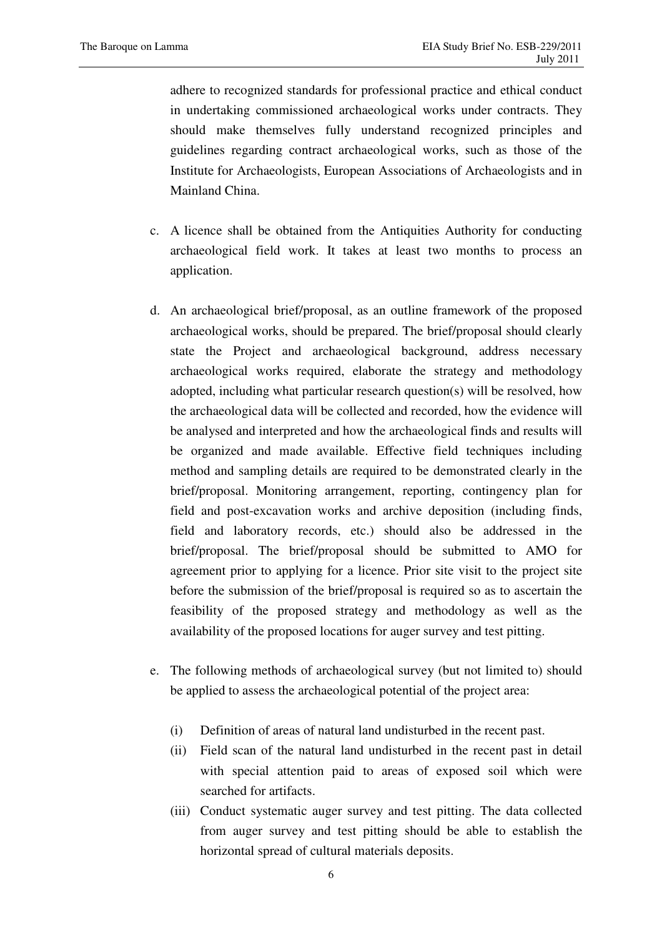adhere to recognized standards for professional practice and ethical conduct in undertaking commissioned archaeological works under contracts. They should make themselves fully understand recognized principles and guidelines regarding contract archaeological works, such as those of the Institute for Archaeologists, European Associations of Archaeologists and in Mainland China.

- c. A licence shall be obtained from the Antiquities Authority for conducting archaeological field work. It takes at least two months to process an application.
- d. An archaeological brief/proposal, as an outline framework of the proposed archaeological works, should be prepared. The brief/proposal should clearly state the Project and archaeological background, address necessary archaeological works required, elaborate the strategy and methodology adopted, including what particular research question(s) will be resolved, how the archaeological data will be collected and recorded, how the evidence will be analysed and interpreted and how the archaeological finds and results will be organized and made available. Effective field techniques including method and sampling details are required to be demonstrated clearly in the brief/proposal. Monitoring arrangement, reporting, contingency plan for field and post-excavation works and archive deposition (including finds, field and laboratory records, etc.) should also be addressed in the brief/proposal. The brief/proposal should be submitted to AMO for agreement prior to applying for a licence. Prior site visit to the project site before the submission of the brief/proposal is required so as to ascertain the feasibility of the proposed strategy and methodology as well as the availability of the proposed locations for auger survey and test pitting.
- e. The following methods of archaeological survey (but not limited to) should be applied to assess the archaeological potential of the project area:
	- (i) Definition of areas of natural land undisturbed in the recent past.
	- (ii) Field scan of the natural land undisturbed in the recent past in detail with special attention paid to areas of exposed soil which were searched for artifacts.
	- (iii) Conduct systematic auger survey and test pitting. The data collected from auger survey and test pitting should be able to establish the horizontal spread of cultural materials deposits.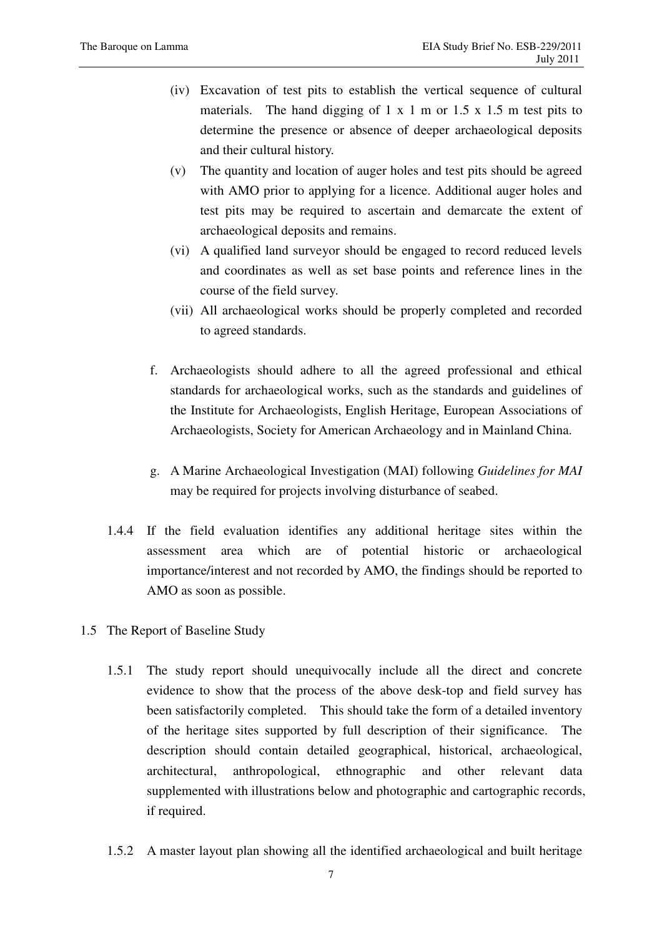- (iv) Excavation of test pits to establish the vertical sequence of cultural materials. The hand digging of  $1 \times 1$  m or  $1.5 \times 1.5$  m test pits to determine the presence or absence of deeper archaeological deposits and their cultural history.
- (v) The quantity and location of auger holes and test pits should be agreed with AMO prior to applying for a licence. Additional auger holes and test pits may be required to ascertain and demarcate the extent of archaeological deposits and remains.
- (vi) A qualified land surveyor should be engaged to record reduced levels and coordinates as well as set base points and reference lines in the course of the field survey.
- (vii) All archaeological works should be properly completed and recorded to agreed standards.
- f. Archaeologists should adhere to all the agreed professional and ethical standards for archaeological works, such as the standards and guidelines of the Institute for Archaeologists, English Heritage, European Associations of Archaeologists, Society for American Archaeology and in Mainland China.
- g. A Marine Archaeological Investigation (MAI) following *Guidelines for MAI* may be required for projects involving disturbance of seabed.
- 1.4.4 If the field evaluation identifies any additional heritage sites within the assessment area which are of potential historic or archaeological importance/interest and not recorded by AMO, the findings should be reported to AMO as soon as possible.
- 1.5 The Report of Baseline Study
	- 1.5.1 The study report should unequivocally include all the direct and concrete evidence to show that the process of the above desk-top and field survey has been satisfactorily completed. This should take the form of a detailed inventory of the heritage sites supported by full description of their significance. The description should contain detailed geographical, historical, archaeological, architectural, anthropological, ethnographic and other relevant data supplemented with illustrations below and photographic and cartographic records, if required.
	- 1.5.2 A master layout plan showing all the identified archaeological and built heritage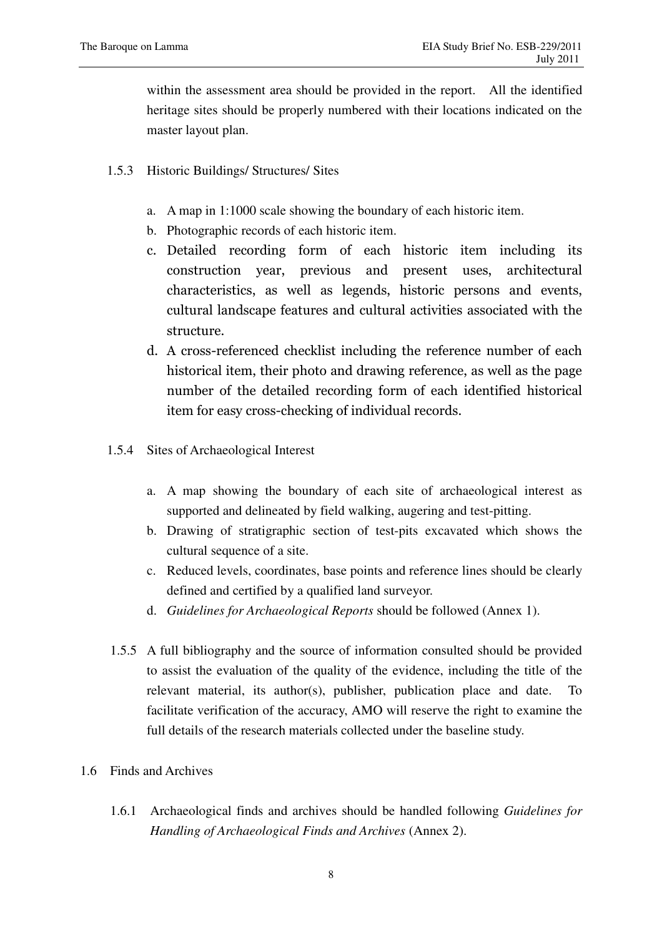within the assessment area should be provided in the report. All the identified heritage sites should be properly numbered with their locations indicated on the master layout plan.

- 1.5.3 Historic Buildings/ Structures/ Sites
	- a. A map in 1:1000 scale showing the boundary of each historic item.
	- b. Photographic records of each historic item.
	- c. Detailed recording form of each historic item including its construction year, previous and present uses, architectural characteristics, as well as legends, historic persons and events, cultural landscape features and cultural activities associated with the structure.
	- d. A cross-referenced checklist including the reference number of each historical item, their photo and drawing reference, as well as the page number of the detailed recording form of each identified historical item for easy cross-checking of individual records.
- 1.5.4 Sites of Archaeological Interest
	- a. A map showing the boundary of each site of archaeological interest as supported and delineated by field walking, augering and test-pitting.
	- b. Drawing of stratigraphic section of test-pits excavated which shows the cultural sequence of a site.
	- c. Reduced levels, coordinates, base points and reference lines should be clearly defined and certified by a qualified land surveyor.
	- d. *Guidelines for Archaeological Reports* should be followed (Annex 1).
- 1.5.5 A full bibliography and the source of information consulted should be provided to assist the evaluation of the quality of the evidence, including the title of the relevant material, its author(s), publisher, publication place and date. To facilitate verification of the accuracy, AMO will reserve the right to examine the full details of the research materials collected under the baseline study.
- 1.6 Finds and Archives
	- 1.6.1 Archaeological finds and archives should be handled following *Guidelines for Handling of Archaeological Finds and Archives* (Annex 2).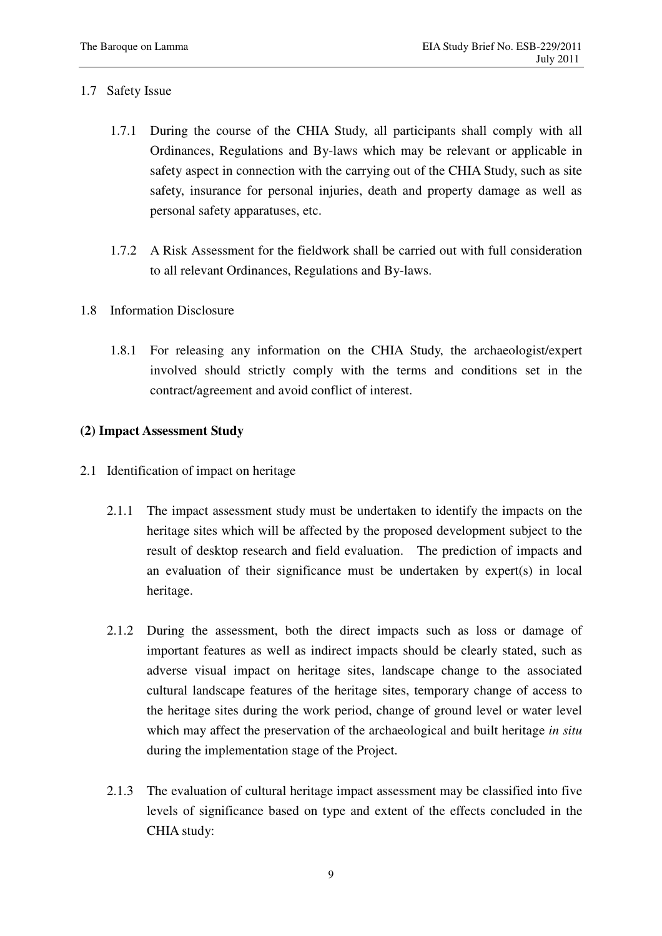## 1.7 Safety Issue

- 1.7.1 During the course of the CHIA Study, all participants shall comply with all Ordinances, Regulations and By-laws which may be relevant or applicable in safety aspect in connection with the carrying out of the CHIA Study, such as site safety, insurance for personal injuries, death and property damage as well as personal safety apparatuses, etc.
- 1.7.2 A Risk Assessment for the fieldwork shall be carried out with full consideration to all relevant Ordinances, Regulations and By-laws.
- 1.8 Information Disclosure
	- 1.8.1 For releasing any information on the CHIA Study, the archaeologist/expert involved should strictly comply with the terms and conditions set in the contract/agreement and avoid conflict of interest.

## **(2) Impact Assessment Study**

- 2.1 Identification of impact on heritage
	- 2.1.1 The impact assessment study must be undertaken to identify the impacts on the heritage sites which will be affected by the proposed development subject to the result of desktop research and field evaluation. The prediction of impacts and an evaluation of their significance must be undertaken by expert(s) in local heritage.
	- 2.1.2 During the assessment, both the direct impacts such as loss or damage of important features as well as indirect impacts should be clearly stated, such as adverse visual impact on heritage sites, landscape change to the associated cultural landscape features of the heritage sites, temporary change of access to the heritage sites during the work period, change of ground level or water level which may affect the preservation of the archaeological and built heritage *in situ* during the implementation stage of the Project.
	- 2.1.3 The evaluation of cultural heritage impact assessment may be classified into five levels of significance based on type and extent of the effects concluded in the CHIA study: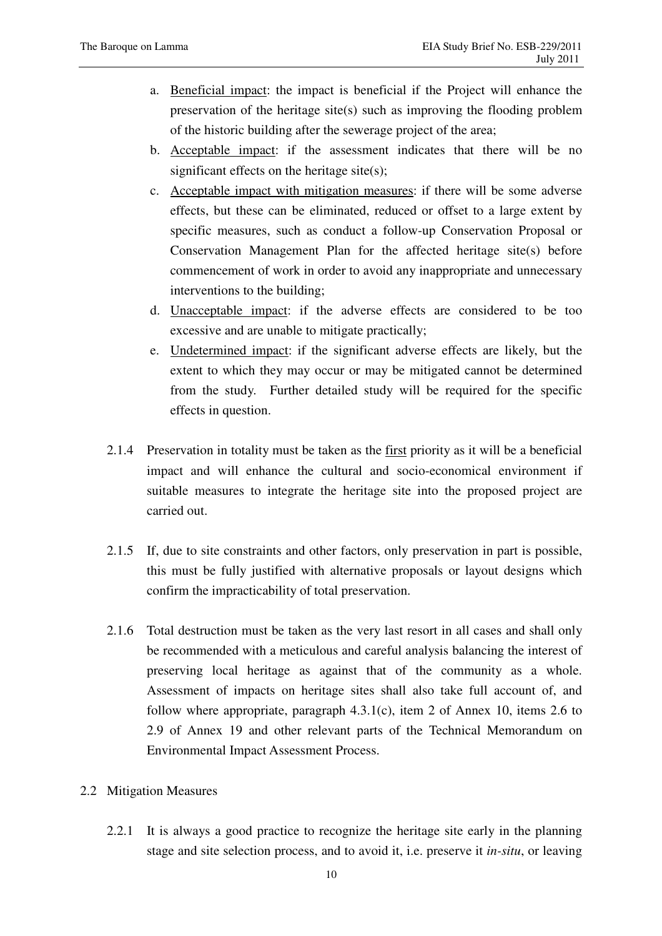- a. Beneficial impact: the impact is beneficial if the Project will enhance the preservation of the heritage site(s) such as improving the flooding problem of the historic building after the sewerage project of the area;
- b. Acceptable impact: if the assessment indicates that there will be no significant effects on the heritage site(s);
- c. Acceptable impact with mitigation measures: if there will be some adverse effects, but these can be eliminated, reduced or offset to a large extent by specific measures, such as conduct a follow-up Conservation Proposal or Conservation Management Plan for the affected heritage site(s) before commencement of work in order to avoid any inappropriate and unnecessary interventions to the building;
- d. Unacceptable impact: if the adverse effects are considered to be too excessive and are unable to mitigate practically;
- e. Undetermined impact: if the significant adverse effects are likely, but the extent to which they may occur or may be mitigated cannot be determined from the study. Further detailed study will be required for the specific effects in question.
- 2.1.4 Preservation in totality must be taken as the first priority as it will be a beneficial impact and will enhance the cultural and socio-economical environment if suitable measures to integrate the heritage site into the proposed project are carried out.
- 2.1.5 If, due to site constraints and other factors, only preservation in part is possible, this must be fully justified with alternative proposals or layout designs which confirm the impracticability of total preservation.
- 2.1.6 Total destruction must be taken as the very last resort in all cases and shall only be recommended with a meticulous and careful analysis balancing the interest of preserving local heritage as against that of the community as a whole. Assessment of impacts on heritage sites shall also take full account of, and follow where appropriate, paragraph 4.3.1(c), item 2 of Annex 10, items 2.6 to 2.9 of Annex 19 and other relevant parts of the Technical Memorandum on Environmental Impact Assessment Process.
- 2.2 Mitigation Measures
	- 2.2.1 It is always a good practice to recognize the heritage site early in the planning stage and site selection process, and to avoid it, i.e. preserve it *in-situ*, or leaving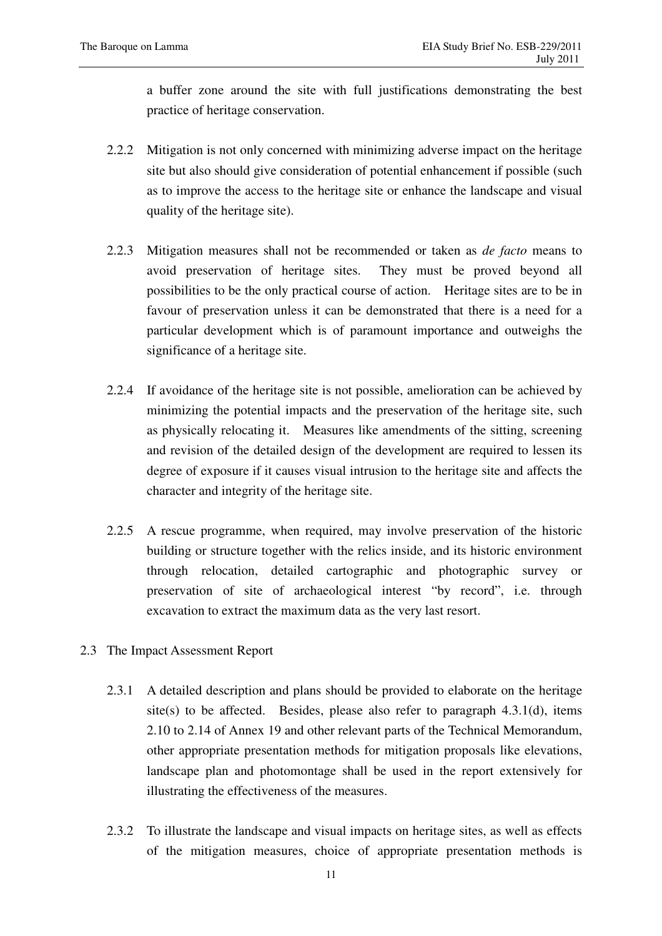a buffer zone around the site with full justifications demonstrating the best practice of heritage conservation.

- 2.2.2 Mitigation is not only concerned with minimizing adverse impact on the heritage site but also should give consideration of potential enhancement if possible (such as to improve the access to the heritage site or enhance the landscape and visual quality of the heritage site).
- 2.2.3 Mitigation measures shall not be recommended or taken as *de facto* means to avoid preservation of heritage sites. They must be proved beyond all possibilities to be the only practical course of action. Heritage sites are to be in favour of preservation unless it can be demonstrated that there is a need for a particular development which is of paramount importance and outweighs the significance of a heritage site.
- 2.2.4 If avoidance of the heritage site is not possible, amelioration can be achieved by minimizing the potential impacts and the preservation of the heritage site, such as physically relocating it. Measures like amendments of the sitting, screening and revision of the detailed design of the development are required to lessen its degree of exposure if it causes visual intrusion to the heritage site and affects the character and integrity of the heritage site.
- 2.2.5 A rescue programme, when required, may involve preservation of the historic building or structure together with the relics inside, and its historic environment through relocation, detailed cartographic and photographic survey or preservation of site of archaeological interest "by record", i.e. through excavation to extract the maximum data as the very last resort.
- 2.3 The Impact Assessment Report
	- 2.3.1 A detailed description and plans should be provided to elaborate on the heritage site(s) to be affected. Besides, please also refer to paragraph  $4.3.1(d)$ , items 2.10 to 2.14 of Annex 19 and other relevant parts of the Technical Memorandum, other appropriate presentation methods for mitigation proposals like elevations, landscape plan and photomontage shall be used in the report extensively for illustrating the effectiveness of the measures.
	- 2.3.2 To illustrate the landscape and visual impacts on heritage sites, as well as effects of the mitigation measures, choice of appropriate presentation methods is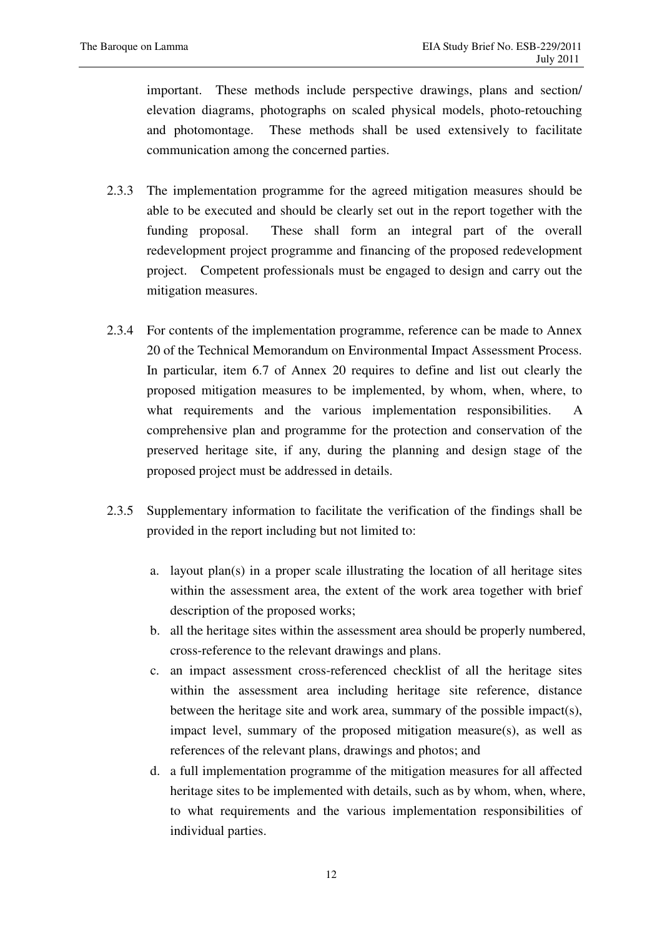important. These methods include perspective drawings, plans and section/ elevation diagrams, photographs on scaled physical models, photo-retouching and photomontage. These methods shall be used extensively to facilitate communication among the concerned parties.

- 2.3.3 The implementation programme for the agreed mitigation measures should be able to be executed and should be clearly set out in the report together with the funding proposal. These shall form an integral part of the overall redevelopment project programme and financing of the proposed redevelopment project. Competent professionals must be engaged to design and carry out the mitigation measures.
- 2.3.4 For contents of the implementation programme, reference can be made to Annex 20 of the Technical Memorandum on Environmental Impact Assessment Process. In particular, item 6.7 of Annex 20 requires to define and list out clearly the proposed mitigation measures to be implemented, by whom, when, where, to what requirements and the various implementation responsibilities. A comprehensive plan and programme for the protection and conservation of the preserved heritage site, if any, during the planning and design stage of the proposed project must be addressed in details.
- 2.3.5 Supplementary information to facilitate the verification of the findings shall be provided in the report including but not limited to:
	- a. layout  $plan(s)$  in a proper scale illustrating the location of all heritage sites within the assessment area, the extent of the work area together with brief description of the proposed works;
	- b. all the heritage sites within the assessment area should be properly numbered, cross-reference to the relevant drawings and plans.
	- c. an impact assessment cross-referenced checklist of all the heritage sites within the assessment area including heritage site reference, distance between the heritage site and work area, summary of the possible impact(s), impact level, summary of the proposed mitigation measure(s), as well as references of the relevant plans, drawings and photos; and
	- d. a full implementation programme of the mitigation measures for all affected heritage sites to be implemented with details, such as by whom, when, where, to what requirements and the various implementation responsibilities of individual parties.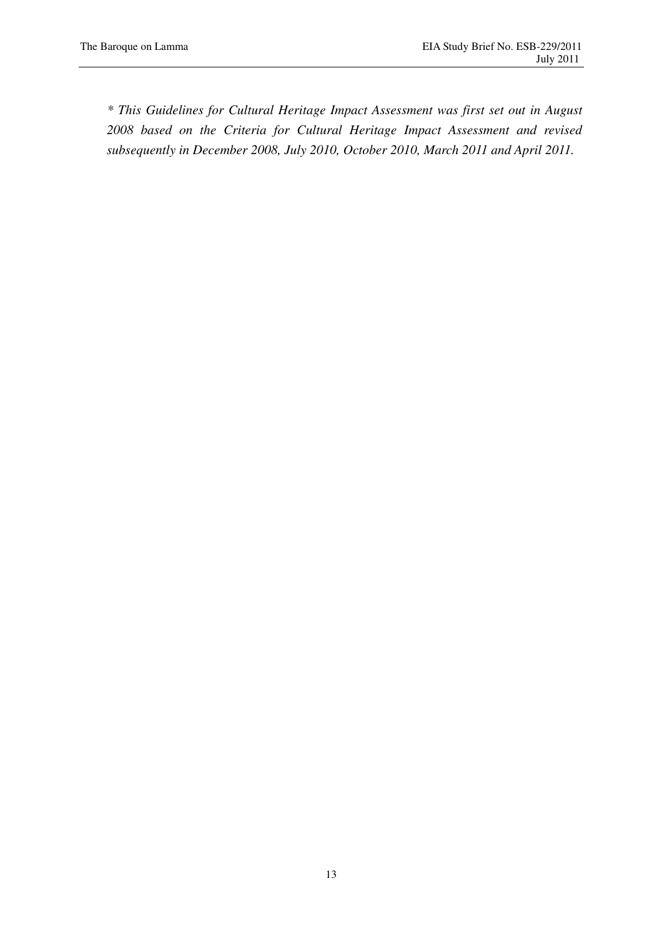*\* This Guidelines for Cultural Heritage Impact Assessment was first set out in August 2008 based on the Criteria for Cultural Heritage Impact Assessment and revised subsequently in December 2008, July 2010, October 2010, March 2011 and April 2011.*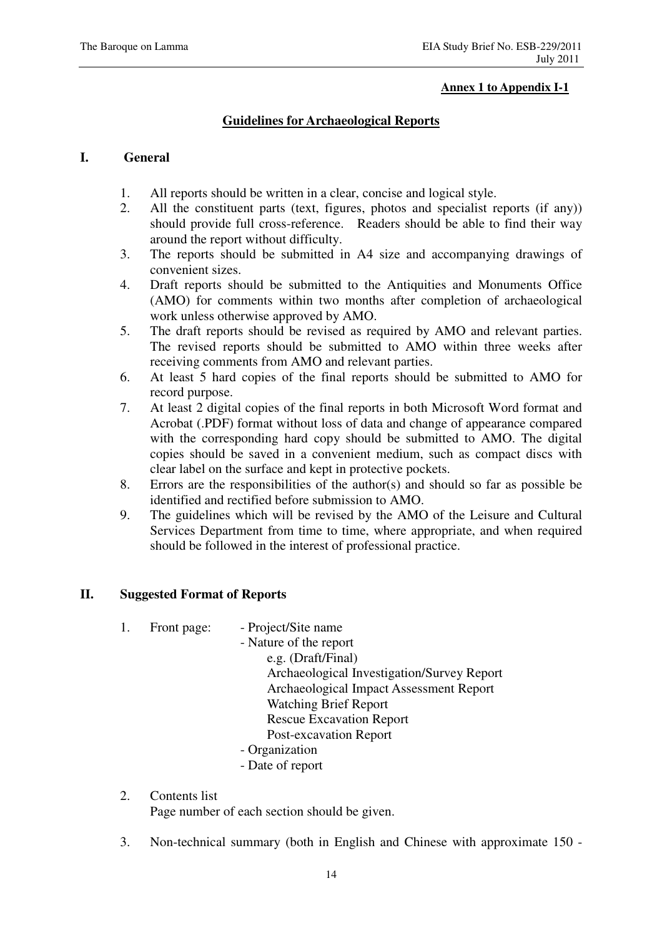#### **Annex 1 to Appendix I-1**

## **Guidelines for Archaeological Reports**

## **I. General**

- 1. All reports should be written in a clear, concise and logical style.
- 2. All the constituent parts (text, figures, photos and specialist reports (if any)) should provide full cross-reference. Readers should be able to find their way around the report without difficulty.
- 3. The reports should be submitted in A4 size and accompanying drawings of convenient sizes.
- 4. Draft reports should be submitted to the Antiquities and Monuments Office (AMO) for comments within two months after completion of archaeological work unless otherwise approved by AMO.
- 5. The draft reports should be revised as required by AMO and relevant parties. The revised reports should be submitted to AMO within three weeks after receiving comments from AMO and relevant parties.
- 6. At least 5 hard copies of the final reports should be submitted to AMO for record purpose.
- 7. At least 2 digital copies of the final reports in both Microsoft Word format and Acrobat (.PDF) format without loss of data and change of appearance compared with the corresponding hard copy should be submitted to AMO. The digital copies should be saved in a convenient medium, such as compact discs with clear label on the surface and kept in protective pockets.
- 8. Errors are the responsibilities of the author(s) and should so far as possible be identified and rectified before submission to AMO.
- 9. The guidelines which will be revised by the AMO of the Leisure and Cultural Services Department from time to time, where appropriate, and when required should be followed in the interest of professional practice.

## **II. Suggested Format of Reports**

| 1. | Front page: | - Project/Site name |
|----|-------------|---------------------|
|----|-------------|---------------------|

- Nature of the report e.g. (Draft/Final) Archaeological Investigation/Survey Report Archaeological Impact Assessment Report Watching Brief Report Rescue Excavation Report Post-excavation Report
- Organization
- Date of report
- 2. Contents list Page number of each section should be given.
- 3. Non-technical summary (both in English and Chinese with approximate 150 -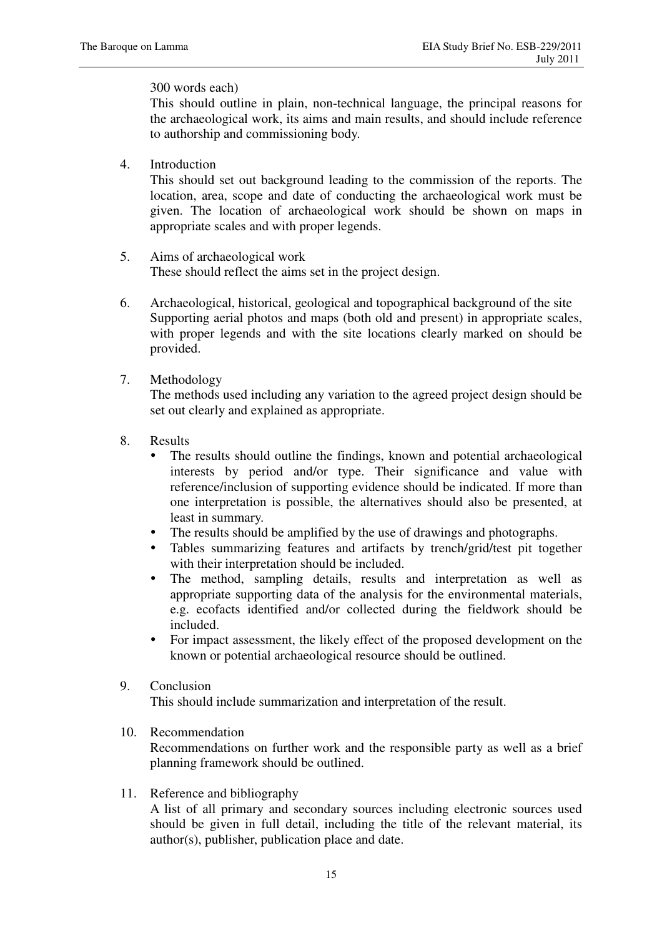## 300 words each)

This should outline in plain, non-technical language, the principal reasons for the archaeological work, its aims and main results, and should include reference to authorship and commissioning body.

4. Introduction

This should set out background leading to the commission of the reports. The location, area, scope and date of conducting the archaeological work must be given. The location of archaeological work should be shown on maps in appropriate scales and with proper legends.

- 5. Aims of archaeological work These should reflect the aims set in the project design.
- 6. Archaeological, historical, geological and topographical background of the site Supporting aerial photos and maps (both old and present) in appropriate scales, with proper legends and with the site locations clearly marked on should be provided.
- 7. Methodology

The methods used including any variation to the agreed project design should be set out clearly and explained as appropriate.

- 8. Results
	- The results should outline the findings, known and potential archaeological interests by period and/or type. Their significance and value with reference/inclusion of supporting evidence should be indicated. If more than one interpretation is possible, the alternatives should also be presented, at least in summary.
	- The results should be amplified by the use of drawings and photographs.
	- Tables summarizing features and artifacts by trench/grid/test pit together with their interpretation should be included.
	- The method, sampling details, results and interpretation as well as appropriate supporting data of the analysis for the environmental materials, e.g. ecofacts identified and/or collected during the fieldwork should be included.
	- For impact assessment, the likely effect of the proposed development on the known or potential archaeological resource should be outlined.
- 9. Conclusion

This should include summarization and interpretation of the result.

10. Recommendation

Recommendations on further work and the responsible party as well as a brief planning framework should be outlined.

11. Reference and bibliography

A list of all primary and secondary sources including electronic sources used should be given in full detail, including the title of the relevant material, its author(s), publisher, publication place and date.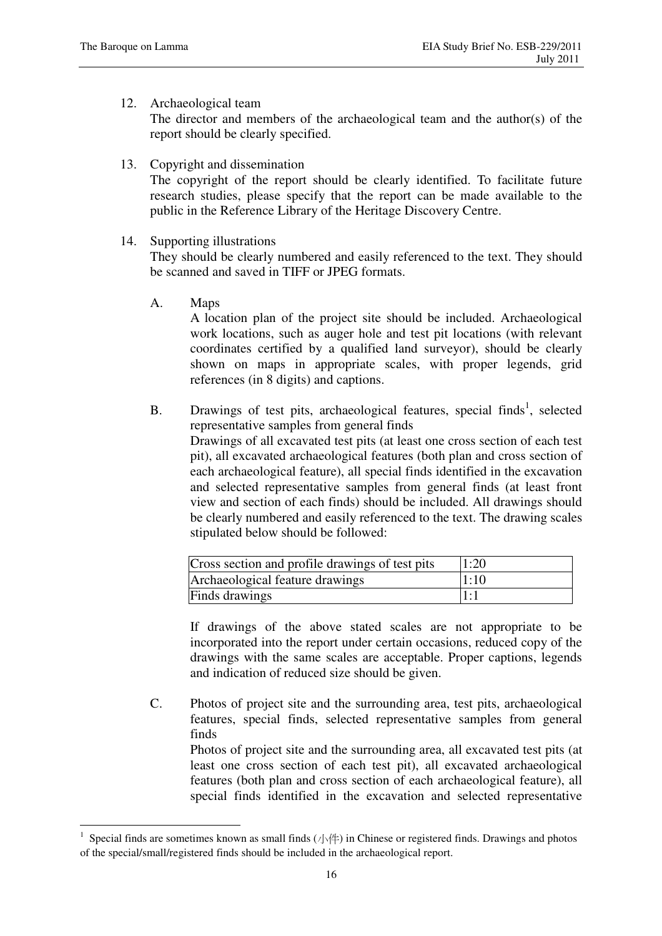#### 12. Archaeological team

The director and members of the archaeological team and the author(s) of the report should be clearly specified.

13. Copyright and dissemination

The copyright of the report should be clearly identified. To facilitate future research studies, please specify that the report can be made available to the public in the Reference Library of the Heritage Discovery Centre.

14. Supporting illustrations

They should be clearly numbered and easily referenced to the text. They should be scanned and saved in TIFF or JPEG formats.

A. Maps

 $\overline{a}$ 

 A location plan of the project site should be included. Archaeological work locations, such as auger hole and test pit locations (with relevant coordinates certified by a qualified land surveyor), should be clearly shown on maps in appropriate scales, with proper legends, grid references (in 8 digits) and captions.

B. Drawings of test pits, archaeological features, special finds<sup>1</sup>, selected representative samples from general finds Drawings of all excavated test pits (at least one cross section of each test pit), all excavated archaeological features (both plan and cross section of each archaeological feature), all special finds identified in the excavation and selected representative samples from general finds (at least front view and section of each finds) should be included. All drawings should be clearly numbered and easily referenced to the text. The drawing scales stipulated below should be followed:

| Cross section and profile drawings of test pits | 1:20 |
|-------------------------------------------------|------|
| Archaeological feature drawings                 | 1:10 |
| Finds drawings                                  | 1:1  |

 If drawings of the above stated scales are not appropriate to be incorporated into the report under certain occasions, reduced copy of the drawings with the same scales are acceptable. Proper captions, legends and indication of reduced size should be given.

C. Photos of project site and the surrounding area, test pits, archaeological features, special finds, selected representative samples from general finds

Photos of project site and the surrounding area, all excavated test pits (at least one cross section of each test pit), all excavated archaeological features (both plan and cross section of each archaeological feature), all special finds identified in the excavation and selected representative

<sup>1</sup> Special finds are sometimes known as small finds  $(\sqrt{|\cdot|})$  in Chinese or registered finds. Drawings and photos of the special/small/registered finds should be included in the archaeological report.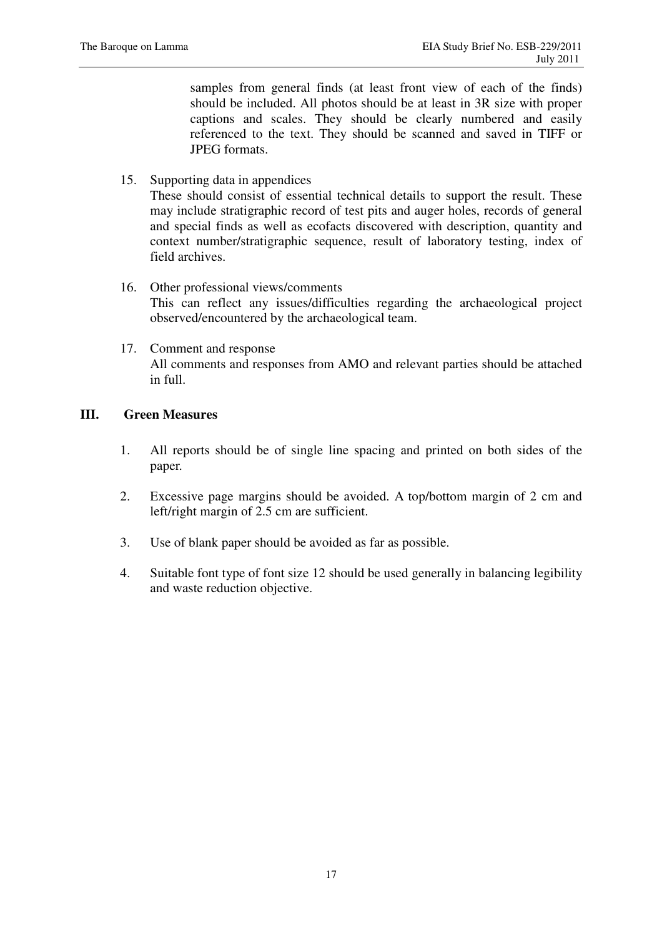samples from general finds (at least front view of each of the finds) should be included. All photos should be at least in 3R size with proper captions and scales. They should be clearly numbered and easily referenced to the text. They should be scanned and saved in TIFF or JPEG formats.

15. Supporting data in appendices

These should consist of essential technical details to support the result. These may include stratigraphic record of test pits and auger holes, records of general and special finds as well as ecofacts discovered with description, quantity and context number/stratigraphic sequence, result of laboratory testing, index of field archives.

- 16. Other professional views/comments This can reflect any issues/difficulties regarding the archaeological project observed/encountered by the archaeological team.
- 17. Comment and response All comments and responses from AMO and relevant parties should be attached in full.

#### **III. Green Measures**

- 1. All reports should be of single line spacing and printed on both sides of the paper.
- 2. Excessive page margins should be avoided. A top/bottom margin of 2 cm and left/right margin of 2.5 cm are sufficient.
- 3. Use of blank paper should be avoided as far as possible.
- 4. Suitable font type of font size 12 should be used generally in balancing legibility and waste reduction objective.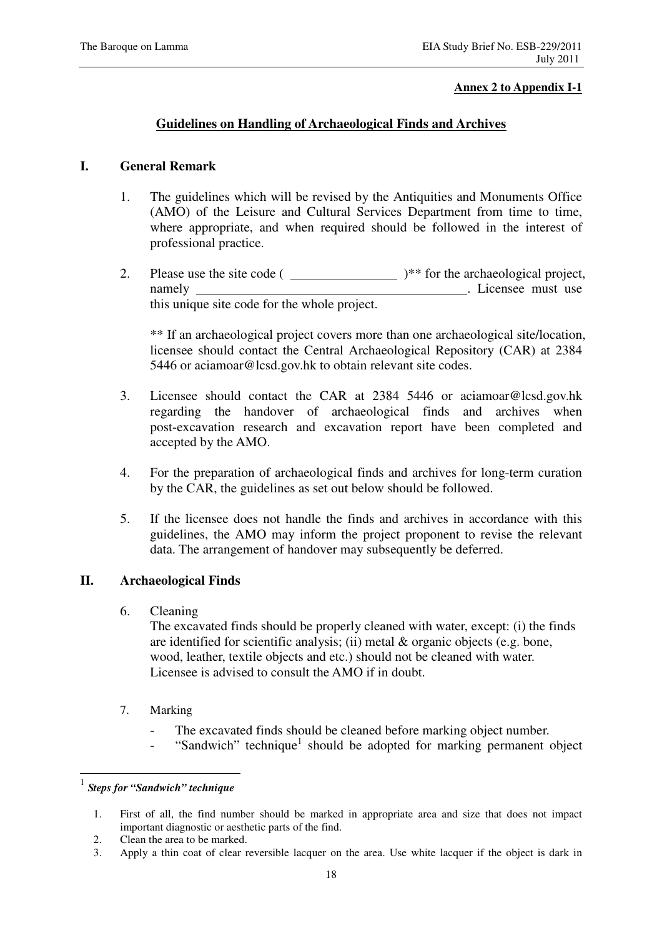#### **Annex 2 to Appendix I-1**

## **Guidelines on Handling of Archaeological Finds and Archives**

## **I. General Remark**

- 1. The guidelines which will be revised by the Antiquities and Monuments Office (AMO) of the Leisure and Cultural Services Department from time to time, where appropriate, and when required should be followed in the interest of professional practice.
- 2. Please use the site code  $($   $)**$  for the archaeological project, namely . Licensee must use this unique site code for the whole project.

\*\* If an archaeological project covers more than one archaeological site/location, licensee should contact the Central Archaeological Repository (CAR) at 2384 5446 or aciamoar@lcsd.gov.hk to obtain relevant site codes.

- 3. Licensee should contact the CAR at 2384 5446 or aciamoar@lcsd.gov.hk regarding the handover of archaeological finds and archives when post-excavation research and excavation report have been completed and accepted by the AMO.
- 4. For the preparation of archaeological finds and archives for long-term curation by the CAR, the guidelines as set out below should be followed.
- 5. If the licensee does not handle the finds and archives in accordance with this guidelines, the AMO may inform the project proponent to revise the relevant data. The arrangement of handover may subsequently be deferred.

## **II. Archaeological Finds**

6. Cleaning

The excavated finds should be properly cleaned with water, except: (i) the finds are identified for scientific analysis; (ii) metal & organic objects (e.g. bone, wood, leather, textile objects and etc.) should not be cleaned with water. Licensee is advised to consult the AMO if in doubt.

- 7. Marking
	- The excavated finds should be cleaned before marking object number.
	- "Sandwich" technique<sup>1</sup> should be adopted for marking permanent object

 $\overline{a}$ 

- 2. Clean the area to be marked.
- 3. Apply a thin coat of clear reversible lacquer on the area. Use white lacquer if the object is dark in

<sup>1</sup> *Steps for "Sandwich" technique* 

<sup>1.</sup> First of all, the find number should be marked in appropriate area and size that does not impact important diagnostic or aesthetic parts of the find.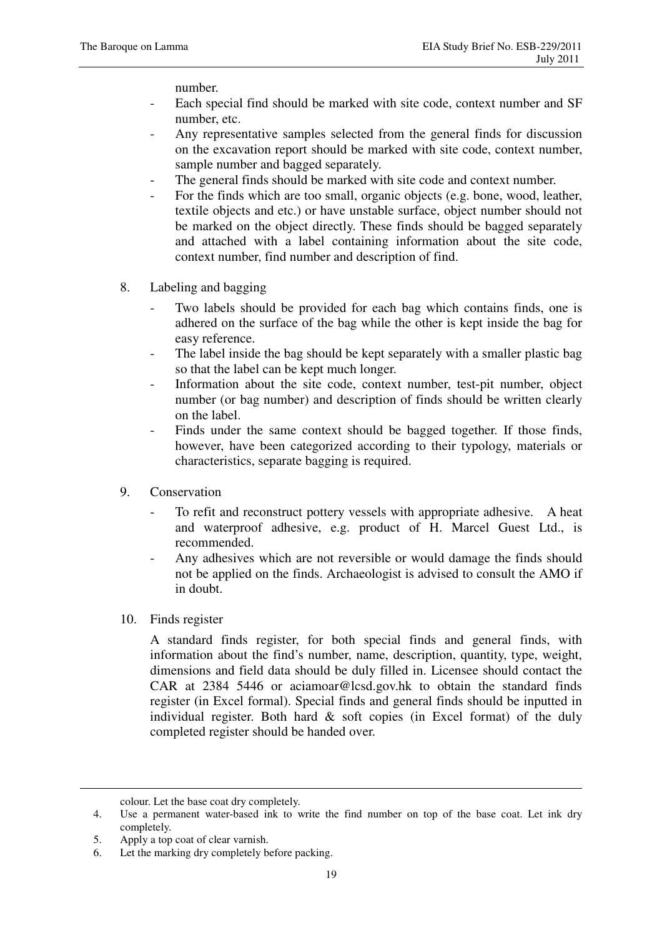number.

- Each special find should be marked with site code, context number and SF number, etc.
- Any representative samples selected from the general finds for discussion on the excavation report should be marked with site code, context number, sample number and bagged separately.
- The general finds should be marked with site code and context number.
- For the finds which are too small, organic objects (e.g. bone, wood, leather, textile objects and etc.) or have unstable surface, object number should not be marked on the object directly. These finds should be bagged separately and attached with a label containing information about the site code, context number, find number and description of find.
- 8. Labeling and bagging
	- Two labels should be provided for each bag which contains finds, one is adhered on the surface of the bag while the other is kept inside the bag for easy reference.
	- The label inside the bag should be kept separately with a smaller plastic bag so that the label can be kept much longer.
	- Information about the site code, context number, test-pit number, object number (or bag number) and description of finds should be written clearly on the label.
	- Finds under the same context should be bagged together. If those finds, however, have been categorized according to their typology, materials or characteristics, separate bagging is required.
- 9. Conservation
	- To refit and reconstruct pottery vessels with appropriate adhesive. A heat and waterproof adhesive, e.g. product of H. Marcel Guest Ltd., is recommended.
	- Any adhesives which are not reversible or would damage the finds should not be applied on the finds. Archaeologist is advised to consult the AMO if in doubt.
- 10. Finds register

A standard finds register, for both special finds and general finds, with information about the find's number, name, description, quantity, type, weight, dimensions and field data should be duly filled in. Licensee should contact the CAR at 2384 5446 or aciamoar@lcsd.gov.hk to obtain the standard finds register (in Excel formal). Special finds and general finds should be inputted in individual register. Both hard  $\&$  soft copies (in Excel format) of the duly completed register should be handed over.

 $\overline{a}$ 

colour. Let the base coat dry completely.

<sup>4.</sup> Use a permanent water-based ink to write the find number on top of the base coat. Let ink dry completely.

<sup>5.</sup> Apply a top coat of clear varnish.

<sup>6.</sup> Let the marking dry completely before packing.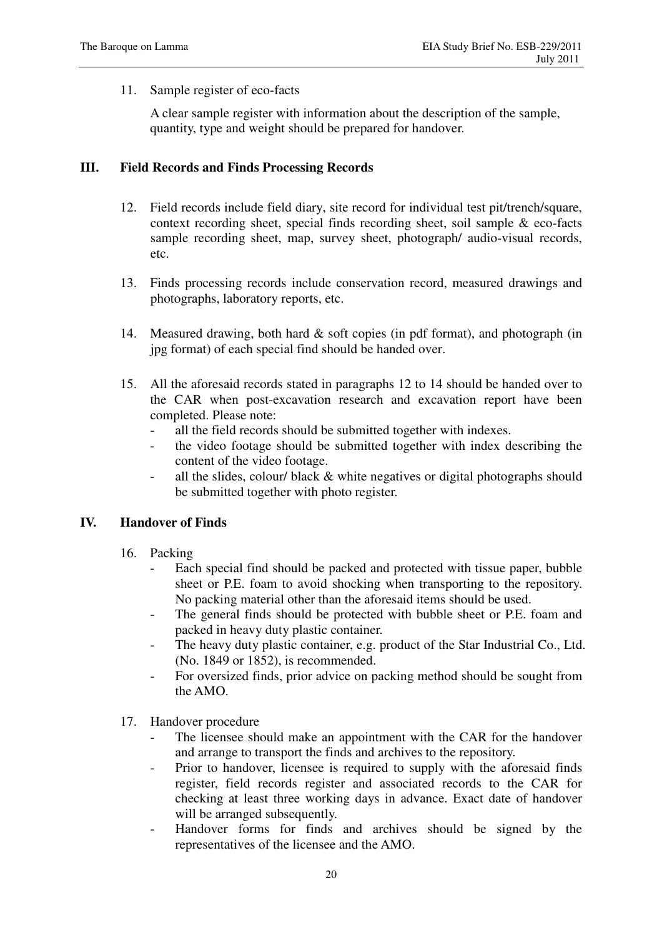11. Sample register of eco-facts

A clear sample register with information about the description of the sample, quantity, type and weight should be prepared for handover.

## **III. Field Records and Finds Processing Records**

- 12. Field records include field diary, site record for individual test pit/trench/square, context recording sheet, special finds recording sheet, soil sample & eco-facts sample recording sheet, map, survey sheet, photograph/ audio-visual records, etc.
- 13. Finds processing records include conservation record, measured drawings and photographs, laboratory reports, etc.
- 14. Measured drawing, both hard & soft copies (in pdf format), and photograph (in jpg format) of each special find should be handed over.
- 15. All the aforesaid records stated in paragraphs 12 to 14 should be handed over to the CAR when post-excavation research and excavation report have been completed. Please note:
	- all the field records should be submitted together with indexes.
	- the video footage should be submitted together with index describing the content of the video footage.
	- all the slides, colour/ black & white negatives or digital photographs should be submitted together with photo register.

#### **IV. Handover of Finds**

- 16. Packing
	- Each special find should be packed and protected with tissue paper, bubble sheet or P.E. foam to avoid shocking when transporting to the repository. No packing material other than the aforesaid items should be used.
	- The general finds should be protected with bubble sheet or P.E. foam and packed in heavy duty plastic container.
	- The heavy duty plastic container, e.g. product of the Star Industrial Co., Ltd. (No. 1849 or 1852), is recommended.
	- For oversized finds, prior advice on packing method should be sought from the AMO.
- 17. Handover procedure
	- The licensee should make an appointment with the CAR for the handover and arrange to transport the finds and archives to the repository.
	- Prior to handover, licensee is required to supply with the aforesaid finds register, field records register and associated records to the CAR for checking at least three working days in advance. Exact date of handover will be arranged subsequently.
	- Handover forms for finds and archives should be signed by the representatives of the licensee and the AMO.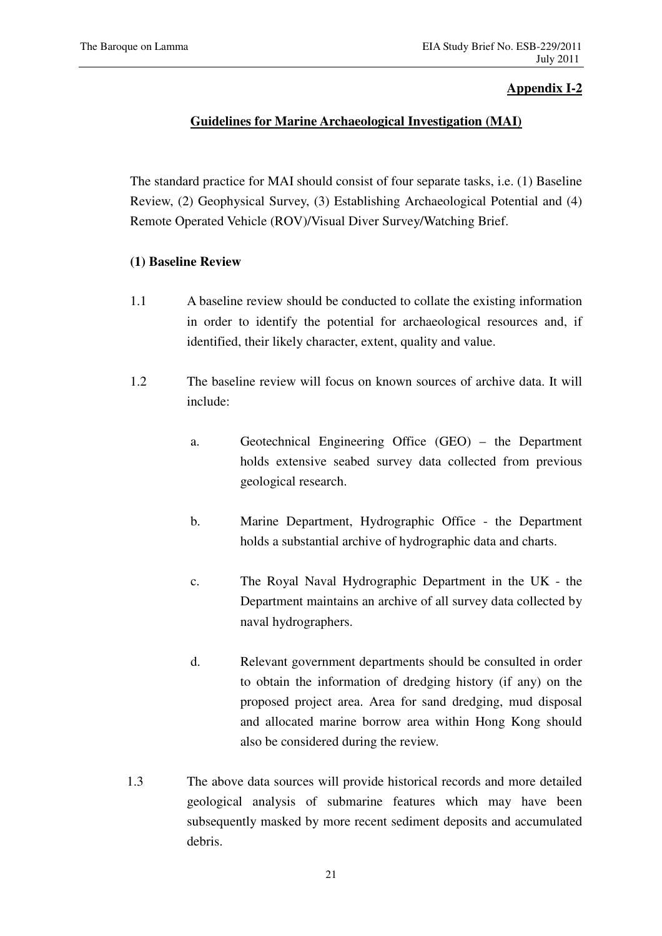## **Appendix I-2**

## **Guidelines for Marine Archaeological Investigation (MAI)**

The standard practice for MAI should consist of four separate tasks, i.e. (1) Baseline Review, (2) Geophysical Survey, (3) Establishing Archaeological Potential and (4) Remote Operated Vehicle (ROV)/Visual Diver Survey/Watching Brief.

## **(1) Baseline Review**

- 1.1 A baseline review should be conducted to collate the existing information in order to identify the potential for archaeological resources and, if identified, their likely character, extent, quality and value.
- 1.2 The baseline review will focus on known sources of archive data. It will include:
	- a. Geotechnical Engineering Office (GEO) the Department holds extensive seabed survey data collected from previous geological research.
	- b. Marine Department, Hydrographic Office the Department holds a substantial archive of hydrographic data and charts.
	- c. The Royal Naval Hydrographic Department in the UK the Department maintains an archive of all survey data collected by naval hydrographers.
	- d. Relevant government departments should be consulted in order to obtain the information of dredging history (if any) on the proposed project area. Area for sand dredging, mud disposal and allocated marine borrow area within Hong Kong should also be considered during the review.
- 1.3 The above data sources will provide historical records and more detailed geological analysis of submarine features which may have been subsequently masked by more recent sediment deposits and accumulated debris.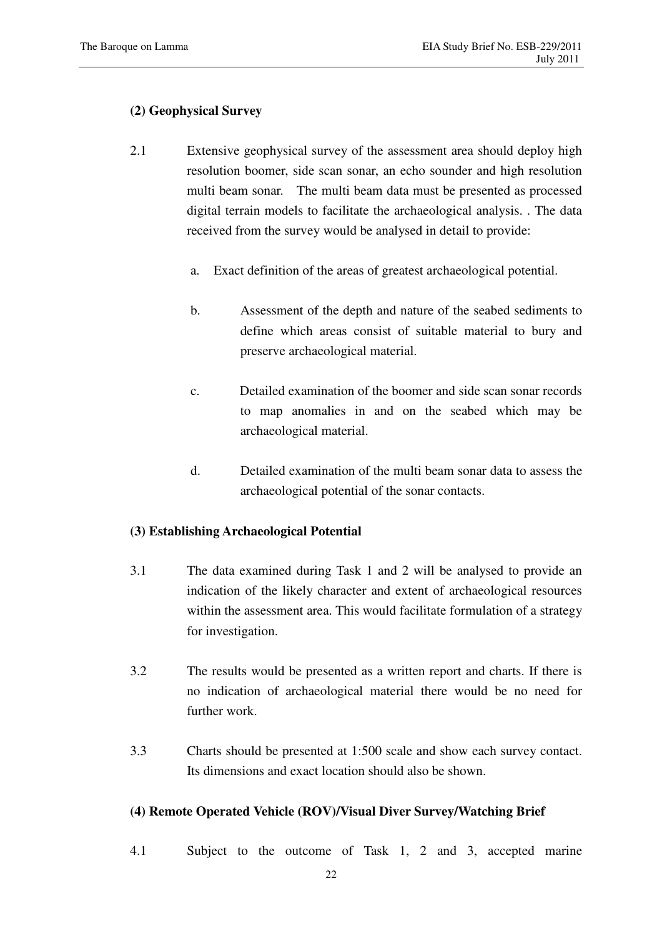## **(2) Geophysical Survey**

- 2.1 Extensive geophysical survey of the assessment area should deploy high resolution boomer, side scan sonar, an echo sounder and high resolution multi beam sonar. The multi beam data must be presented as processed digital terrain models to facilitate the archaeological analysis. . The data received from the survey would be analysed in detail to provide:
	- a. Exact definition of the areas of greatest archaeological potential.
	- b. Assessment of the depth and nature of the seabed sediments to define which areas consist of suitable material to bury and preserve archaeological material.
	- c. Detailed examination of the boomer and side scan sonar records to map anomalies in and on the seabed which may be archaeological material.
	- d. Detailed examination of the multi beam sonar data to assess the archaeological potential of the sonar contacts.

## **(3) Establishing Archaeological Potential**

- 3.1 The data examined during Task 1 and 2 will be analysed to provide an indication of the likely character and extent of archaeological resources within the assessment area. This would facilitate formulation of a strategy for investigation.
- 3.2 The results would be presented as a written report and charts. If there is no indication of archaeological material there would be no need for further work.
- 3.3 Charts should be presented at 1:500 scale and show each survey contact. Its dimensions and exact location should also be shown.

## **(4) Remote Operated Vehicle (ROV)/Visual Diver Survey/Watching Brief**

4.1 Subject to the outcome of Task 1, 2 and 3, accepted marine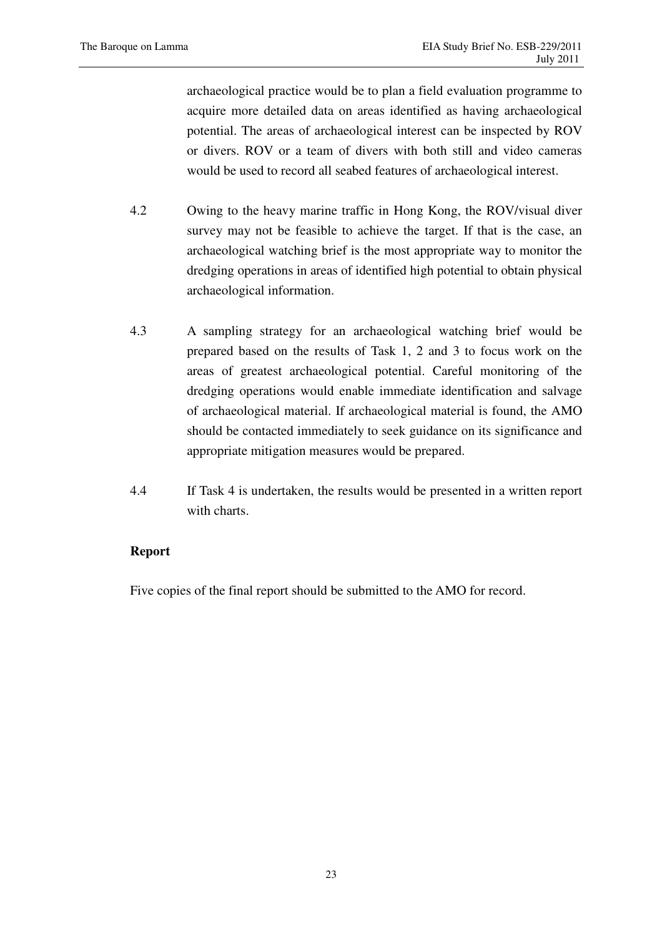archaeological practice would be to plan a field evaluation programme to acquire more detailed data on areas identified as having archaeological potential. The areas of archaeological interest can be inspected by ROV or divers. ROV or a team of divers with both still and video cameras would be used to record all seabed features of archaeological interest.

- 4.2 Owing to the heavy marine traffic in Hong Kong, the ROV/visual diver survey may not be feasible to achieve the target. If that is the case, an archaeological watching brief is the most appropriate way to monitor the dredging operations in areas of identified high potential to obtain physical archaeological information.
- 4.3 A sampling strategy for an archaeological watching brief would be prepared based on the results of Task 1, 2 and 3 to focus work on the areas of greatest archaeological potential. Careful monitoring of the dredging operations would enable immediate identification and salvage of archaeological material. If archaeological material is found, the AMO should be contacted immediately to seek guidance on its significance and appropriate mitigation measures would be prepared.
- 4.4 If Task 4 is undertaken, the results would be presented in a written report with charts.

## **Report**

Five copies of the final report should be submitted to the AMO for record.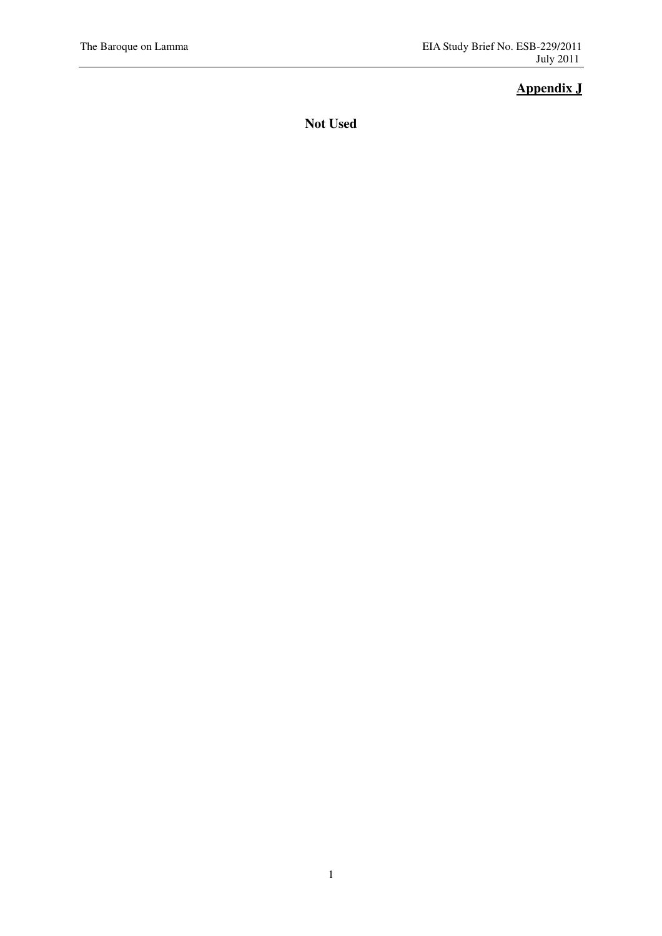# **Appendix J**

**Not Used**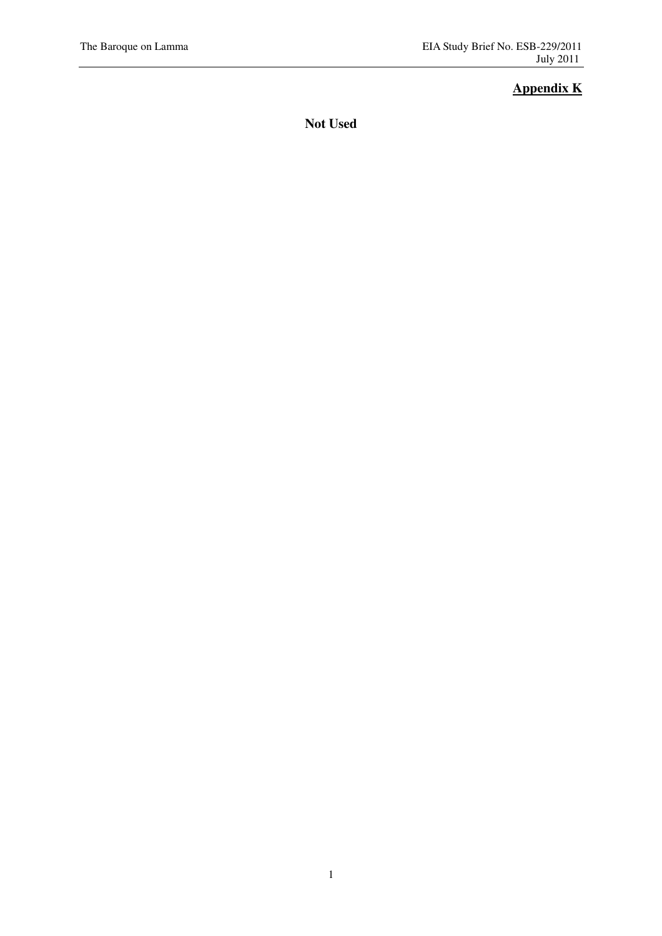# **Appendix K**

**Not Used**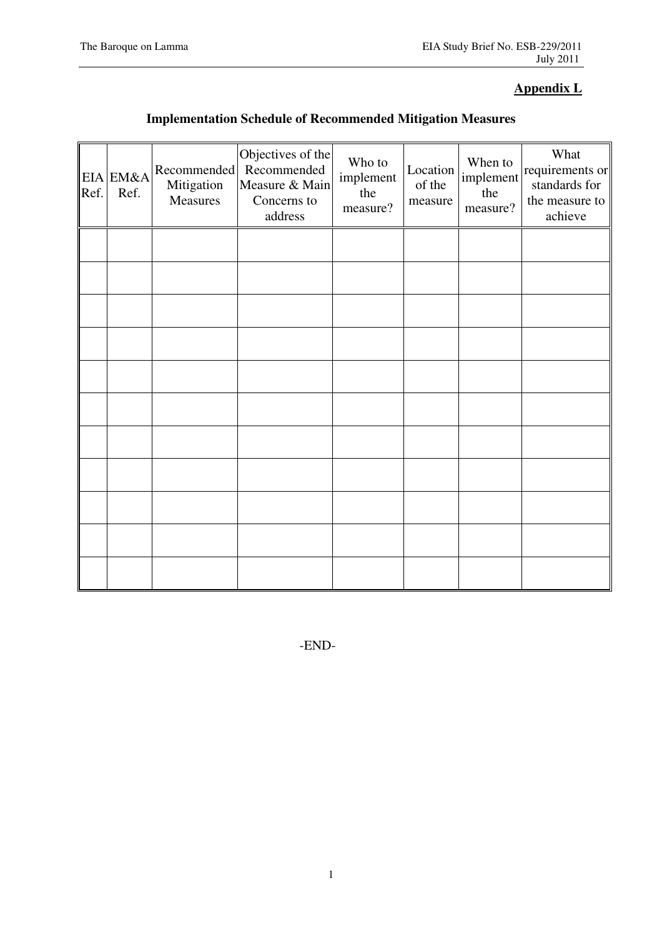# **Appendix L**

# **Implementation Schedule of Recommended Mitigation Measures**

| Ref. | EIA EM&A<br>Ref. | Recommended<br>Mitigation<br>Measures | Objectives of the<br>Recommended<br>Measure & Main<br>Concerns to<br>address | Who to<br>implement<br>the<br>measure? | Location<br>of the<br>measure | When to<br>implement<br>the<br>measure? | What<br>requirements or<br>standards for<br>the measure to<br>achieve |
|------|------------------|---------------------------------------|------------------------------------------------------------------------------|----------------------------------------|-------------------------------|-----------------------------------------|-----------------------------------------------------------------------|
|      |                  |                                       |                                                                              |                                        |                               |                                         |                                                                       |
|      |                  |                                       |                                                                              |                                        |                               |                                         |                                                                       |
|      |                  |                                       |                                                                              |                                        |                               |                                         |                                                                       |
|      |                  |                                       |                                                                              |                                        |                               |                                         |                                                                       |
|      |                  |                                       |                                                                              |                                        |                               |                                         |                                                                       |
|      |                  |                                       |                                                                              |                                        |                               |                                         |                                                                       |
|      |                  |                                       |                                                                              |                                        |                               |                                         |                                                                       |
|      |                  |                                       |                                                                              |                                        |                               |                                         |                                                                       |
|      |                  |                                       |                                                                              |                                        |                               |                                         |                                                                       |
|      |                  |                                       |                                                                              |                                        |                               |                                         |                                                                       |
|      |                  |                                       |                                                                              |                                        |                               |                                         |                                                                       |

-END-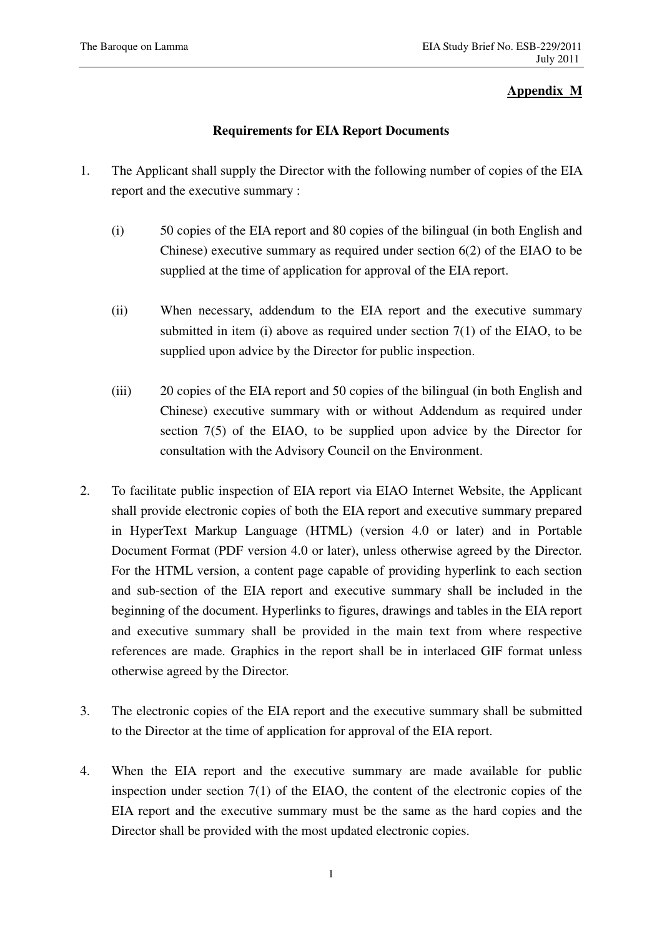## **Appendix M**

## **Requirements for EIA Report Documents**

- 1. The Applicant shall supply the Director with the following number of copies of the EIA report and the executive summary :
	- (i) 50 copies of the EIA report and 80 copies of the bilingual (in both English and Chinese) executive summary as required under section 6(2) of the EIAO to be supplied at the time of application for approval of the EIA report.
	- (ii) When necessary, addendum to the EIA report and the executive summary submitted in item (i) above as required under section  $7(1)$  of the EIAO, to be supplied upon advice by the Director for public inspection.
	- (iii) 20 copies of the EIA report and 50 copies of the bilingual (in both English and Chinese) executive summary with or without Addendum as required under section 7(5) of the EIAO, to be supplied upon advice by the Director for consultation with the Advisory Council on the Environment.
- 2. To facilitate public inspection of EIA report via EIAO Internet Website, the Applicant shall provide electronic copies of both the EIA report and executive summary prepared in HyperText Markup Language (HTML) (version 4.0 or later) and in Portable Document Format (PDF version 4.0 or later), unless otherwise agreed by the Director. For the HTML version, a content page capable of providing hyperlink to each section and sub-section of the EIA report and executive summary shall be included in the beginning of the document. Hyperlinks to figures, drawings and tables in the EIA report and executive summary shall be provided in the main text from where respective references are made. Graphics in the report shall be in interlaced GIF format unless otherwise agreed by the Director.
- 3. The electronic copies of the EIA report and the executive summary shall be submitted to the Director at the time of application for approval of the EIA report.
- 4. When the EIA report and the executive summary are made available for public inspection under section 7(1) of the EIAO, the content of the electronic copies of the EIA report and the executive summary must be the same as the hard copies and the Director shall be provided with the most updated electronic copies.